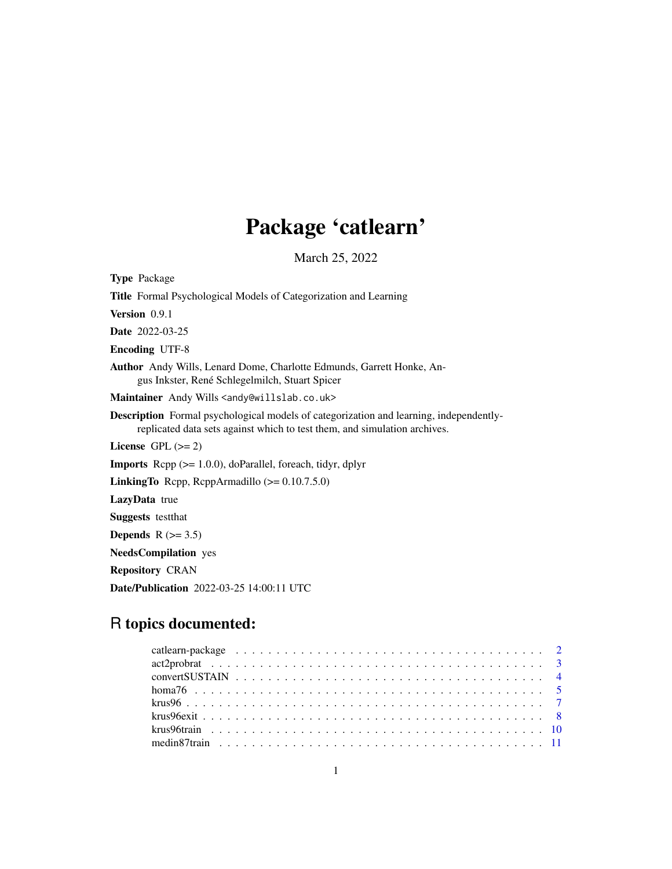# Package 'catlearn'

March 25, 2022

<span id="page-0-0"></span>Type Package Title Formal Psychological Models of Categorization and Learning Version 0.9.1 Date 2022-03-25 Encoding UTF-8 Author Andy Wills, Lenard Dome, Charlotte Edmunds, Garrett Honke, Angus Inkster, René Schlegelmilch, Stuart Spicer Maintainer Andy Wills <andy@willslab.co.uk> Description Formal psychological models of categorization and learning, independentlyreplicated data sets against which to test them, and simulation archives. License GPL  $(>= 2)$ Imports Rcpp (>= 1.0.0), doParallel, foreach, tidyr, dplyr LinkingTo Rcpp, RcppArmadillo (>= 0.10.7.5.0) LazyData true Suggests testthat Depends  $R$  ( $>= 3.5$ ) NeedsCompilation yes

Repository CRAN

Date/Publication 2022-03-25 14:00:11 UTC

# R topics documented: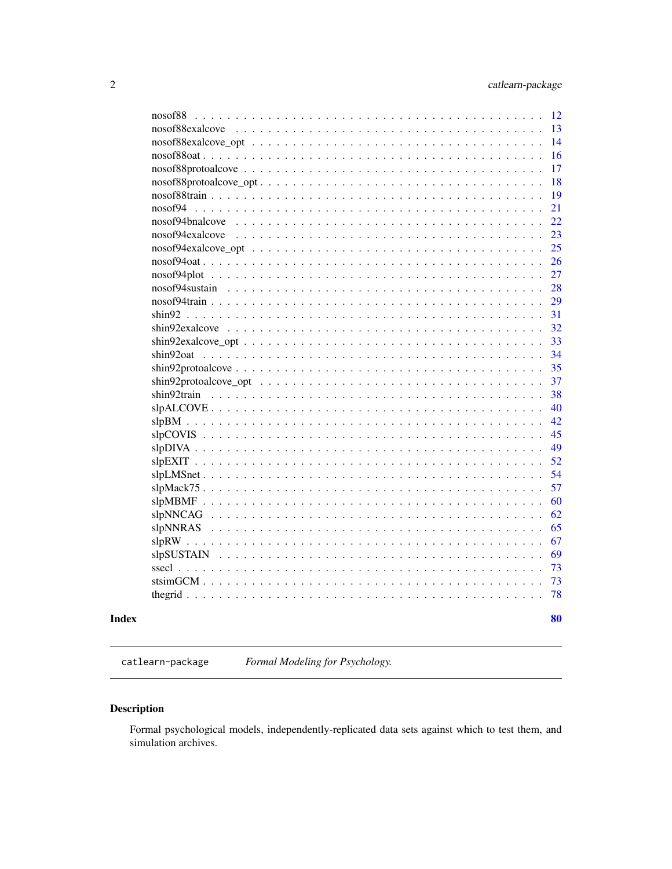<span id="page-1-0"></span>

| 12<br>nosof88<br>nosof88exalcove<br>13<br>14<br>16<br>17<br>18<br>19<br>nosof94<br>21<br>22<br>nosof94bnalcove<br>23<br>nosof94exalcove<br>25<br>26<br>27<br>28<br>29<br>31<br>32<br>33<br>34<br>35<br>37<br>38<br>40<br>42<br>45<br>49<br>52<br>54<br>57<br>60<br>$\text{slpMBMF}\dots\dots\dots\dots\dots\dots\dots\dots\dots\dots\dots\dots\dots\dots\dots\dots$<br>62<br>65<br>slpNNRAS<br>67<br>69<br>73<br>73<br>78 |  |  | 80 |
|---------------------------------------------------------------------------------------------------------------------------------------------------------------------------------------------------------------------------------------------------------------------------------------------------------------------------------------------------------------------------------------------------------------------------|--|--|----|
|                                                                                                                                                                                                                                                                                                                                                                                                                           |  |  |    |
|                                                                                                                                                                                                                                                                                                                                                                                                                           |  |  |    |
|                                                                                                                                                                                                                                                                                                                                                                                                                           |  |  |    |
|                                                                                                                                                                                                                                                                                                                                                                                                                           |  |  |    |
|                                                                                                                                                                                                                                                                                                                                                                                                                           |  |  |    |
|                                                                                                                                                                                                                                                                                                                                                                                                                           |  |  |    |
|                                                                                                                                                                                                                                                                                                                                                                                                                           |  |  |    |
|                                                                                                                                                                                                                                                                                                                                                                                                                           |  |  |    |
|                                                                                                                                                                                                                                                                                                                                                                                                                           |  |  |    |
|                                                                                                                                                                                                                                                                                                                                                                                                                           |  |  |    |
|                                                                                                                                                                                                                                                                                                                                                                                                                           |  |  |    |
|                                                                                                                                                                                                                                                                                                                                                                                                                           |  |  |    |
|                                                                                                                                                                                                                                                                                                                                                                                                                           |  |  |    |
|                                                                                                                                                                                                                                                                                                                                                                                                                           |  |  |    |
|                                                                                                                                                                                                                                                                                                                                                                                                                           |  |  |    |
|                                                                                                                                                                                                                                                                                                                                                                                                                           |  |  |    |
|                                                                                                                                                                                                                                                                                                                                                                                                                           |  |  |    |
|                                                                                                                                                                                                                                                                                                                                                                                                                           |  |  |    |
|                                                                                                                                                                                                                                                                                                                                                                                                                           |  |  |    |
|                                                                                                                                                                                                                                                                                                                                                                                                                           |  |  |    |
|                                                                                                                                                                                                                                                                                                                                                                                                                           |  |  |    |
|                                                                                                                                                                                                                                                                                                                                                                                                                           |  |  |    |
|                                                                                                                                                                                                                                                                                                                                                                                                                           |  |  |    |
|                                                                                                                                                                                                                                                                                                                                                                                                                           |  |  |    |
|                                                                                                                                                                                                                                                                                                                                                                                                                           |  |  |    |
|                                                                                                                                                                                                                                                                                                                                                                                                                           |  |  |    |
|                                                                                                                                                                                                                                                                                                                                                                                                                           |  |  |    |
|                                                                                                                                                                                                                                                                                                                                                                                                                           |  |  |    |
|                                                                                                                                                                                                                                                                                                                                                                                                                           |  |  |    |
|                                                                                                                                                                                                                                                                                                                                                                                                                           |  |  |    |
|                                                                                                                                                                                                                                                                                                                                                                                                                           |  |  |    |
|                                                                                                                                                                                                                                                                                                                                                                                                                           |  |  |    |
|                                                                                                                                                                                                                                                                                                                                                                                                                           |  |  |    |
|                                                                                                                                                                                                                                                                                                                                                                                                                           |  |  |    |
|                                                                                                                                                                                                                                                                                                                                                                                                                           |  |  |    |
|                                                                                                                                                                                                                                                                                                                                                                                                                           |  |  |    |

catlearn-package *Formal Modeling for Psychology.*

# Description

Formal psychological models, independently-replicated data sets against which to test them, and simulation archives.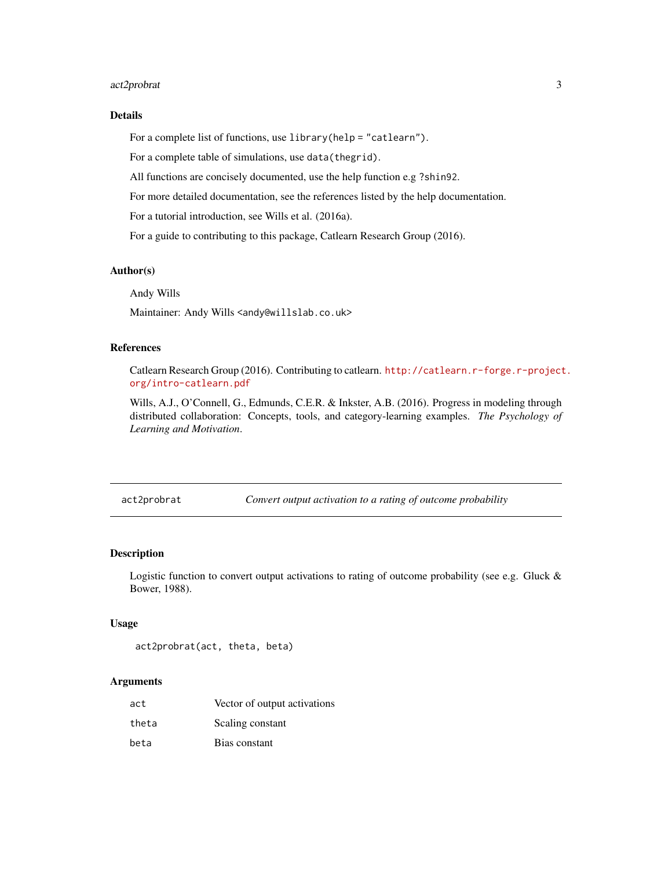# <span id="page-2-0"></span>act2probrat 3

# Details

For a complete list of functions, use library(help = "catlearn").

For a complete table of simulations, use data(thegrid).

All functions are concisely documented, use the help function e.g ?shin92.

For more detailed documentation, see the references listed by the help documentation.

For a tutorial introduction, see Wills et al. (2016a).

For a guide to contributing to this package, Catlearn Research Group (2016).

# Author(s)

Andy Wills

Maintainer: Andy Wills <andy@willslab.co.uk>

#### References

Catlearn Research Group (2016). Contributing to catlearn. [http://catlearn.r-forge.r-project](http://catlearn.r-forge.r-project.org/intro-catlearn.pdf). [org/intro-catlearn.pdf](http://catlearn.r-forge.r-project.org/intro-catlearn.pdf)

Wills, A.J., O'Connell, G., Edmunds, C.E.R. & Inkster, A.B. (2016). Progress in modeling through distributed collaboration: Concepts, tools, and category-learning examples. *The Psychology of Learning and Motivation*.

act2probrat *Convert output activation to a rating of outcome probability*

#### Description

Logistic function to convert output activations to rating of outcome probability (see e.g. Gluck & Bower, 1988).

#### Usage

```
act2probrat(act, theta, beta)
```
# Arguments

| act   | Vector of output activations |
|-------|------------------------------|
| theta | Scaling constant             |
| beta  | Bias constant                |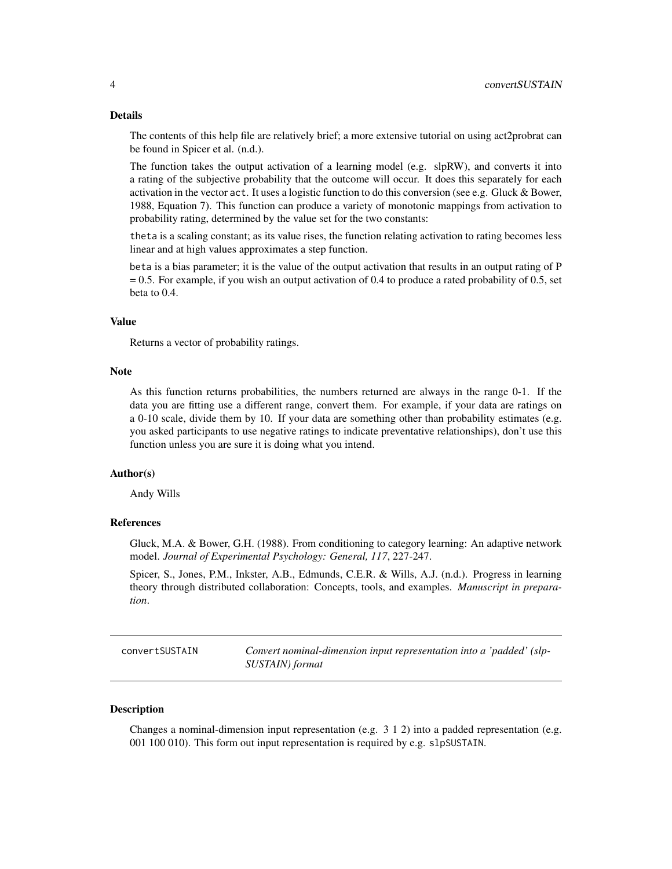#### <span id="page-3-0"></span>Details

The contents of this help file are relatively brief; a more extensive tutorial on using act2probrat can be found in Spicer et al. (n.d.).

The function takes the output activation of a learning model (e.g. slpRW), and converts it into a rating of the subjective probability that the outcome will occur. It does this separately for each activation in the vector act. It uses a logistic function to do this conversion (see e.g. Gluck & Bower, 1988, Equation 7). This function can produce a variety of monotonic mappings from activation to probability rating, determined by the value set for the two constants:

theta is a scaling constant; as its value rises, the function relating activation to rating becomes less linear and at high values approximates a step function.

beta is a bias parameter; it is the value of the output activation that results in an output rating of P  $= 0.5$ . For example, if you wish an output activation of 0.4 to produce a rated probability of 0.5, set beta to 0.4.

# Value

Returns a vector of probability ratings.

#### **Note**

As this function returns probabilities, the numbers returned are always in the range 0-1. If the data you are fitting use a different range, convert them. For example, if your data are ratings on a 0-10 scale, divide them by 10. If your data are something other than probability estimates (e.g. you asked participants to use negative ratings to indicate preventative relationships), don't use this function unless you are sure it is doing what you intend.

#### Author(s)

Andy Wills

#### References

Gluck, M.A. & Bower, G.H. (1988). From conditioning to category learning: An adaptive network model. *Journal of Experimental Psychology: General, 117*, 227-247.

Spicer, S., Jones, P.M., Inkster, A.B., Edmunds, C.E.R. & Wills, A.J. (n.d.). Progress in learning theory through distributed collaboration: Concepts, tools, and examples. *Manuscript in preparation*.

convertSUSTAIN *Convert nominal-dimension input representation into a 'padded' (slp-SUSTAIN) format*

#### **Description**

Changes a nominal-dimension input representation (e.g. 3 1 2) into a padded representation (e.g. 001 100 010). This form out input representation is required by e.g. slpSUSTAIN.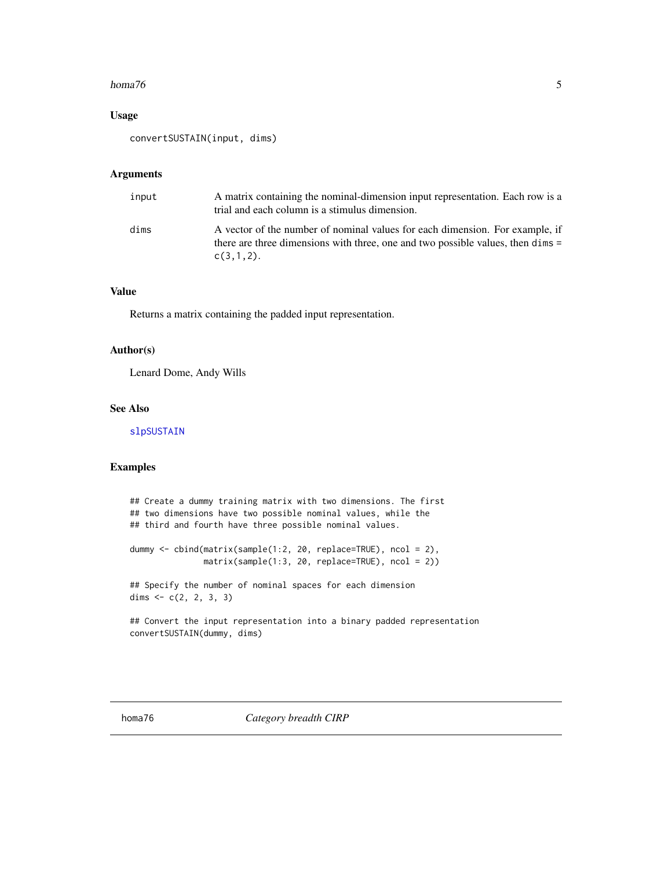#### <span id="page-4-0"></span> $homa76$  5

# Usage

convertSUSTAIN(input, dims)

# Arguments

| input | A matrix containing the nominal-dimension input representation. Each row is a<br>trial and each column is a stimulus dimension.                                                 |
|-------|---------------------------------------------------------------------------------------------------------------------------------------------------------------------------------|
| dims  | A vector of the number of nominal values for each dimension. For example, if<br>there are three dimensions with three, one and two possible values, then dims =<br>$C(3,1,2)$ . |

# Value

Returns a matrix containing the padded input representation.

# Author(s)

Lenard Dome, Andy Wills

#### See Also

[slpSUSTAIN](#page-68-1)

# Examples

## Create a dummy training matrix with two dimensions. The first ## two dimensions have two possible nominal values, while the ## third and fourth have three possible nominal values.

dummy <- cbind(matrix(sample(1:2, 20, replace=TRUE), ncol = 2), matrix(sample(1:3, 20, replace=TRUE), ncol = 2))

## Specify the number of nominal spaces for each dimension dims  $\leq c(2, 2, 3, 3)$ 

## Convert the input representation into a binary padded representation convertSUSTAIN(dummy, dims)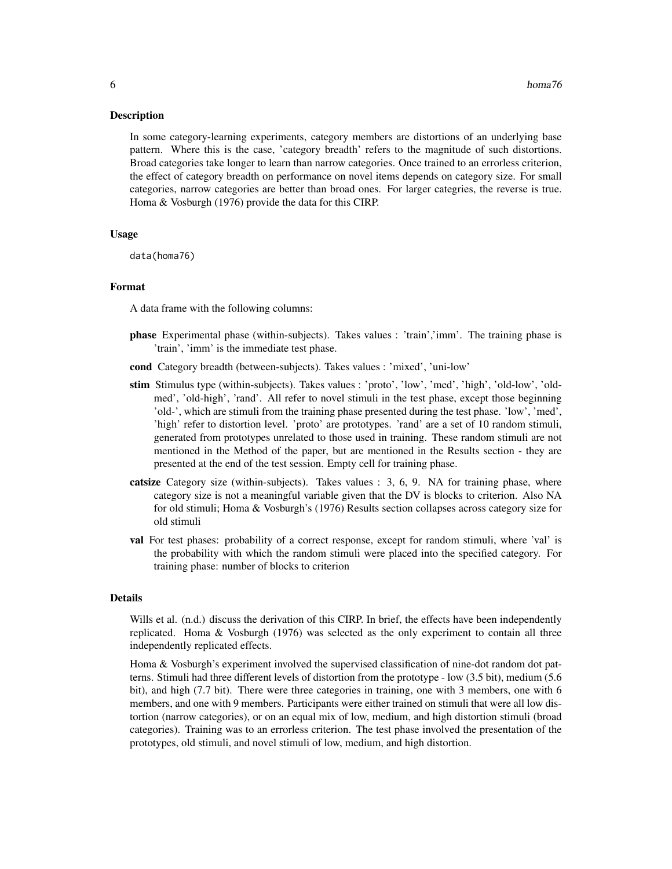#### Description

In some category-learning experiments, category members are distortions of an underlying base pattern. Where this is the case, 'category breadth' refers to the magnitude of such distortions. Broad categories take longer to learn than narrow categories. Once trained to an errorless criterion, the effect of category breadth on performance on novel items depends on category size. For small categories, narrow categories are better than broad ones. For larger categries, the reverse is true. Homa & Vosburgh (1976) provide the data for this CIRP.

#### Usage

data(homa76)

#### Format

A data frame with the following columns:

- phase Experimental phase (within-subjects). Takes values : 'train','imm'. The training phase is 'train', 'imm' is the immediate test phase.
- cond Category breadth (between-subjects). Takes values : 'mixed', 'uni-low'
- stim Stimulus type (within-subjects). Takes values : 'proto', 'low', 'med', 'high', 'old-low', 'oldmed', 'old-high', 'rand'. All refer to novel stimuli in the test phase, except those beginning 'old-', which are stimuli from the training phase presented during the test phase. 'low', 'med', 'high' refer to distortion level. 'proto' are prototypes. 'rand' are a set of 10 random stimuli, generated from prototypes unrelated to those used in training. These random stimuli are not mentioned in the Method of the paper, but are mentioned in the Results section - they are presented at the end of the test session. Empty cell for training phase.
- catsize Category size (within-subjects). Takes values : 3, 6, 9. NA for training phase, where category size is not a meaningful variable given that the DV is blocks to criterion. Also NA for old stimuli; Homa & Vosburgh's (1976) Results section collapses across category size for old stimuli
- val For test phases: probability of a correct response, except for random stimuli, where 'val' is the probability with which the random stimuli were placed into the specified category. For training phase: number of blocks to criterion

# Details

Wills et al. (n.d.) discuss the derivation of this CIRP. In brief, the effects have been independently replicated. Homa & Vosburgh (1976) was selected as the only experiment to contain all three independently replicated effects.

Homa & Vosburgh's experiment involved the supervised classification of nine-dot random dot patterns. Stimuli had three different levels of distortion from the prototype - low (3.5 bit), medium (5.6 bit), and high (7.7 bit). There were three categories in training, one with 3 members, one with 6 members, and one with 9 members. Participants were either trained on stimuli that were all low distortion (narrow categories), or on an equal mix of low, medium, and high distortion stimuli (broad categories). Training was to an errorless criterion. The test phase involved the presentation of the prototypes, old stimuli, and novel stimuli of low, medium, and high distortion.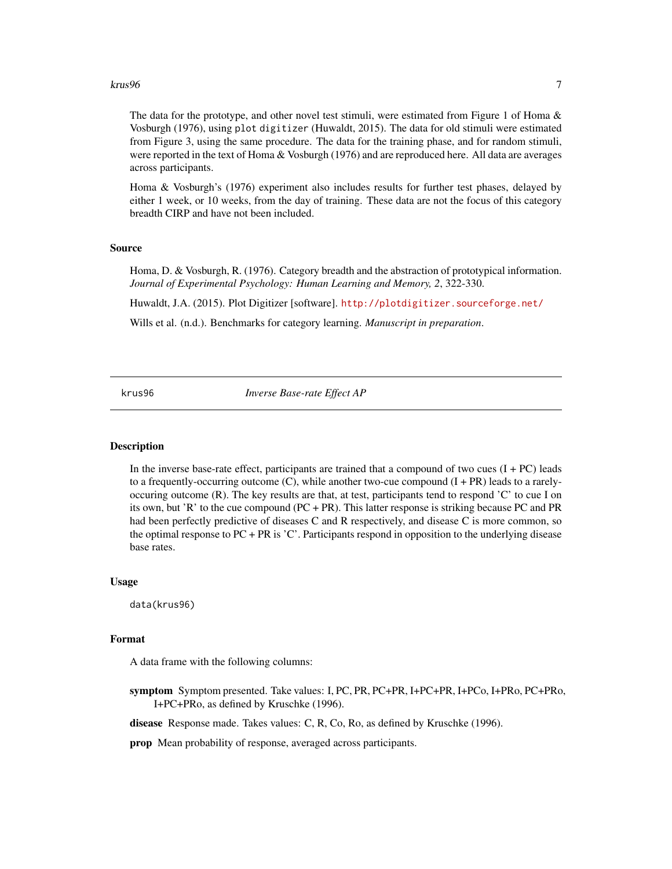#### <span id="page-6-0"></span>krus $96$   $\hskip 1.0cm$  7

The data for the prototype, and other novel test stimuli, were estimated from Figure 1 of Homa  $\&$ Vosburgh (1976), using plot digitizer (Huwaldt, 2015). The data for old stimuli were estimated from Figure 3, using the same procedure. The data for the training phase, and for random stimuli, were reported in the text of Homa & Vosburgh (1976) and are reproduced here. All data are averages across participants.

Homa & Vosburgh's (1976) experiment also includes results for further test phases, delayed by either 1 week, or 10 weeks, from the day of training. These data are not the focus of this category breadth CIRP and have not been included.

#### Source

Homa, D. & Vosburgh, R. (1976). Category breadth and the abstraction of prototypical information. *Journal of Experimental Psychology: Human Learning and Memory, 2*, 322-330.

Huwaldt, J.A. (2015). Plot Digitizer [software]. <http://plotdigitizer.sourceforge.net/>

Wills et al. (n.d.). Benchmarks for category learning. *Manuscript in preparation*.

<span id="page-6-1"></span>krus96 *Inverse Base-rate Effect AP*

# Description

In the inverse base-rate effect, participants are trained that a compound of two cues  $(I + PC)$  leads to a frequently-occurring outcome  $(C)$ , while another two-cue compound  $(I + PR)$  leads to a rarelyoccuring outcome (R). The key results are that, at test, participants tend to respond 'C' to cue I on its own, but 'R' to the cue compound (PC + PR). This latter response is striking because PC and PR had been perfectly predictive of diseases C and R respectively, and disease C is more common, so the optimal response to PC + PR is 'C'. Participants respond in opposition to the underlying disease base rates.

#### Usage

data(krus96)

#### Format

A data frame with the following columns:

symptom Symptom presented. Take values: I, PC, PR, PC+PR, I+PC+PR, I+PCo, I+PRo, PC+PRo, I+PC+PRo, as defined by Kruschke (1996).

disease Response made. Takes values: C, R, Co, Ro, as defined by Kruschke (1996).

prop Mean probability of response, averaged across participants.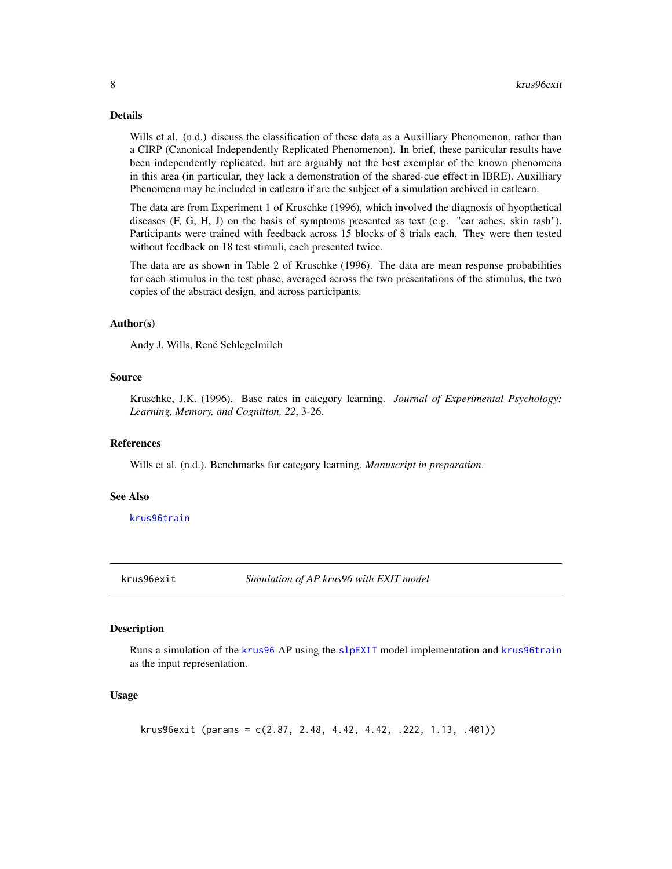#### Details

Wills et al. (n.d.) discuss the classification of these data as a Auxilliary Phenomenon, rather than a CIRP (Canonical Independently Replicated Phenomenon). In brief, these particular results have been independently replicated, but are arguably not the best exemplar of the known phenomena in this area (in particular, they lack a demonstration of the shared-cue effect in IBRE). Auxilliary Phenomena may be included in catlearn if are the subject of a simulation archived in catlearn.

The data are from Experiment 1 of Kruschke (1996), which involved the diagnosis of hyopthetical diseases (F, G, H, J) on the basis of symptoms presented as text (e.g. "ear aches, skin rash"). Participants were trained with feedback across 15 blocks of 8 trials each. They were then tested without feedback on 18 test stimuli, each presented twice.

The data are as shown in Table 2 of Kruschke (1996). The data are mean response probabilities for each stimulus in the test phase, averaged across the two presentations of the stimulus, the two copies of the abstract design, and across participants.

#### Author(s)

Andy J. Wills, René Schlegelmilch

#### Source

Kruschke, J.K. (1996). Base rates in category learning. *Journal of Experimental Psychology: Learning, Memory, and Cognition, 22*, 3-26.

#### References

Wills et al. (n.d.). Benchmarks for category learning. *Manuscript in preparation*.

# See Also

[krus96train](#page-9-1)

krus96exit *Simulation of AP krus96 with EXIT model*

#### Description

Runs a simulation of the [krus96](#page-6-1) AP using the [slpEXIT](#page-51-1) model implementation and [krus96train](#page-9-1) as the input representation.

#### Usage

krus96exit (params = c(2.87, 2.48, 4.42, 4.42, .222, 1.13, .401))

<span id="page-7-0"></span>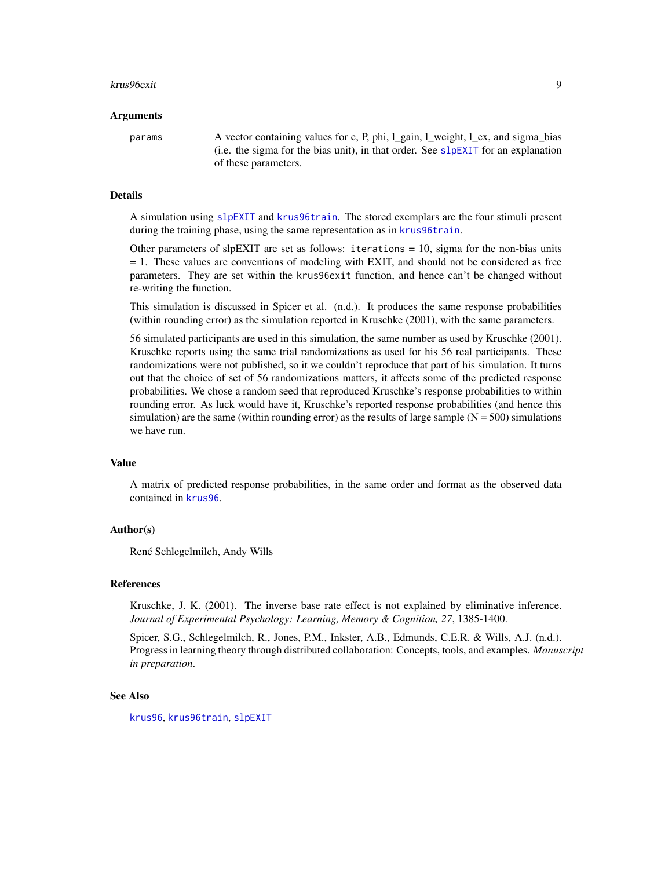#### krus96exit 9

#### Arguments

params A vector containing values for c, P, phi, l\_gain, l\_weight, l\_ex, and sigma\_bias (i.e. the sigma for the bias unit), in that order. See [slpEXIT](#page-51-1) for an explanation of these parameters.

# Details

A simulation using [slpEXIT](#page-51-1) and [krus96train](#page-9-1). The stored exemplars are the four stimuli present during the training phase, using the same representation as in [krus96train](#page-9-1).

Other parameters of slpEXIT are set as follows: iterations  $= 10$ , sigma for the non-bias units = 1. These values are conventions of modeling with EXIT, and should not be considered as free parameters. They are set within the krus96exit function, and hence can't be changed without re-writing the function.

This simulation is discussed in Spicer et al. (n.d.). It produces the same response probabilities (within rounding error) as the simulation reported in Kruschke (2001), with the same parameters.

56 simulated participants are used in this simulation, the same number as used by Kruschke (2001). Kruschke reports using the same trial randomizations as used for his 56 real participants. These randomizations were not published, so it we couldn't reproduce that part of his simulation. It turns out that the choice of set of 56 randomizations matters, it affects some of the predicted response probabilities. We chose a random seed that reproduced Kruschke's response probabilities to within rounding error. As luck would have it, Kruschke's reported response probabilities (and hence this simulation) are the same (within rounding error) as the results of large sample  $(N = 500)$  simulations we have run.

#### Value

A matrix of predicted response probabilities, in the same order and format as the observed data contained in [krus96](#page-6-1).

#### Author(s)

René Schlegelmilch, Andy Wills

#### References

Kruschke, J. K. (2001). The inverse base rate effect is not explained by eliminative inference. *Journal of Experimental Psychology: Learning, Memory & Cognition, 27*, 1385-1400.

Spicer, S.G., Schlegelmilch, R., Jones, P.M., Inkster, A.B., Edmunds, C.E.R. & Wills, A.J. (n.d.). Progress in learning theory through distributed collaboration: Concepts, tools, and examples. *Manuscript in preparation*.

#### See Also

[krus96](#page-6-1), [krus96train](#page-9-1), [slpEXIT](#page-51-1)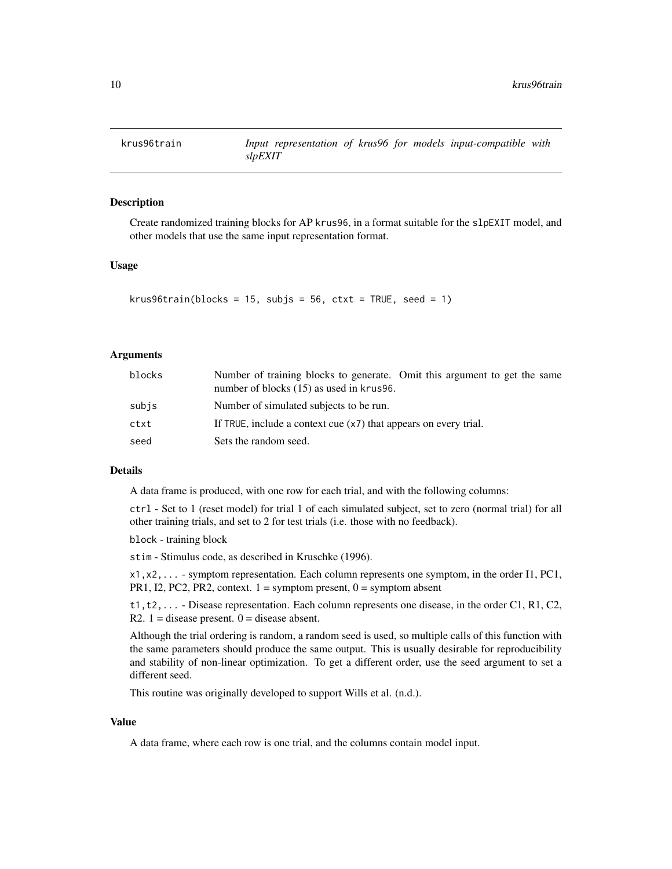<span id="page-9-1"></span><span id="page-9-0"></span>

#### **Description**

Create randomized training blocks for AP krus96, in a format suitable for the slpEXIT model, and other models that use the same input representation format.

#### Usage

```
krus96train(blocks = 15, subjs = 56, ctxt = TRUE, seed = 1)
```
#### Arguments

| blocks | Number of training blocks to generate. Omit this argument to get the same<br>number of blocks (15) as used in krus96. |
|--------|-----------------------------------------------------------------------------------------------------------------------|
| subjs  | Number of simulated subjects to be run.                                                                               |
| ctxt   | If TRUE, include a context cue (x7) that appears on every trial.                                                      |
| seed   | Sets the random seed.                                                                                                 |

### Details

A data frame is produced, with one row for each trial, and with the following columns:

ctrl - Set to 1 (reset model) for trial 1 of each simulated subject, set to zero (normal trial) for all other training trials, and set to 2 for test trials (i.e. those with no feedback).

block - training block

stim - Stimulus code, as described in Kruschke (1996).

x1,x2,... - symptom representation. Each column represents one symptom, in the order I1, PC1, PR1, I2, PC2, PR2, context.  $1 =$  symptom present,  $0 =$  symptom absent

t1,t2,... - Disease representation. Each column represents one disease, in the order C1, R1, C2, R2.  $1 =$  disease present.  $0 =$  disease absent.

Although the trial ordering is random, a random seed is used, so multiple calls of this function with the same parameters should produce the same output. This is usually desirable for reproducibility and stability of non-linear optimization. To get a different order, use the seed argument to set a different seed.

This routine was originally developed to support Wills et al. (n.d.).

#### Value

A data frame, where each row is one trial, and the columns contain model input.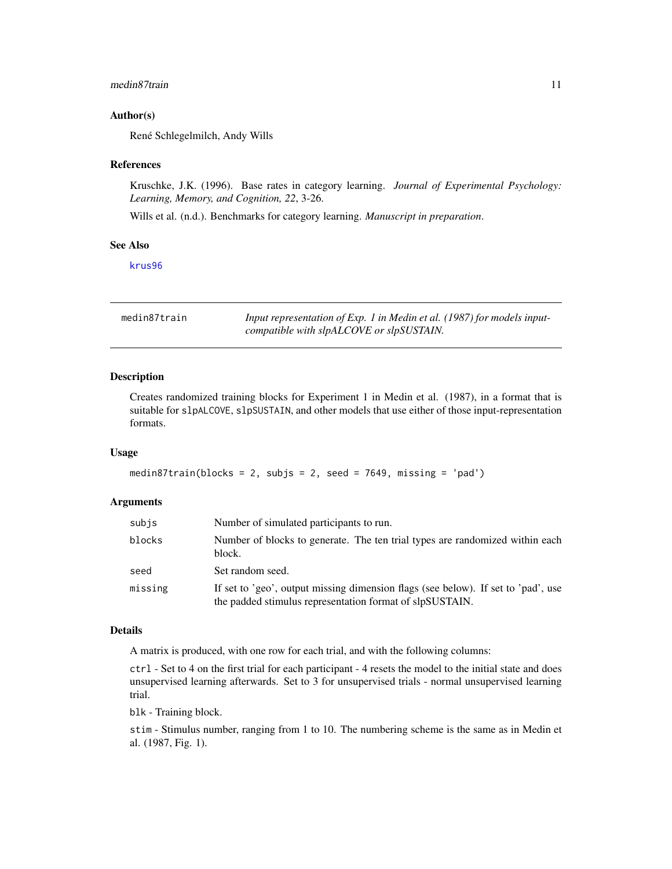#### <span id="page-10-0"></span>medin87train 11

# Author(s)

René Schlegelmilch, Andy Wills

#### References

Kruschke, J.K. (1996). Base rates in category learning. *Journal of Experimental Psychology: Learning, Memory, and Cognition, 22*, 3-26.

Wills et al. (n.d.). Benchmarks for category learning. *Manuscript in preparation*.

#### See Also

[krus96](#page-6-1)

medin87train *Input representation of Exp. 1 in Medin et al. (1987) for models inputcompatible with slpALCOVE or slpSUSTAIN.*

#### Description

Creates randomized training blocks for Experiment 1 in Medin et al. (1987), in a format that is suitable for slpALCOVE, slpSUSTAIN, and other models that use either of those input-representation formats.

# Usage

```
median87train(blocks = 2, subjs = 2, seed = 7649, missing = 'pad')
```
# Arguments

| subis                                                                                            | Number of simulated participants to run.                                                                                                      |  |  |  |
|--------------------------------------------------------------------------------------------------|-----------------------------------------------------------------------------------------------------------------------------------------------|--|--|--|
| blocks<br>Number of blocks to generate. The ten trial types are randomized within each<br>block. |                                                                                                                                               |  |  |  |
| seed                                                                                             | Set random seed.                                                                                                                              |  |  |  |
| missing                                                                                          | If set to 'geo', output missing dimension flags (see below). If set to 'pad', use<br>the padded stimulus representation format of slpSUSTAIN. |  |  |  |

#### Details

A matrix is produced, with one row for each trial, and with the following columns:

ctrl - Set to 4 on the first trial for each participant - 4 resets the model to the initial state and does unsupervised learning afterwards. Set to 3 for unsupervised trials - normal unsupervised learning trial.

blk - Training block.

stim - Stimulus number, ranging from 1 to 10. The numbering scheme is the same as in Medin et al. (1987, Fig. 1).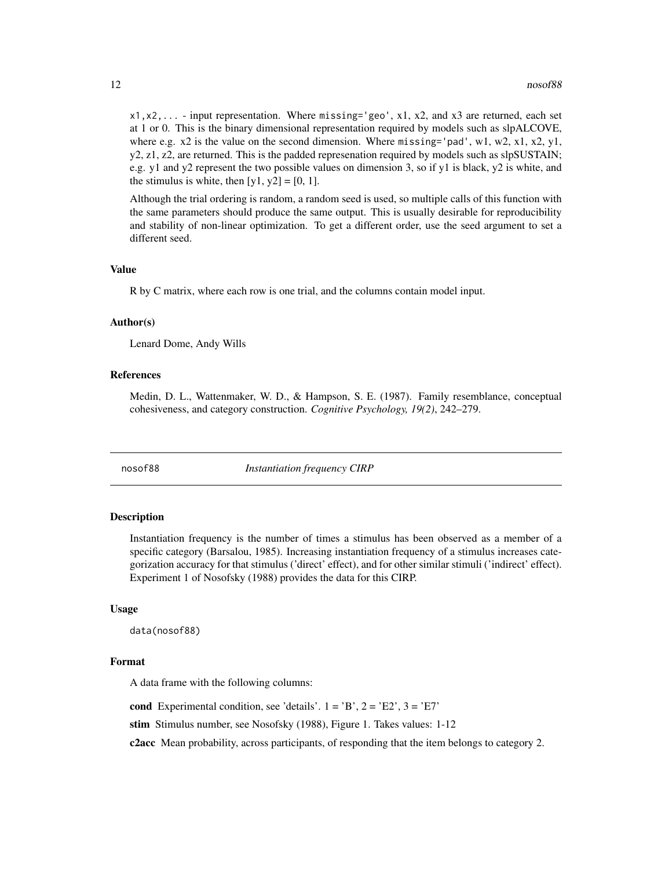<span id="page-11-0"></span> $x1, x2, \ldots$  - input representation. Where missing='geo', x1, x2, and x3 are returned, each set at 1 or 0. This is the binary dimensional representation required by models such as slpALCOVE, where e.g.  $x2$  is the value on the second dimension. Where missing='pad', w1, w2, x1, x2, y1,  $y2$ , z1, z2, are returned. This is the padded represenation required by models such as slpSUSTAIN; e.g. y1 and y2 represent the two possible values on dimension 3, so if y1 is black, y2 is white, and the stimulus is white, then  $[y1, y2] = [0, 1]$ .

Although the trial ordering is random, a random seed is used, so multiple calls of this function with the same parameters should produce the same output. This is usually desirable for reproducibility and stability of non-linear optimization. To get a different order, use the seed argument to set a different seed.

#### Value

R by C matrix, where each row is one trial, and the columns contain model input.

#### Author(s)

Lenard Dome, Andy Wills

#### References

Medin, D. L., Wattenmaker, W. D., & Hampson, S. E. (1987). Family resemblance, conceptual cohesiveness, and category construction. *Cognitive Psychology, 19(2)*, 242–279.

<span id="page-11-1"></span>

nosof88 *Instantiation frequency CIRP*

# Description

Instantiation frequency is the number of times a stimulus has been observed as a member of a specific category (Barsalou, 1985). Increasing instantiation frequency of a stimulus increases categorization accuracy for that stimulus ('direct' effect), and for other similar stimuli ('indirect' effect). Experiment 1 of Nosofsky (1988) provides the data for this CIRP.

#### Usage

```
data(nosof88)
```
#### Format

A data frame with the following columns:

cond Experimental condition, see 'details'.  $1 = 'B', 2 = 'E2', 3 = 'E7'$ 

stim Stimulus number, see Nosofsky (1988), Figure 1. Takes values: 1-12

c2acc Mean probability, across participants, of responding that the item belongs to category 2.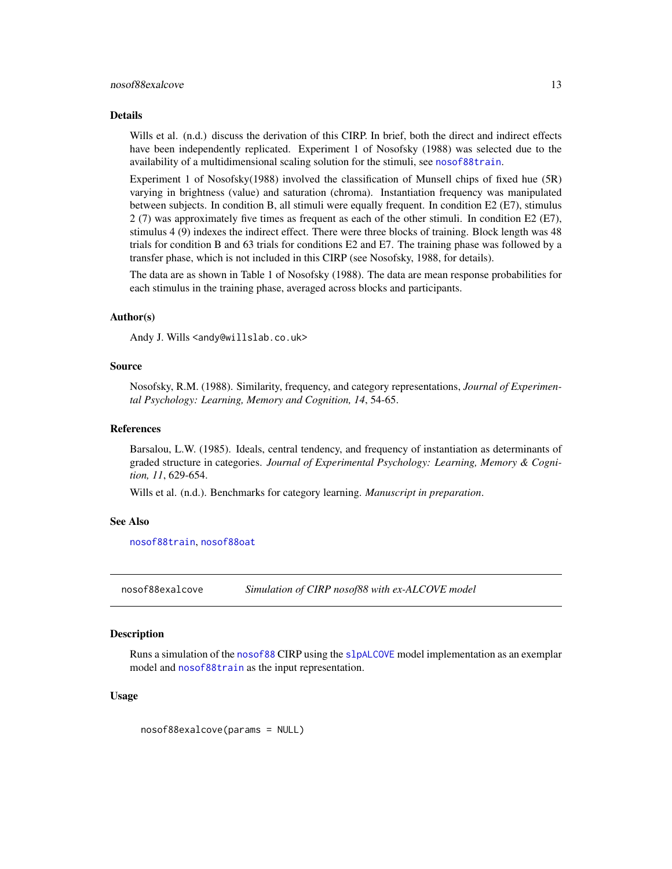#### <span id="page-12-0"></span>Details

Wills et al. (n.d.) discuss the derivation of this CIRP. In brief, both the direct and indirect effects have been independently replicated. Experiment 1 of Nosofsky (1988) was selected due to the availability of a multidimensional scaling solution for the stimuli, see [nosof88train](#page-18-1).

Experiment 1 of Nosofsky(1988) involved the classification of Munsell chips of fixed hue (5R) varying in brightness (value) and saturation (chroma). Instantiation frequency was manipulated between subjects. In condition B, all stimuli were equally frequent. In condition E2 (E7), stimulus 2 (7) was approximately five times as frequent as each of the other stimuli. In condition E2 (E7), stimulus 4 (9) indexes the indirect effect. There were three blocks of training. Block length was 48 trials for condition B and 63 trials for conditions E2 and E7. The training phase was followed by a transfer phase, which is not included in this CIRP (see Nosofsky, 1988, for details).

The data are as shown in Table 1 of Nosofsky (1988). The data are mean response probabilities for each stimulus in the training phase, averaged across blocks and participants.

#### Author(s)

Andy J. Wills <andy@willslab.co.uk>

#### Source

Nosofsky, R.M. (1988). Similarity, frequency, and category representations, *Journal of Experimental Psychology: Learning, Memory and Cognition, 14*, 54-65.

#### References

Barsalou, L.W. (1985). Ideals, central tendency, and frequency of instantiation as determinants of graded structure in categories. *Journal of Experimental Psychology: Learning, Memory & Cognition, 11*, 629-654.

Wills et al. (n.d.). Benchmarks for category learning. *Manuscript in preparation*.

#### See Also

[nosof88train](#page-18-1), [nosof88oat](#page-15-1)

<span id="page-12-1"></span>nosof88exalcove *Simulation of CIRP nosof88 with ex-ALCOVE model*

# Description

Runs a simulation of the [nosof88](#page-11-1) CIRP using the [slpALCOVE](#page-39-1) model implementation as an exemplar model and [nosof88train](#page-18-1) as the input representation.

#### Usage

nosof88exalcove(params = NULL)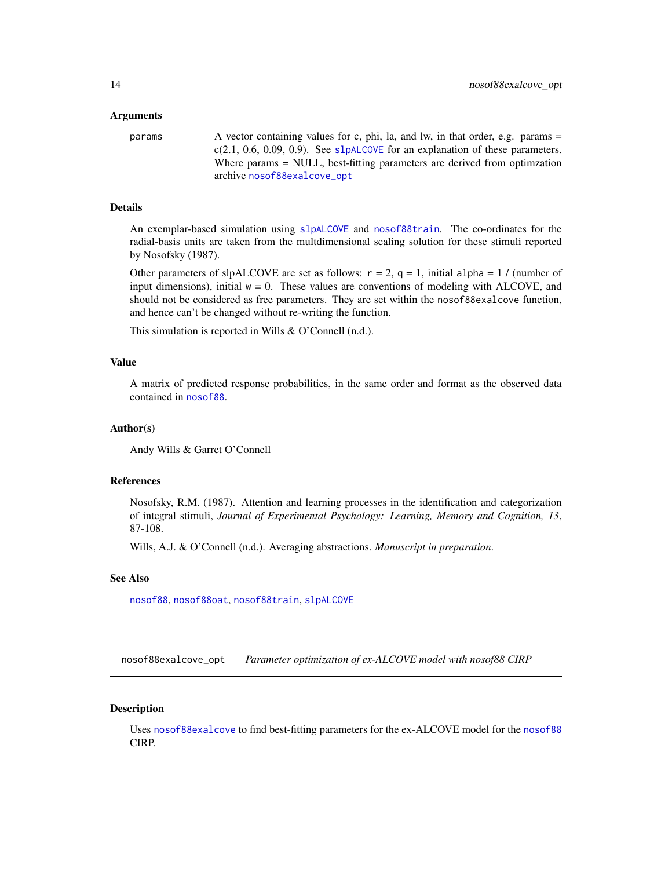#### <span id="page-13-0"></span>Arguments

params  $\alpha$  A vector containing values for c, phi, la, and lw, in that order, e.g. params =  $c(2.1, 0.6, 0.09, 0.9)$ . See [slpALCOVE](#page-39-1) for an explanation of these parameters. Where params = NULL, best-fitting parameters are derived from optimzation archive [nosof88exalcove\\_opt](#page-13-1)

# Details

An exemplar-based simulation using [slpALCOVE](#page-39-1) and [nosof88train](#page-18-1). The co-ordinates for the radial-basis units are taken from the multdimensional scaling solution for these stimuli reported by Nosofsky (1987).

Other parameters of slpALCOVE are set as follows:  $r = 2$ ,  $q = 1$ , initial alpha = 1 / (number of input dimensions), initial  $w = 0$ . These values are conventions of modeling with ALCOVE, and should not be considered as free parameters. They are set within the nosof88exalcove function, and hence can't be changed without re-writing the function.

This simulation is reported in Wills & O'Connell (n.d.).

# Value

A matrix of predicted response probabilities, in the same order and format as the observed data contained in [nosof88](#page-11-1).

#### Author(s)

Andy Wills & Garret O'Connell

#### References

Nosofsky, R.M. (1987). Attention and learning processes in the identification and categorization of integral stimuli, *Journal of Experimental Psychology: Learning, Memory and Cognition, 13*, 87-108.

Wills, A.J. & O'Connell (n.d.). Averaging abstractions. *Manuscript in preparation*.

#### See Also

[nosof88](#page-11-1), [nosof88oat](#page-15-1), [nosof88train](#page-18-1), [slpALCOVE](#page-39-1)

<span id="page-13-1"></span>nosof88exalcove\_opt *Parameter optimization of ex-ALCOVE model with nosof88 CIRP*

#### Description

Uses [nosof88exalcove](#page-12-1) to find best-fitting parameters for the ex-ALCOVE model for the [nosof88](#page-11-1) CIRP.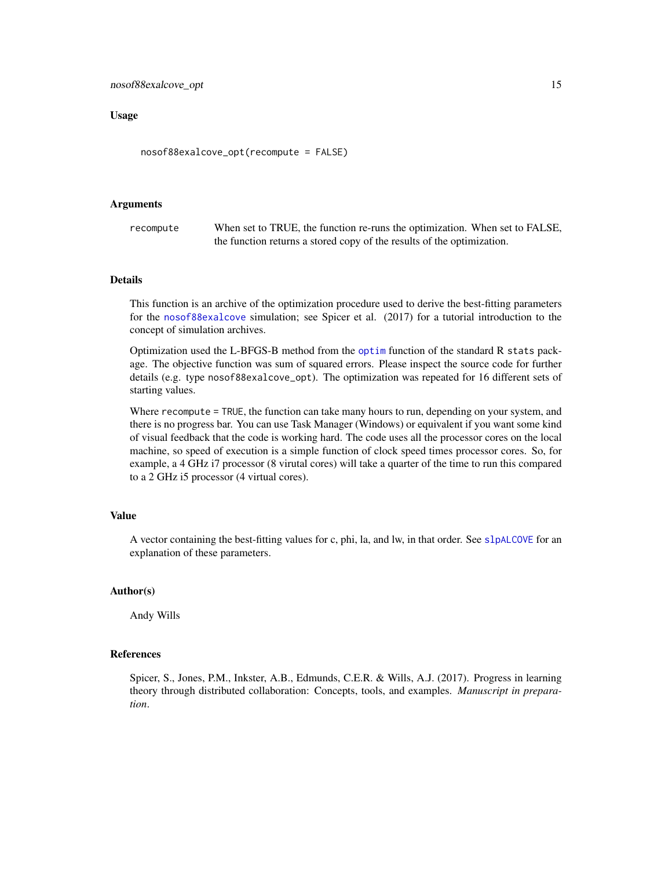# Usage

nosof88exalcove\_opt(recompute = FALSE)

### Arguments

recompute When set to TRUE, the function re-runs the optimization. When set to FALSE, the function returns a stored copy of the results of the optimization.

# Details

This function is an archive of the optimization procedure used to derive the best-fitting parameters for the [nosof88exalcove](#page-12-1) simulation; see Spicer et al. (2017) for a tutorial introduction to the concept of simulation archives.

Optimization used the L-BFGS-B method from the [optim](#page-0-0) function of the standard R stats package. The objective function was sum of squared errors. Please inspect the source code for further details (e.g. type nosof88exalcove\_opt). The optimization was repeated for 16 different sets of starting values.

Where recompute = TRUE, the function can take many hours to run, depending on your system, and there is no progress bar. You can use Task Manager (Windows) or equivalent if you want some kind of visual feedback that the code is working hard. The code uses all the processor cores on the local machine, so speed of execution is a simple function of clock speed times processor cores. So, for example, a 4 GHz i7 processor (8 virutal cores) will take a quarter of the time to run this compared to a 2 GHz i5 processor (4 virtual cores).

#### Value

A vector containing the best-fitting values for c, phi, la, and lw, in that order. See [slpALCOVE](#page-39-1) for an explanation of these parameters.

### Author(s)

Andy Wills

#### References

Spicer, S., Jones, P.M., Inkster, A.B., Edmunds, C.E.R. & Wills, A.J. (2017). Progress in learning theory through distributed collaboration: Concepts, tools, and examples. *Manuscript in preparation*.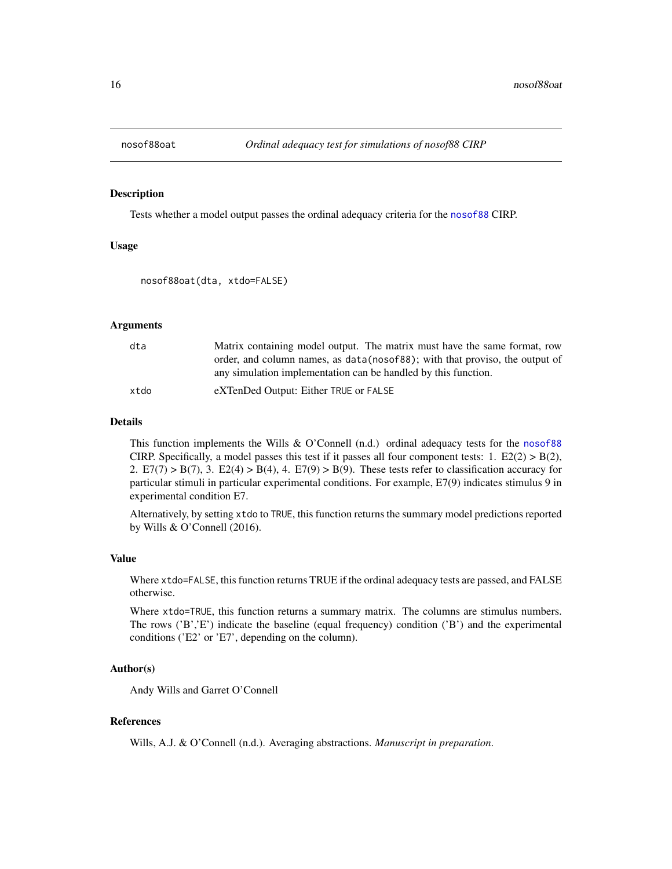<span id="page-15-1"></span><span id="page-15-0"></span>

# Description

Tests whether a model output passes the ordinal adequacy criteria for the [nosof88](#page-11-1) CIRP.

#### Usage

nosof88oat(dta, xtdo=FALSE)

# Arguments

| dta  | Matrix containing model output. The matrix must have the same format, row    |
|------|------------------------------------------------------------------------------|
|      | order, and column names, as data (nosof88); with that proviso, the output of |
|      | any simulation implementation can be handled by this function.               |
| xtdo | eXTenDed Output: Either TRUE or FALSE                                        |

# Details

This function implements the Wills & O'Connell (n.d.) ordinal adequacy tests for the [nosof88](#page-11-1) CIRP. Specifically, a model passes this test if it passes all four component tests: 1.  $E2(2) > B(2)$ , 2. E7(7) > B(7), 3. E2(4) > B(4), 4. E7(9) > B(9). These tests refer to classification accuracy for particular stimuli in particular experimental conditions. For example, E7(9) indicates stimulus 9 in experimental condition E7.

Alternatively, by setting xtdo to TRUE, this function returns the summary model predictions reported by Wills & O'Connell (2016).

#### Value

Where xtdo=FALSE, this function returns TRUE if the ordinal adequacy tests are passed, and FALSE otherwise.

Where xtdo=TRUE, this function returns a summary matrix. The columns are stimulus numbers. The rows ('B','E') indicate the baseline (equal frequency) condition ('B') and the experimental conditions ('E2' or 'E7', depending on the column).

# Author(s)

Andy Wills and Garret O'Connell

#### References

Wills, A.J. & O'Connell (n.d.). Averaging abstractions. *Manuscript in preparation*.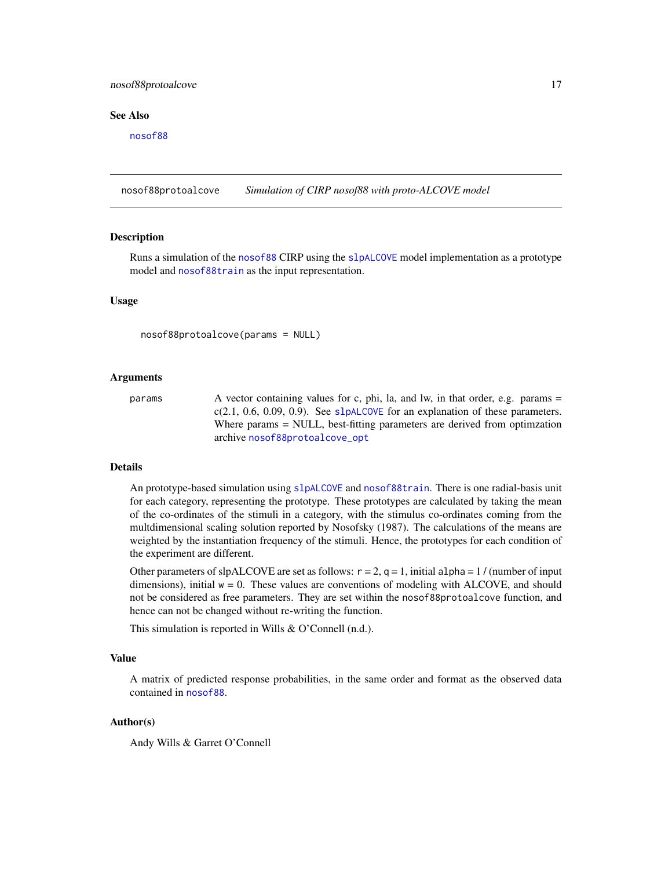#### <span id="page-16-0"></span>nosof88protoalcove 17

#### See Also

[nosof88](#page-11-1)

<span id="page-16-1"></span>nosof88protoalcove *Simulation of CIRP nosof88 with proto-ALCOVE model*

#### **Description**

Runs a simulation of the [nosof88](#page-11-1) CIRP using the [slpALCOVE](#page-39-1) model implementation as a prototype model and [nosof88train](#page-18-1) as the input representation.

#### Usage

nosof88protoalcove(params = NULL)

#### Arguments

params A vector containing values for c, phi, la, and lw, in that order, e.g. params =  $c(2.1, 0.6, 0.09, 0.9)$ . See [slpALCOVE](#page-39-1) for an explanation of these parameters. Where params = NULL, best-fitting parameters are derived from optimzation archive [nosof88protoalcove\\_opt](#page-17-1)

# **Details**

An prototype-based simulation using [slpALCOVE](#page-39-1) and [nosof88train](#page-18-1). There is one radial-basis unit for each category, representing the prototype. These prototypes are calculated by taking the mean of the co-ordinates of the stimuli in a category, with the stimulus co-ordinates coming from the multdimensional scaling solution reported by Nosofsky (1987). The calculations of the means are weighted by the instantiation frequency of the stimuli. Hence, the prototypes for each condition of the experiment are different.

Other parameters of slpALCOVE are set as follows:  $r = 2$ ,  $q = 1$ , initial alpha = 1/(number of input dimensions), initial  $w = 0$ . These values are conventions of modeling with ALCOVE, and should not be considered as free parameters. They are set within the nosof88protoalcove function, and hence can not be changed without re-writing the function.

This simulation is reported in Wills & O'Connell (n.d.).

# Value

A matrix of predicted response probabilities, in the same order and format as the observed data contained in [nosof88](#page-11-1).

#### Author(s)

Andy Wills & Garret O'Connell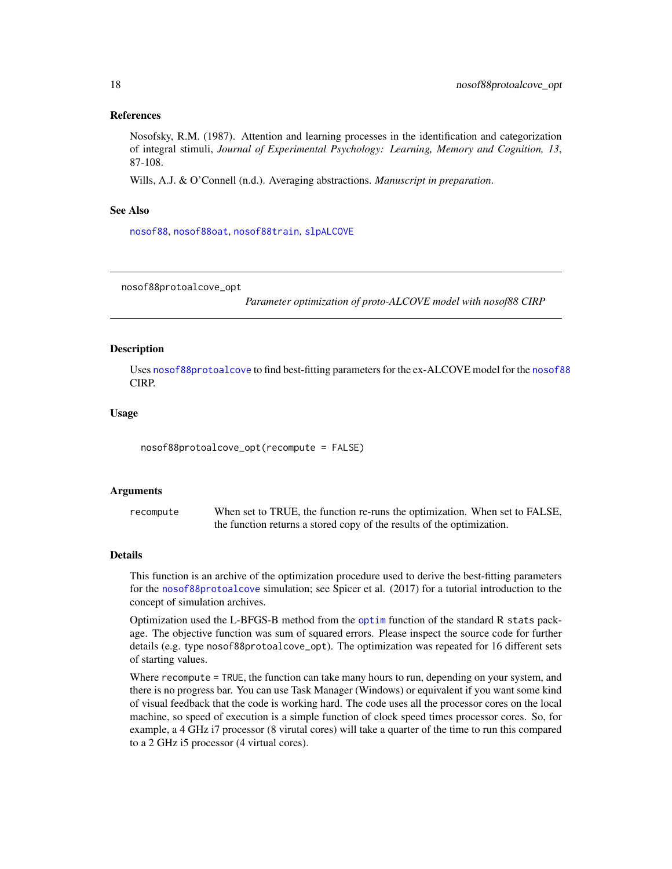# References

Nosofsky, R.M. (1987). Attention and learning processes in the identification and categorization of integral stimuli, *Journal of Experimental Psychology: Learning, Memory and Cognition, 13*, 87-108.

Wills, A.J. & O'Connell (n.d.). Averaging abstractions. *Manuscript in preparation*.

# See Also

[nosof88](#page-11-1), [nosof88oat](#page-15-1), [nosof88train](#page-18-1), [slpALCOVE](#page-39-1)

<span id="page-17-1"></span>nosof88protoalcove\_opt

*Parameter optimization of proto-ALCOVE model with nosof88 CIRP*

#### Description

Uses [nosof88protoalcove](#page-16-1) to find best-fitting parameters for the ex-ALCOVE model for the [nosof88](#page-11-1) CIRP.

#### Usage

nosof88protoalcove\_opt(recompute = FALSE)

#### Arguments

recompute When set to TRUE, the function re-runs the optimization. When set to FALSE, the function returns a stored copy of the results of the optimization.

# Details

This function is an archive of the optimization procedure used to derive the best-fitting parameters for the [nosof88protoalcove](#page-16-1) simulation; see Spicer et al. (2017) for a tutorial introduction to the concept of simulation archives.

Optimization used the L-BFGS-B method from the [optim](#page-0-0) function of the standard R stats package. The objective function was sum of squared errors. Please inspect the source code for further details (e.g. type nosof88protoalcove\_opt). The optimization was repeated for 16 different sets of starting values.

Where recompute = TRUE, the function can take many hours to run, depending on your system, and there is no progress bar. You can use Task Manager (Windows) or equivalent if you want some kind of visual feedback that the code is working hard. The code uses all the processor cores on the local machine, so speed of execution is a simple function of clock speed times processor cores. So, for example, a 4 GHz i7 processor (8 virutal cores) will take a quarter of the time to run this compared to a 2 GHz i5 processor (4 virtual cores).

<span id="page-17-0"></span>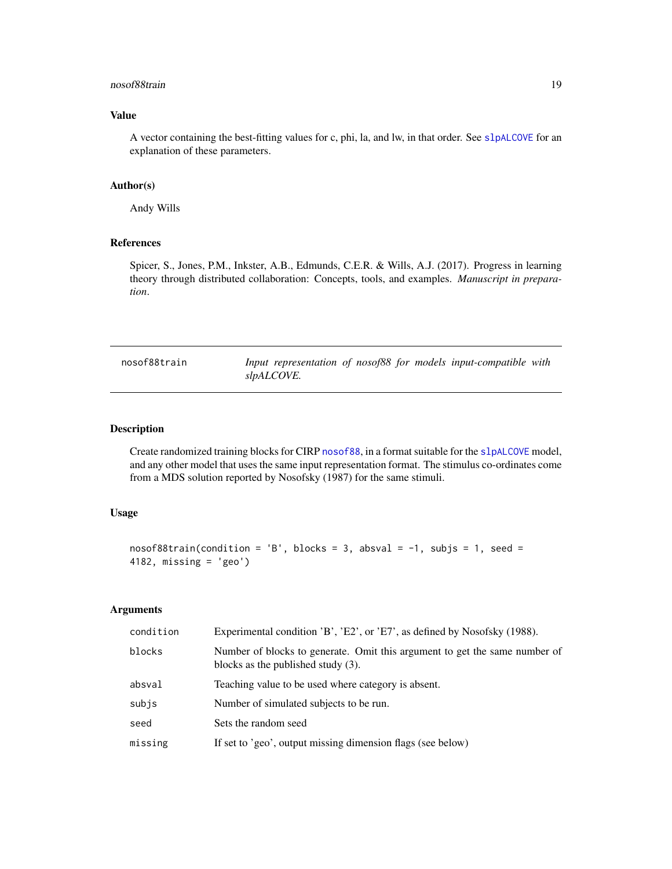#### <span id="page-18-0"></span>nosof88train 19

# Value

A vector containing the best-fitting values for c, phi, la, and lw, in that order. See [slpALCOVE](#page-39-1) for an explanation of these parameters.

#### Author(s)

Andy Wills

# References

Spicer, S., Jones, P.M., Inkster, A.B., Edmunds, C.E.R. & Wills, A.J. (2017). Progress in learning theory through distributed collaboration: Concepts, tools, and examples. *Manuscript in preparation*.

<span id="page-18-1"></span>nosof88train *Input representation of nosof88 for models input-compatible with slpALCOVE.*

### Description

Create randomized training blocks for CIRP [nosof88](#page-11-1), in a format suitable for the [slpALCOVE](#page-39-1) model, and any other model that uses the same input representation format. The stimulus co-ordinates come from a MDS solution reported by Nosofsky (1987) for the same stimuli.

# Usage

```
nosof88train(condition = 'B', blocks = 3, absval = -1, subjs = 1, seed =4182, missing = 'geo')
```
# Arguments

| condition | Experimental condition 'B', 'E2', or 'E7', as defined by Nosofsky (1988).                                           |
|-----------|---------------------------------------------------------------------------------------------------------------------|
| blocks    | Number of blocks to generate. Omit this argument to get the same number of<br>blocks as the published study $(3)$ . |
| absval    | Teaching value to be used where category is absent.                                                                 |
| subjs     | Number of simulated subjects to be run.                                                                             |
| seed      | Sets the random seed                                                                                                |
| missing   | If set to 'geo', output missing dimension flags (see below)                                                         |
|           |                                                                                                                     |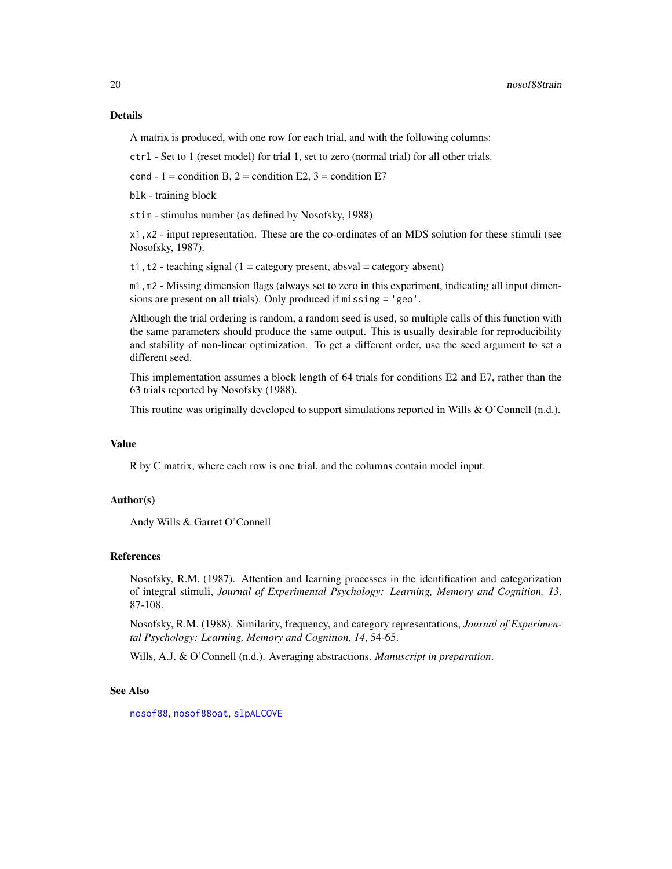#### Details

A matrix is produced, with one row for each trial, and with the following columns:

ctrl - Set to 1 (reset model) for trial 1, set to zero (normal trial) for all other trials.

cond - 1 = condition B,  $2$  = condition E2, 3 = condition E7

blk - training block

stim - stimulus number (as defined by Nosofsky, 1988)

x1,x2 - input representation. These are the co-ordinates of an MDS solution for these stimuli (see Nosofsky, 1987).

 $t1$ ,  $t2$  - teaching signal (1 = category present, absval = category absent)

m1,m2 - Missing dimension flags (always set to zero in this experiment, indicating all input dimensions are present on all trials). Only produced if missing = 'geo'.

Although the trial ordering is random, a random seed is used, so multiple calls of this function with the same parameters should produce the same output. This is usually desirable for reproducibility and stability of non-linear optimization. To get a different order, use the seed argument to set a different seed.

This implementation assumes a block length of 64 trials for conditions E2 and E7, rather than the 63 trials reported by Nosofsky (1988).

This routine was originally developed to support simulations reported in Wills & O'Connell (n.d.).

#### Value

R by C matrix, where each row is one trial, and the columns contain model input.

# Author(s)

Andy Wills & Garret O'Connell

#### References

Nosofsky, R.M. (1987). Attention and learning processes in the identification and categorization of integral stimuli, *Journal of Experimental Psychology: Learning, Memory and Cognition, 13*, 87-108.

Nosofsky, R.M. (1988). Similarity, frequency, and category representations, *Journal of Experimental Psychology: Learning, Memory and Cognition, 14*, 54-65.

Wills, A.J. & O'Connell (n.d.). Averaging abstractions. *Manuscript in preparation*.

#### See Also

[nosof88](#page-11-1), [nosof88oat](#page-15-1), [slpALCOVE](#page-39-1)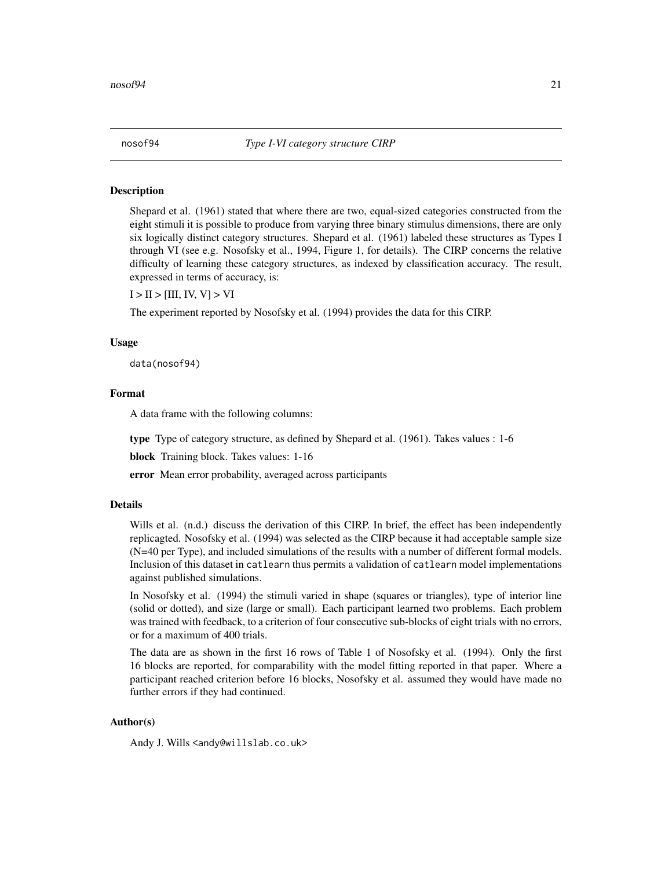<span id="page-20-1"></span><span id="page-20-0"></span>

#### Description

Shepard et al. (1961) stated that where there are two, equal-sized categories constructed from the eight stimuli it is possible to produce from varying three binary stimulus dimensions, there are only six logically distinct category structures. Shepard et al. (1961) labeled these structures as Types I through VI (see e.g. Nosofsky et al., 1994, Figure 1, for details). The CIRP concerns the relative difficulty of learning these category structures, as indexed by classification accuracy. The result, expressed in terms of accuracy, is:

 $I > II > [III, IV, V] > VI$ 

The experiment reported by Nosofsky et al. (1994) provides the data for this CIRP.

#### Usage

data(nosof94)

#### Format

A data frame with the following columns:

type Type of category structure, as defined by Shepard et al. (1961). Takes values : 1-6

block Training block. Takes values: 1-16

error Mean error probability, averaged across participants

#### Details

Wills et al. (n.d.) discuss the derivation of this CIRP. In brief, the effect has been independently replicagted. Nosofsky et al. (1994) was selected as the CIRP because it had acceptable sample size (N=40 per Type), and included simulations of the results with a number of different formal models. Inclusion of this dataset in catlearn thus permits a validation of catlearn model implementations against published simulations.

In Nosofsky et al. (1994) the stimuli varied in shape (squares or triangles), type of interior line (solid or dotted), and size (large or small). Each participant learned two problems. Each problem was trained with feedback, to a criterion of four consecutive sub-blocks of eight trials with no errors, or for a maximum of 400 trials.

The data are as shown in the first 16 rows of Table 1 of Nosofsky et al. (1994). Only the first 16 blocks are reported, for comparability with the model fitting reported in that paper. Where a participant reached criterion before 16 blocks, Nosofsky et al. assumed they would have made no further errors if they had continued.

# Author(s)

Andy J. Wills <andy@willslab.co.uk>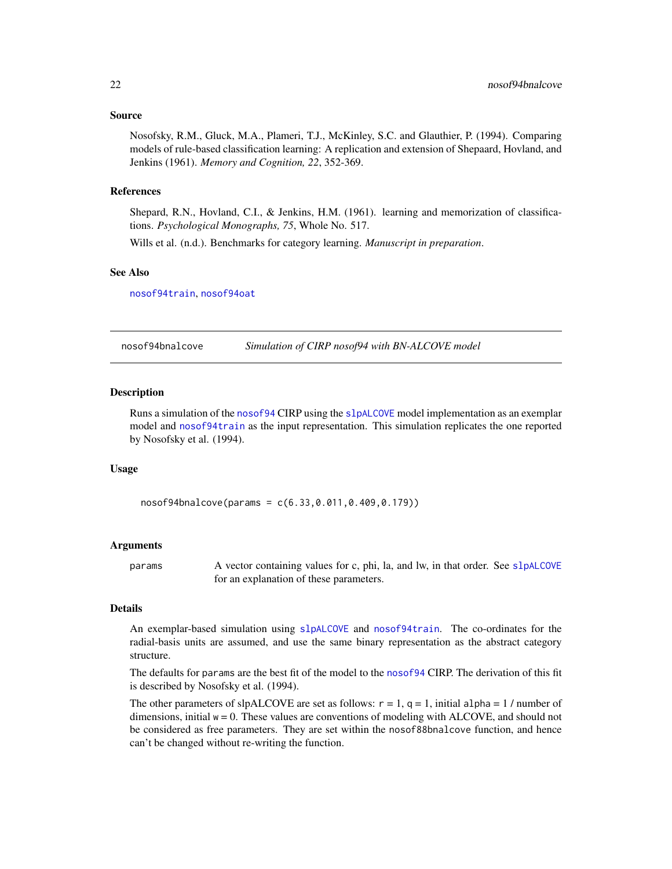#### <span id="page-21-0"></span>Source

Nosofsky, R.M., Gluck, M.A., Plameri, T.J., McKinley, S.C. and Glauthier, P. (1994). Comparing models of rule-based classification learning: A replication and extension of Shepaard, Hovland, and Jenkins (1961). *Memory and Cognition, 22*, 352-369.

#### References

Shepard, R.N., Hovland, C.I., & Jenkins, H.M. (1961). learning and memorization of classifications. *Psychological Monographs, 75*, Whole No. 517.

Wills et al. (n.d.). Benchmarks for category learning. *Manuscript in preparation*.

#### See Also

[nosof94train](#page-28-1), [nosof94oat](#page-25-1)

<span id="page-21-1"></span>nosof94bnalcove *Simulation of CIRP nosof94 with BN-ALCOVE model*

#### **Description**

Runs a simulation of the [nosof94](#page-20-1) CIRP using the [slpALCOVE](#page-39-1) model implementation as an exemplar model and [nosof94train](#page-28-1) as the input representation. This simulation replicates the one reported by Nosofsky et al. (1994).

#### Usage

nosof94bnalcove(params = c(6.33,0.011,0.409,0.179))

#### Arguments

params A vector containing values for c, phi, la, and lw, in that order. See [slpALCOVE](#page-39-1) for an explanation of these parameters.

# Details

An exemplar-based simulation using [slpALCOVE](#page-39-1) and [nosof94train](#page-28-1). The co-ordinates for the radial-basis units are assumed, and use the same binary representation as the abstract category structure.

The defaults for params are the best fit of the model to the [nosof94](#page-20-1) CIRP. The derivation of this fit is described by Nosofsky et al. (1994).

The other parameters of slpALCOVE are set as follows:  $r = 1$ ,  $q = 1$ , initial alpha = 1/ number of dimensions, initial  $w = 0$ . These values are conventions of modeling with ALCOVE, and should not be considered as free parameters. They are set within the nosof88bnalcove function, and hence can't be changed without re-writing the function.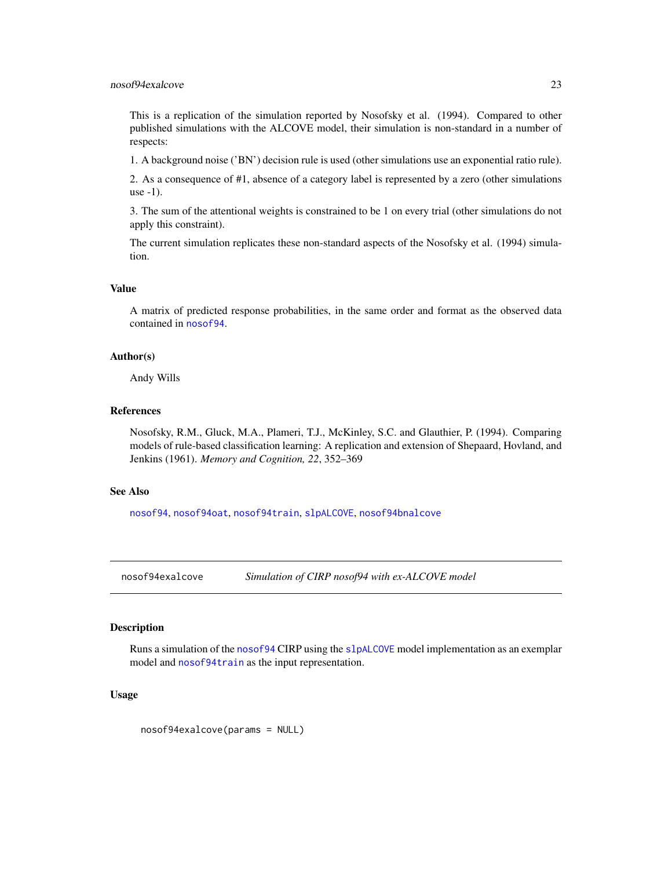<span id="page-22-0"></span>This is a replication of the simulation reported by Nosofsky et al. (1994). Compared to other published simulations with the ALCOVE model, their simulation is non-standard in a number of respects:

1. A background noise ('BN') decision rule is used (other simulations use an exponential ratio rule).

2. As a consequence of #1, absence of a category label is represented by a zero (other simulations use -1).

3. The sum of the attentional weights is constrained to be 1 on every trial (other simulations do not apply this constraint).

The current simulation replicates these non-standard aspects of the Nosofsky et al. (1994) simulation.

# Value

A matrix of predicted response probabilities, in the same order and format as the observed data contained in [nosof94](#page-20-1).

#### Author(s)

Andy Wills

#### References

Nosofsky, R.M., Gluck, M.A., Plameri, T.J., McKinley, S.C. and Glauthier, P. (1994). Comparing models of rule-based classification learning: A replication and extension of Shepaard, Hovland, and Jenkins (1961). *Memory and Cognition, 22*, 352–369

#### See Also

[nosof94](#page-20-1), [nosof94oat](#page-25-1), [nosof94train](#page-28-1), [slpALCOVE](#page-39-1), [nosof94bnalcove](#page-21-1)

<span id="page-22-1"></span>

nosof94exalcove *Simulation of CIRP nosof94 with ex-ALCOVE model*

#### Description

Runs a simulation of the [nosof94](#page-20-1) CIRP using the [slpALCOVE](#page-39-1) model implementation as an exemplar model and [nosof94train](#page-28-1) as the input representation.

#### Usage

nosof94exalcove(params = NULL)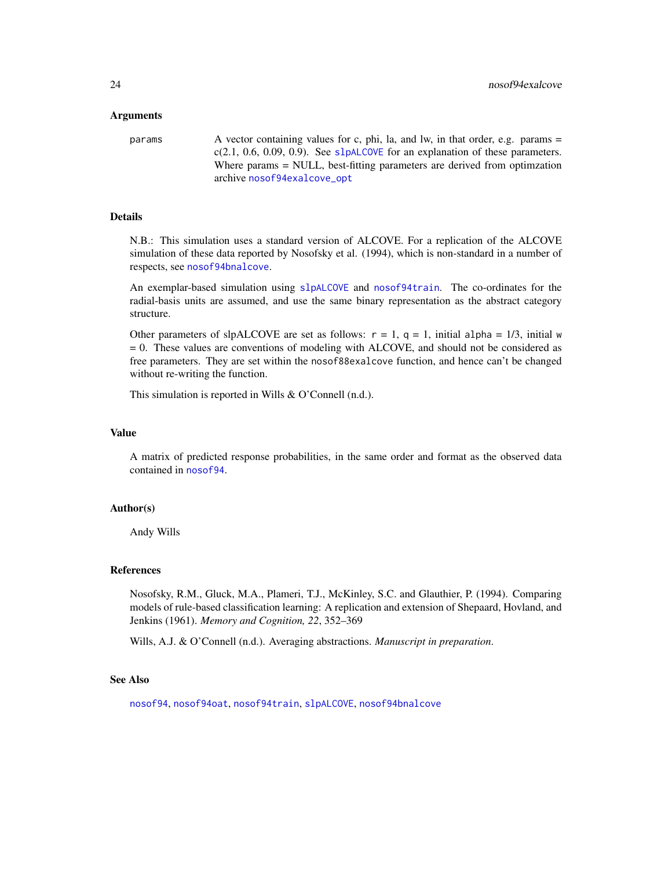#### Arguments

params A vector containing values for c, phi, la, and lw, in that order, e.g. params =  $c(2.1, 0.6, 0.09, 0.9)$ . See [slpALCOVE](#page-39-1) for an explanation of these parameters. Where params = NULL, best-fitting parameters are derived from optimization archive [nosof94exalcove\\_opt](#page-24-1)

# Details

N.B.: This simulation uses a standard version of ALCOVE. For a replication of the ALCOVE simulation of these data reported by Nosofsky et al. (1994), which is non-standard in a number of respects, see [nosof94bnalcove](#page-21-1).

An exemplar-based simulation using [slpALCOVE](#page-39-1) and [nosof94train](#page-28-1). The co-ordinates for the radial-basis units are assumed, and use the same binary representation as the abstract category structure.

Other parameters of slpALCOVE are set as follows:  $r = 1$ ,  $q = 1$ , initial alpha = 1/3, initial w = 0. These values are conventions of modeling with ALCOVE, and should not be considered as free parameters. They are set within the nosof88exalcove function, and hence can't be changed without re-writing the function.

This simulation is reported in Wills & O'Connell (n.d.).

#### Value

A matrix of predicted response probabilities, in the same order and format as the observed data contained in [nosof94](#page-20-1).

#### Author(s)

Andy Wills

#### References

Nosofsky, R.M., Gluck, M.A., Plameri, T.J., McKinley, S.C. and Glauthier, P. (1994). Comparing models of rule-based classification learning: A replication and extension of Shepaard, Hovland, and Jenkins (1961). *Memory and Cognition, 22*, 352–369

Wills, A.J. & O'Connell (n.d.). Averaging abstractions. *Manuscript in preparation*.

# See Also

[nosof94](#page-20-1), [nosof94oat](#page-25-1), [nosof94train](#page-28-1), [slpALCOVE](#page-39-1), [nosof94bnalcove](#page-21-1)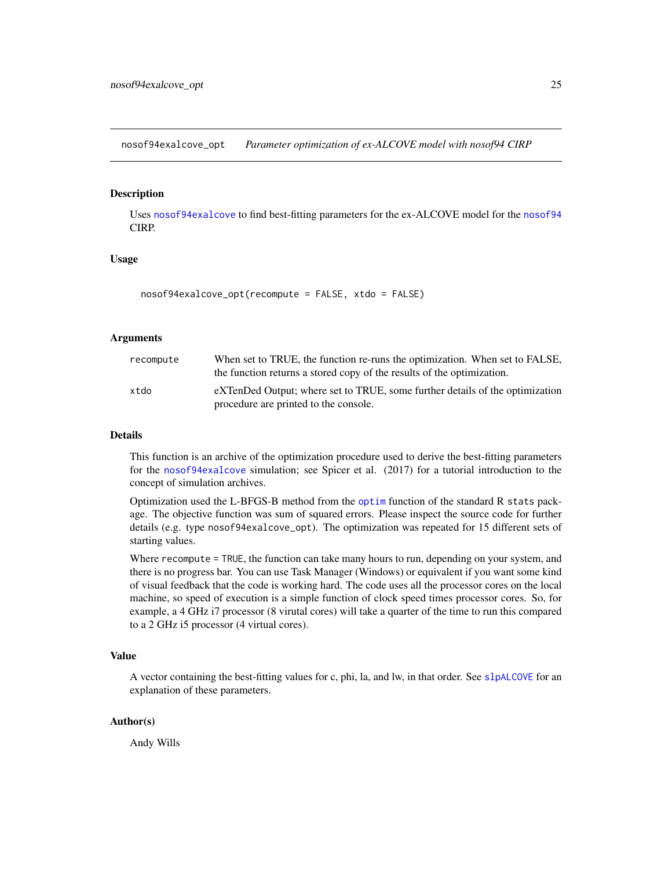<span id="page-24-1"></span><span id="page-24-0"></span>nosof94exalcove\_opt *Parameter optimization of ex-ALCOVE model with nosof94 CIRP*

# Description

Uses [nosof94exalcove](#page-22-1) to find best-fitting parameters for the ex-ALCOVE model for the [nosof94](#page-20-1) CIRP.

# Usage

```
nosof94exalcove_opt(recompute = FALSE, xtdo = FALSE)
```
#### Arguments

| recompute | When set to TRUE, the function re-runs the optimization. When set to FALSE,<br>the function returns a stored copy of the results of the optimization. |
|-----------|-------------------------------------------------------------------------------------------------------------------------------------------------------|
| xtdo      | eXTenDed Output; where set to TRUE, some further details of the optimization<br>procedure are printed to the console.                                 |

# Details

This function is an archive of the optimization procedure used to derive the best-fitting parameters for the [nosof94exalcove](#page-22-1) simulation; see Spicer et al. (2017) for a tutorial introduction to the concept of simulation archives.

Optimization used the L-BFGS-B method from the [optim](#page-0-0) function of the standard R stats package. The objective function was sum of squared errors. Please inspect the source code for further details (e.g. type nosof94exalcove\_opt). The optimization was repeated for 15 different sets of starting values.

Where recompute = TRUE, the function can take many hours to run, depending on your system, and there is no progress bar. You can use Task Manager (Windows) or equivalent if you want some kind of visual feedback that the code is working hard. The code uses all the processor cores on the local machine, so speed of execution is a simple function of clock speed times processor cores. So, for example, a 4 GHz i7 processor (8 virutal cores) will take a quarter of the time to run this compared to a 2 GHz i5 processor (4 virtual cores).

# Value

A vector containing the best-fitting values for c, phi, la, and lw, in that order. See [slpALCOVE](#page-39-1) for an explanation of these parameters.

#### Author(s)

Andy Wills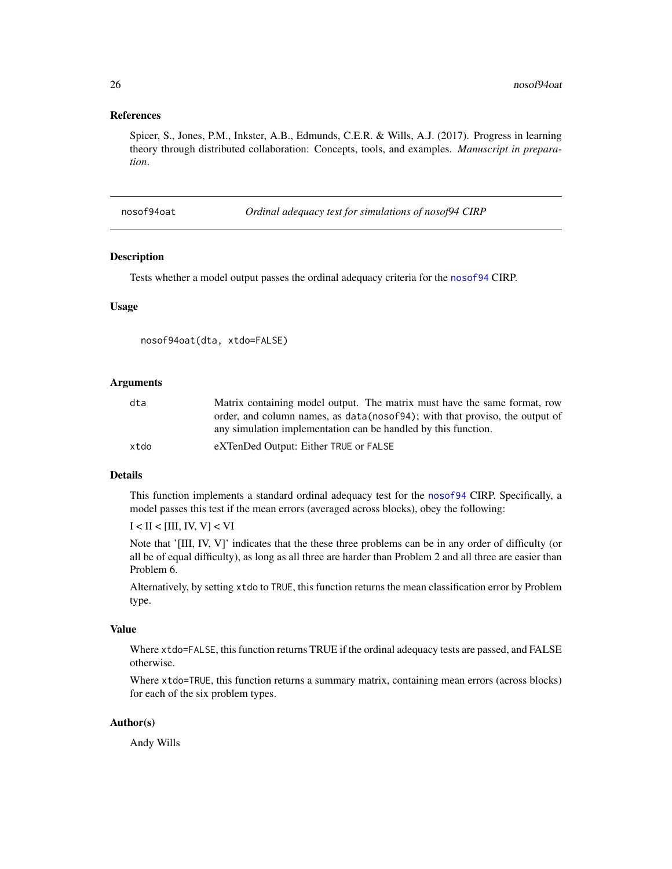# <span id="page-25-0"></span>References

Spicer, S., Jones, P.M., Inkster, A.B., Edmunds, C.E.R. & Wills, A.J. (2017). Progress in learning theory through distributed collaboration: Concepts, tools, and examples. *Manuscript in preparation*.

<span id="page-25-1"></span>nosof94oat *Ordinal adequacy test for simulations of nosof94 CIRP*

#### Description

Tests whether a model output passes the ordinal adequacy criteria for the [nosof94](#page-20-1) CIRP.

#### Usage

```
nosof94oat(dta, xtdo=FALSE)
```
#### Arguments

| dta  | Matrix containing model output. The matrix must have the same format, row    |
|------|------------------------------------------------------------------------------|
|      | order, and column names, as data (nosof94); with that proviso, the output of |
|      | any simulation implementation can be handled by this function.               |
| xtdo | eXTenDed Output: Either TRUE or FALSE                                        |

#### Details

This function implements a standard ordinal adequacy test for the [nosof94](#page-20-1) CIRP. Specifically, a model passes this test if the mean errors (averaged across blocks), obey the following:

 $I < II < [III, IV, V] < VI$ 

Note that '[III, IV, V]' indicates that the these three problems can be in any order of difficulty (or all be of equal difficulty), as long as all three are harder than Problem 2 and all three are easier than Problem 6.

Alternatively, by setting xtdo to TRUE, this function returns the mean classification error by Problem type.

#### Value

Where xtdo=FALSE, this function returns TRUE if the ordinal adequacy tests are passed, and FALSE otherwise.

Where xtdo=TRUE, this function returns a summary matrix, containing mean errors (across blocks) for each of the six problem types.

# Author(s)

Andy Wills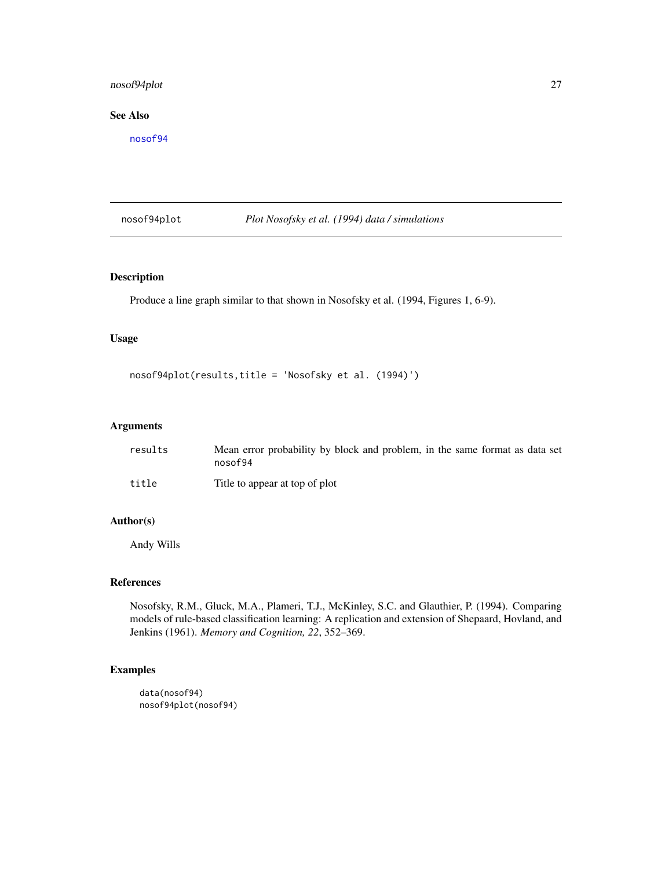# <span id="page-26-0"></span>nosof94plot 27

# See Also

[nosof94](#page-20-1)

nosof94plot *Plot Nosofsky et al. (1994) data / simulations*

# Description

Produce a line graph similar to that shown in Nosofsky et al. (1994, Figures 1, 6-9).

# Usage

```
nosof94plot(results,title = 'Nosofsky et al. (1994)')
```
#### Arguments

| results | Mean error probability by block and problem, in the same format as data set<br>nosof94 |
|---------|----------------------------------------------------------------------------------------|
| title   | Title to appear at top of plot                                                         |

# Author(s)

Andy Wills

# References

Nosofsky, R.M., Gluck, M.A., Plameri, T.J., McKinley, S.C. and Glauthier, P. (1994). Comparing models of rule-based classification learning: A replication and extension of Shepaard, Hovland, and Jenkins (1961). *Memory and Cognition, 22*, 352–369.

# Examples

```
data(nosof94)
nosof94plot(nosof94)
```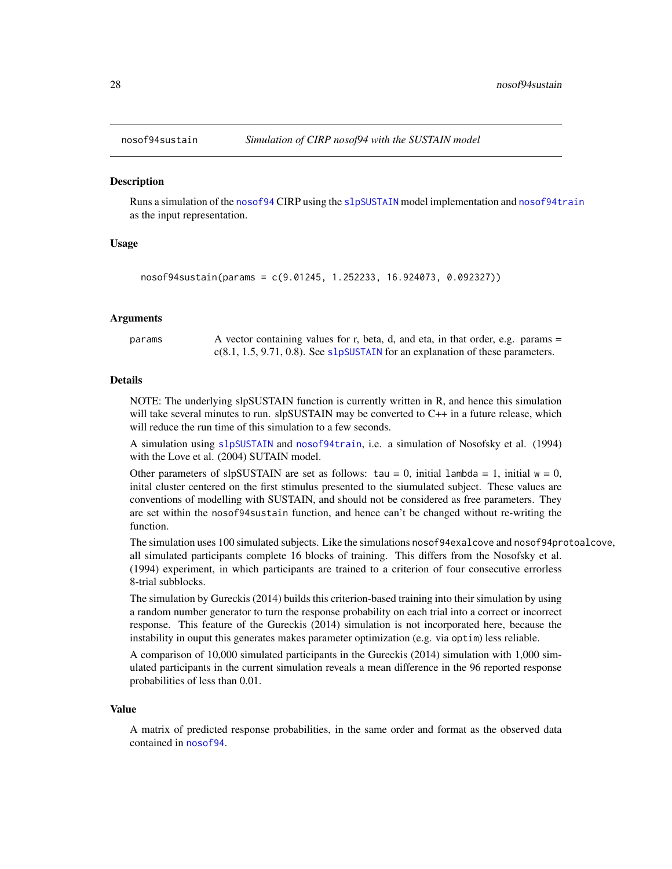<span id="page-27-0"></span>

#### Description

Runs a simulation of the [nosof94](#page-20-1) CIRP using the [slpSUSTAIN](#page-68-1) model implementation and [nosof94train](#page-28-1) as the input representation.

#### Usage

```
nosof94sustain(params = c(9.01245, 1.252233, 16.924073, 0.092327))
```
#### Arguments

params A vector containing values for r, beta, d, and eta, in that order, e.g. params = c(8.1, 1.5, 9.71, 0.8). See [slpSUSTAIN](#page-68-1) for an explanation of these parameters.

# Details

NOTE: The underlying slpSUSTAIN function is currently written in R, and hence this simulation will take several minutes to run. slpSUSTAIN may be converted to  $C_{++}$  in a future release, which will reduce the run time of this simulation to a few seconds.

A simulation using [slpSUSTAIN](#page-68-1) and [nosof94train](#page-28-1), i.e. a simulation of Nosofsky et al. (1994) with the Love et al. (2004) SUTAIN model.

Other parameters of slpSUSTAIN are set as follows: tau = 0, initial lambda = 1, initial  $w = 0$ , inital cluster centered on the first stimulus presented to the siumulated subject. These values are conventions of modelling with SUSTAIN, and should not be considered as free parameters. They are set within the nosof94sustain function, and hence can't be changed without re-writing the function.

The simulation uses 100 simulated subjects. Like the simulations nosof94exalcove and nosof94protoalcove, all simulated participants complete 16 blocks of training. This differs from the Nosofsky et al. (1994) experiment, in which participants are trained to a criterion of four consecutive errorless 8-trial subblocks.

The simulation by Gureckis (2014) builds this criterion-based training into their simulation by using a random number generator to turn the response probability on each trial into a correct or incorrect response. This feature of the Gureckis (2014) simulation is not incorporated here, because the instability in ouput this generates makes parameter optimization (e.g. via optim) less reliable.

A comparison of 10,000 simulated participants in the Gureckis (2014) simulation with 1,000 simulated participants in the current simulation reveals a mean difference in the 96 reported response probabilities of less than 0.01.

#### Value

A matrix of predicted response probabilities, in the same order and format as the observed data contained in [nosof94](#page-20-1).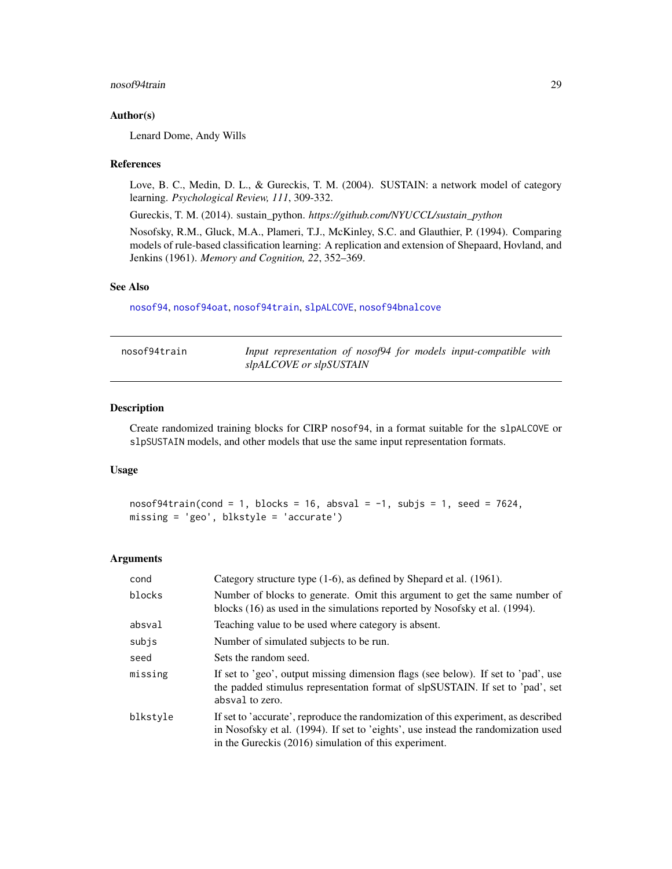#### <span id="page-28-0"></span>nosof94train 29

#### Author(s)

Lenard Dome, Andy Wills

#### References

Love, B. C., Medin, D. L., & Gureckis, T. M. (2004). SUSTAIN: a network model of category learning. *Psychological Review, 111*, 309-332.

Gureckis, T. M. (2014). sustain\_python. *https://github.com/NYUCCL/sustain\_python*

Nosofsky, R.M., Gluck, M.A., Plameri, T.J., McKinley, S.C. and Glauthier, P. (1994). Comparing models of rule-based classification learning: A replication and extension of Shepaard, Hovland, and Jenkins (1961). *Memory and Cognition, 22*, 352–369.

# See Also

[nosof94](#page-20-1), [nosof94oat](#page-25-1), [nosof94train](#page-28-1), [slpALCOVE](#page-39-1), [nosof94bnalcove](#page-21-1)

<span id="page-28-1"></span>

| nosof94train | Input representation of nosof94 for models input-compatible with |  |  |
|--------------|------------------------------------------------------------------|--|--|
|              | slpALCOVE or slpSUSTAIN                                          |  |  |

#### Description

Create randomized training blocks for CIRP nosof94, in a format suitable for the slpALCOVE or slpSUSTAIN models, and other models that use the same input representation formats.

# Usage

 $nosof94train(cond = 1, blocks = 16, absurd = -1, subjs = 1, seed = 7624,$ missing = 'geo', blkstyle = 'accurate')

#### Arguments

| cond     | Category structure type (1-6), as defined by Shepard et al. (1961).                                                                                                                                                              |
|----------|----------------------------------------------------------------------------------------------------------------------------------------------------------------------------------------------------------------------------------|
| blocks   | Number of blocks to generate. Omit this argument to get the same number of<br>blocks (16) as used in the simulations reported by Nosofsky et al. (1994).                                                                         |
| absval   | Teaching value to be used where category is absent.                                                                                                                                                                              |
| subjs    | Number of simulated subjects to be run.                                                                                                                                                                                          |
| seed     | Sets the random seed.                                                                                                                                                                                                            |
| missing  | If set to 'geo', output missing dimension flags (see below). If set to 'pad', use<br>the padded stimulus representation format of slpSUSTAIN. If set to 'pad', set<br>absval to zero.                                            |
| blkstyle | If set to 'accurate', reproduce the randomization of this experiment, as described<br>in Nosofsky et al. (1994). If set to 'eights', use instead the randomization used<br>in the Gureckis (2016) simulation of this experiment. |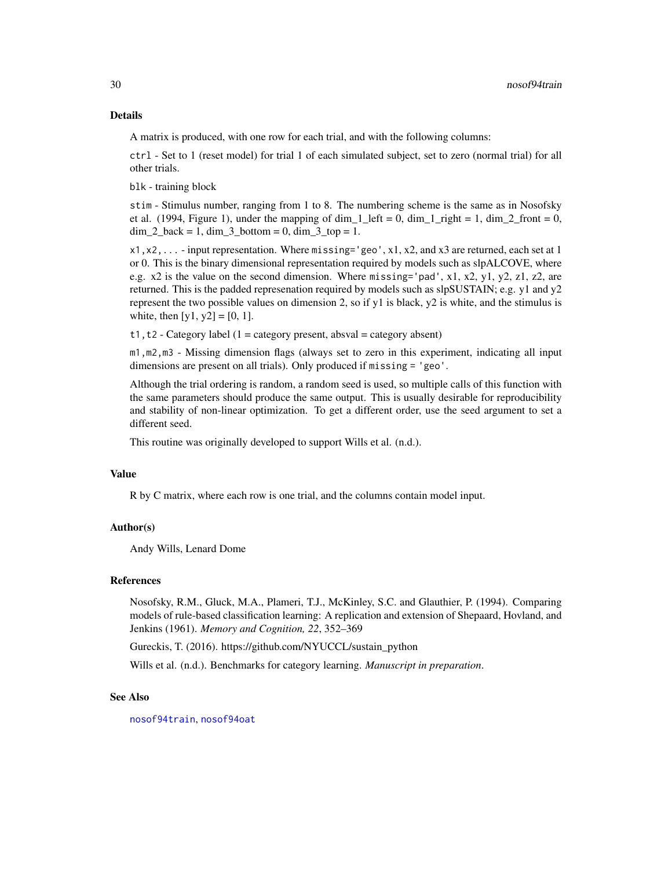#### Details

A matrix is produced, with one row for each trial, and with the following columns:

ctrl - Set to 1 (reset model) for trial 1 of each simulated subject, set to zero (normal trial) for all other trials.

blk - training block

stim - Stimulus number, ranging from 1 to 8. The numbering scheme is the same as in Nosofsky et al. (1994, Figure 1), under the mapping of dim\_1\_left = 0, dim\_1\_right = 1, dim\_2\_front = 0, dim 2 back = 1, dim 3 bottom = 0, dim 3 top = 1.

 $x1, x2, \ldots$  - input representation. Where missing='geo', x1, x2, and x3 are returned, each set at 1 or 0. This is the binary dimensional representation required by models such as slpALCOVE, where e.g.  $x^2$  is the value on the second dimension. Where missing='pad',  $x^1$ ,  $x^2$ ,  $y^1$ ,  $y^2$ ,  $z^1$ ,  $z^2$ , are returned. This is the padded represenation required by models such as slpSUSTAIN; e.g. y1 and y2 represent the two possible values on dimension 2, so if y1 is black, y2 is white, and the stimulus is white, then  $[y1, y2] = [0, 1]$ .

 $t1$ ,  $t2$  - Category label (1 = category present, absval = category absent)

m1,m2,m3 - Missing dimension flags (always set to zero in this experiment, indicating all input dimensions are present on all trials). Only produced if missing = 'geo'.

Although the trial ordering is random, a random seed is used, so multiple calls of this function with the same parameters should produce the same output. This is usually desirable for reproducibility and stability of non-linear optimization. To get a different order, use the seed argument to set a different seed.

This routine was originally developed to support Wills et al. (n.d.).

#### Value

R by C matrix, where each row is one trial, and the columns contain model input.

# Author(s)

Andy Wills, Lenard Dome

# References

Nosofsky, R.M., Gluck, M.A., Plameri, T.J., McKinley, S.C. and Glauthier, P. (1994). Comparing models of rule-based classification learning: A replication and extension of Shepaard, Hovland, and Jenkins (1961). *Memory and Cognition, 22*, 352–369

Gureckis, T. (2016). https://github.com/NYUCCL/sustain\_python

Wills et al. (n.d.). Benchmarks for category learning. *Manuscript in preparation*.

#### See Also

[nosof94train](#page-28-1), [nosof94oat](#page-25-1)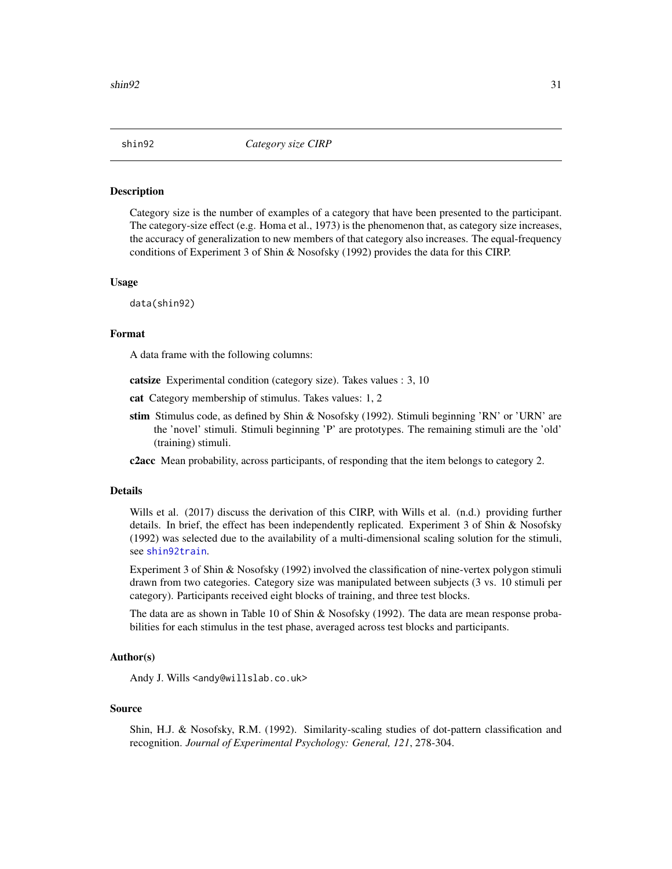<span id="page-30-1"></span><span id="page-30-0"></span>

### Description

Category size is the number of examples of a category that have been presented to the participant. The category-size effect (e.g. Homa et al., 1973) is the phenomenon that, as category size increases, the accuracy of generalization to new members of that category also increases. The equal-frequency conditions of Experiment 3 of Shin & Nosofsky (1992) provides the data for this CIRP.

#### Usage

data(shin92)

# Format

A data frame with the following columns:

catsize Experimental condition (category size). Takes values : 3, 10

cat Category membership of stimulus. Takes values: 1, 2

stim Stimulus code, as defined by Shin & Nosofsky (1992). Stimuli beginning 'RN' or 'URN' are the 'novel' stimuli. Stimuli beginning 'P' are prototypes. The remaining stimuli are the 'old' (training) stimuli.

c2acc Mean probability, across participants, of responding that the item belongs to category 2.

#### Details

Wills et al. (2017) discuss the derivation of this CIRP, with Wills et al. (n.d.) providing further details. In brief, the effect has been independently replicated. Experiment 3 of Shin & Nosofsky (1992) was selected due to the availability of a multi-dimensional scaling solution for the stimuli, see [shin92train](#page-37-1).

Experiment 3 of Shin & Nosofsky (1992) involved the classification of nine-vertex polygon stimuli drawn from two categories. Category size was manipulated between subjects (3 vs. 10 stimuli per category). Participants received eight blocks of training, and three test blocks.

The data are as shown in Table 10 of Shin & Nosofsky (1992). The data are mean response probabilities for each stimulus in the test phase, averaged across test blocks and participants.

# Author(s)

Andy J. Wills <andy@willslab.co.uk>

#### Source

Shin, H.J. & Nosofsky, R.M. (1992). Similarity-scaling studies of dot-pattern classification and recognition. *Journal of Experimental Psychology: General, 121*, 278-304.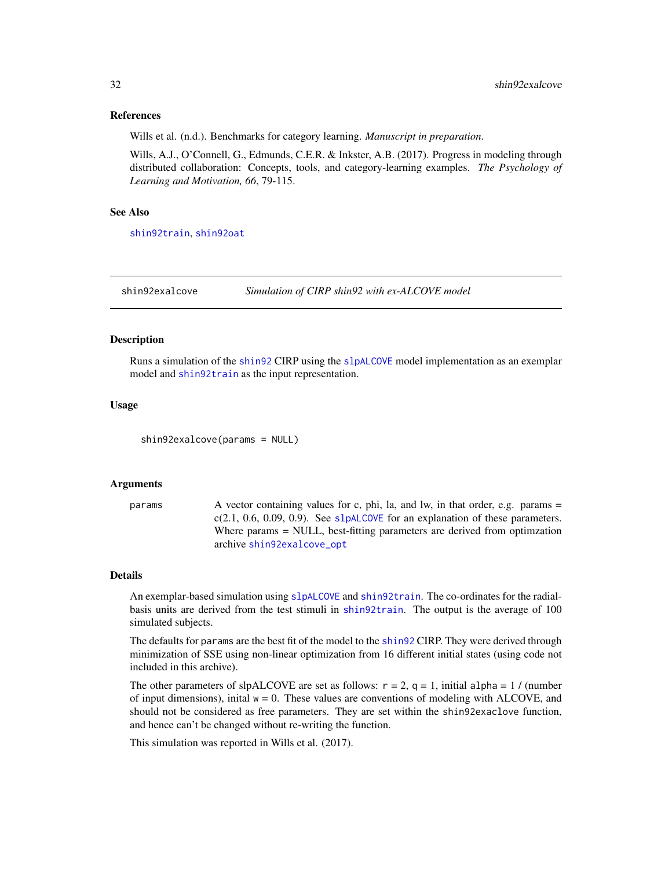#### <span id="page-31-0"></span>References

Wills et al. (n.d.). Benchmarks for category learning. *Manuscript in preparation*.

Wills, A.J., O'Connell, G., Edmunds, C.E.R. & Inkster, A.B. (2017). Progress in modeling through distributed collaboration: Concepts, tools, and category-learning examples. *The Psychology of Learning and Motivation, 66*, 79-115.

### See Also

[shin92train](#page-37-1), [shin92oat](#page-33-1)

<span id="page-31-1"></span>shin92exalcove *Simulation of CIRP shin92 with ex-ALCOVE model*

#### **Description**

Runs a simulation of the [shin92](#page-30-1) CIRP using the [slpALCOVE](#page-39-1) model implementation as an exemplar model and [shin92train](#page-37-1) as the input representation.

#### Usage

shin92exalcove(params = NULL)

#### **Arguments**

params A vector containing values for c, phi, la, and lw, in that order, e.g. params =  $c(2.1, 0.6, 0.09, 0.9)$ . See [slpALCOVE](#page-39-1) for an explanation of these parameters. Where params = NULL, best-fitting parameters are derived from optimzation archive [shin92exalcove\\_opt](#page-32-1)

# Details

An exemplar-based simulation using [slpALCOVE](#page-39-1) and [shin92train](#page-37-1). The co-ordinates for the radialbasis units are derived from the test stimuli in [shin92train](#page-37-1). The output is the average of 100 simulated subjects.

The defaults for params are the best fit of the model to the [shin92](#page-30-1) CIRP. They were derived through minimization of SSE using non-linear optimization from 16 different initial states (using code not included in this archive).

The other parameters of slpALCOVE are set as follows:  $r = 2$ ,  $q = 1$ , initial alpha = 1 / (number of input dimensions), inital  $w = 0$ . These values are conventions of modeling with ALCOVE, and should not be considered as free parameters. They are set within the shin92exaclove function, and hence can't be changed without re-writing the function.

This simulation was reported in Wills et al. (2017).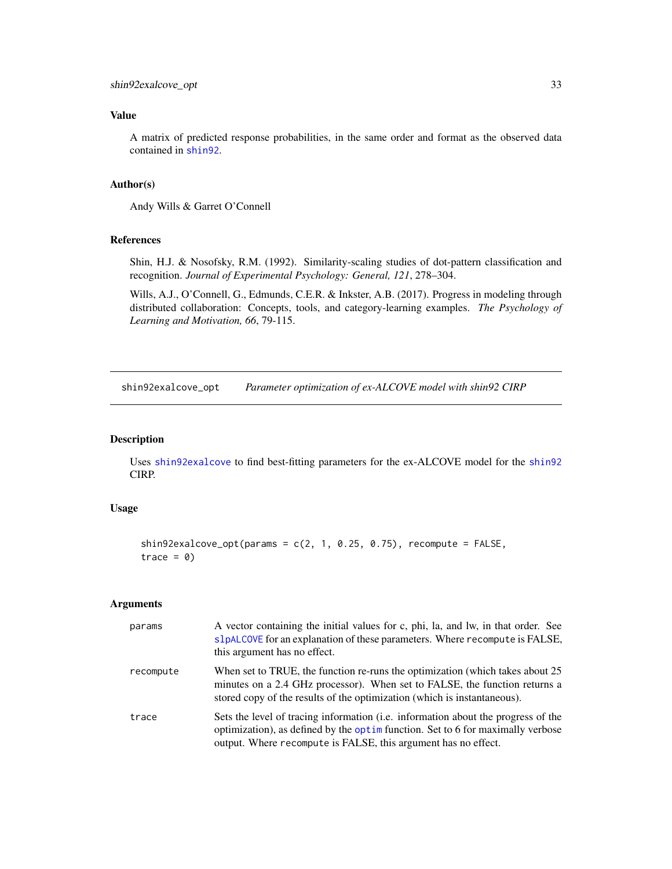# <span id="page-32-0"></span>Value

A matrix of predicted response probabilities, in the same order and format as the observed data contained in [shin92](#page-30-1).

#### Author(s)

Andy Wills & Garret O'Connell

## References

Shin, H.J. & Nosofsky, R.M. (1992). Similarity-scaling studies of dot-pattern classification and recognition. *Journal of Experimental Psychology: General, 121*, 278–304.

Wills, A.J., O'Connell, G., Edmunds, C.E.R. & Inkster, A.B. (2017). Progress in modeling through distributed collaboration: Concepts, tools, and category-learning examples. *The Psychology of Learning and Motivation, 66*, 79-115.

<span id="page-32-1"></span>shin92exalcove\_opt *Parameter optimization of ex-ALCOVE model with shin92 CIRP*

### Description

Uses [shin92exalcove](#page-31-1) to find best-fitting parameters for the ex-ALCOVE model for the [shin92](#page-30-1) CIRP.

# Usage

```
shin92exalcove_opt(params = c(2, 1, 0.25, 0.75), recompute = FALSE,
trace = \theta)
```
# Arguments

| params    | A vector containing the initial values for c, phi, la, and lw, in that order. See<br>slpALCOVE for an explanation of these parameters. Where recompute is FALSE,<br>this argument has no effect.                                        |
|-----------|-----------------------------------------------------------------------------------------------------------------------------------------------------------------------------------------------------------------------------------------|
| recompute | When set to TRUE, the function re-runs the optimization (which takes about 25<br>minutes on a 2.4 GHz processor). When set to FALSE, the function returns a<br>stored copy of the results of the optimization (which is instantaneous). |
| trace     | Sets the level of tracing information (i.e. information about the progress of the<br>optimization), as defined by the optim function. Set to 6 for maximally verbose<br>output. Where recompute is FALSE, this argument has no effect.  |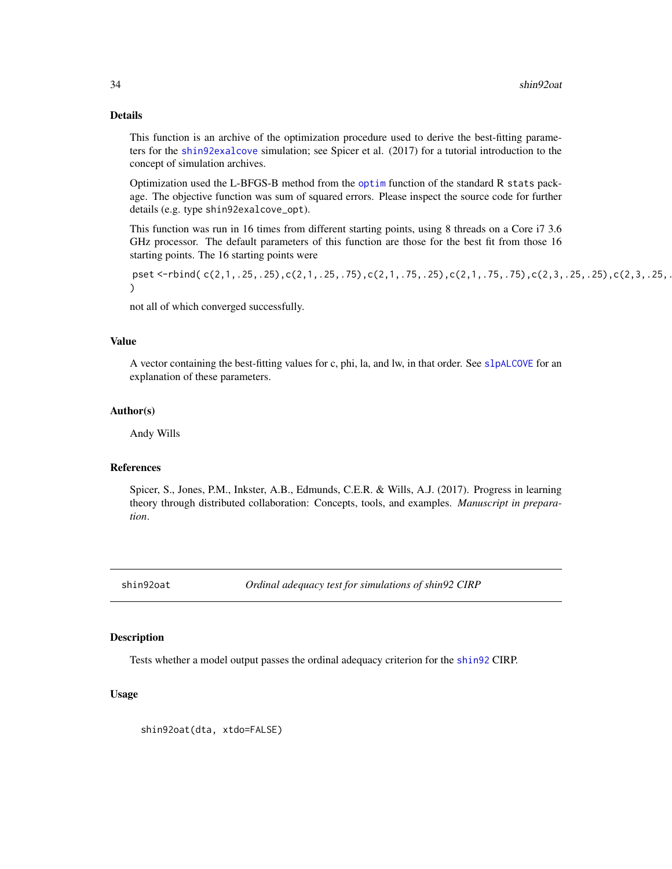# <span id="page-33-0"></span>Details

This function is an archive of the optimization procedure used to derive the best-fitting parameters for the [shin92exalcove](#page-31-1) simulation; see Spicer et al. (2017) for a tutorial introduction to the concept of simulation archives.

Optimization used the L-BFGS-B method from the [optim](#page-0-0) function of the standard R stats package. The objective function was sum of squared errors. Please inspect the source code for further details (e.g. type shin92exalcove\_opt).

This function was run in 16 times from different starting points, using 8 threads on a Core i7 3.6 GHz processor. The default parameters of this function are those for the best fit from those 16 starting points. The 16 starting points were

pset <-rbind(c(2,1,.25,.25),c(2,1,.25,.75),c(2,1,.75,.25),c(2,1,.75,.75),c(2,3,.25),c(2,3,.25,. )

not all of which converged successfully.

#### Value

A vector containing the best-fitting values for c, phi, la, and lw, in that order. See [slpALCOVE](#page-39-1) for an explanation of these parameters.

#### Author(s)

Andy Wills

#### References

Spicer, S., Jones, P.M., Inkster, A.B., Edmunds, C.E.R. & Wills, A.J. (2017). Progress in learning theory through distributed collaboration: Concepts, tools, and examples. *Manuscript in preparation*.

<span id="page-33-1"></span>shin92oat *Ordinal adequacy test for simulations of shin92 CIRP*

#### Description

Tests whether a model output passes the ordinal adequacy criterion for the [shin92](#page-30-1) CIRP.

#### Usage

shin92oat(dta, xtdo=FALSE)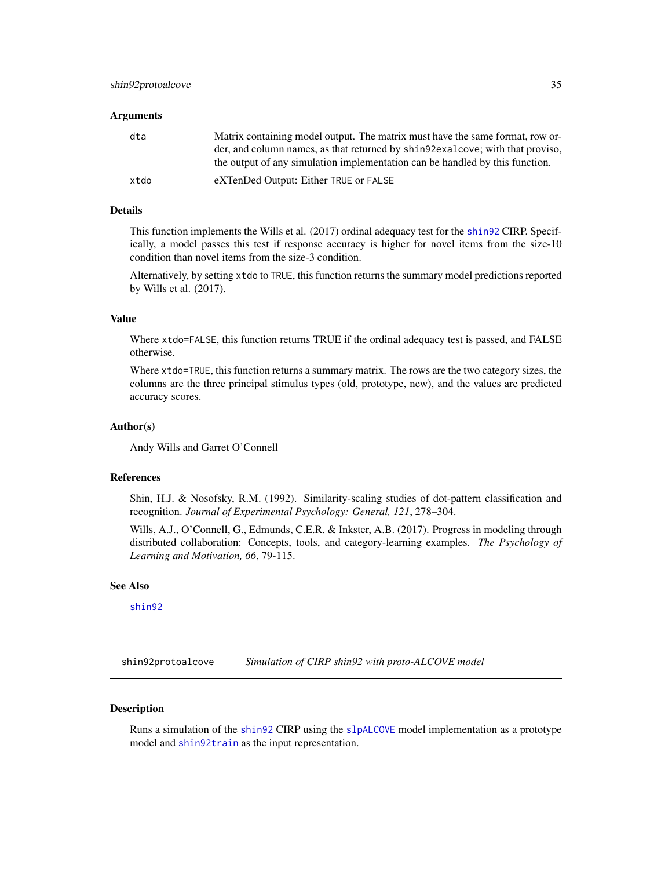#### <span id="page-34-0"></span>**Arguments**

| dta  | Matrix containing model output. The matrix must have the same format, row or-<br>der, and column names, as that returned by shing the same with that proviso, |
|------|---------------------------------------------------------------------------------------------------------------------------------------------------------------|
|      | the output of any simulation implementation can be handled by this function.                                                                                  |
| xtdo | eXTenDed Output: Either TRUE or FALSE                                                                                                                         |

#### Details

This function implements the Wills et al. (2017) ordinal adequacy test for the [shin92](#page-30-1) CIRP. Specifically, a model passes this test if response accuracy is higher for novel items from the size-10 condition than novel items from the size-3 condition.

Alternatively, by setting xtdo to TRUE, this function returns the summary model predictions reported by Wills et al. (2017).

#### Value

Where xtdo=FALSE, this function returns TRUE if the ordinal adequacy test is passed, and FALSE otherwise.

Where xtdo=TRUE, this function returns a summary matrix. The rows are the two category sizes, the columns are the three principal stimulus types (old, prototype, new), and the values are predicted accuracy scores.

#### Author(s)

Andy Wills and Garret O'Connell

#### References

Shin, H.J. & Nosofsky, R.M. (1992). Similarity-scaling studies of dot-pattern classification and recognition. *Journal of Experimental Psychology: General, 121*, 278–304.

Wills, A.J., O'Connell, G., Edmunds, C.E.R. & Inkster, A.B. (2017). Progress in modeling through distributed collaboration: Concepts, tools, and category-learning examples. *The Psychology of Learning and Motivation, 66*, 79-115.

# See Also

[shin92](#page-30-1)

shin92protoalcove *Simulation of CIRP shin92 with proto-ALCOVE model*

#### **Description**

Runs a simulation of the [shin92](#page-30-1) CIRP using the [slpALCOVE](#page-39-1) model implementation as a prototype model and [shin92train](#page-37-1) as the input representation.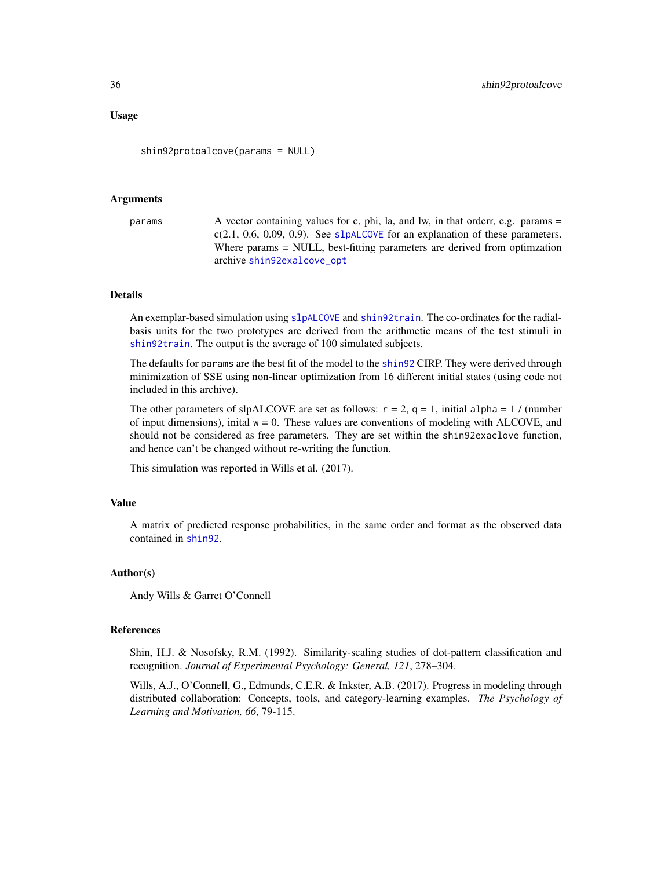# Usage

shin92protoalcove(params = NULL)

#### Arguments

```
params A vector containing values for c, phi, la, and lw, in that orderr, e.g. params =
                 c(2.1, 0.6, 0.09, 0.9)slpALCOVE for an explanation of these parameters.
                 Where params = NULL, best-fitting parameters are derived from optimzation
                 archive shin92exalcove_opt
```
#### Details

An exemplar-based simulation using [slpALCOVE](#page-39-1) and [shin92train](#page-37-1). The co-ordinates for the radialbasis units for the two prototypes are derived from the arithmetic means of the test stimuli in [shin92train](#page-37-1). The output is the average of 100 simulated subjects.

The defaults for params are the best fit of the model to the [shin92](#page-30-1) CIRP. They were derived through minimization of SSE using non-linear optimization from 16 different initial states (using code not included in this archive).

The other parameters of slpALCOVE are set as follows:  $r = 2$ ,  $q = 1$ , initial alpha = 1 / (number of input dimensions), inital  $w = 0$ . These values are conventions of modeling with ALCOVE, and should not be considered as free parameters. They are set within the shin92exaclove function, and hence can't be changed without re-writing the function.

This simulation was reported in Wills et al. (2017).

#### Value

A matrix of predicted response probabilities, in the same order and format as the observed data contained in [shin92](#page-30-1).

# Author(s)

Andy Wills & Garret O'Connell

#### References

Shin, H.J. & Nosofsky, R.M. (1992). Similarity-scaling studies of dot-pattern classification and recognition. *Journal of Experimental Psychology: General, 121*, 278–304.

Wills, A.J., O'Connell, G., Edmunds, C.E.R. & Inkster, A.B. (2017). Progress in modeling through distributed collaboration: Concepts, tools, and category-learning examples. *The Psychology of Learning and Motivation, 66*, 79-115.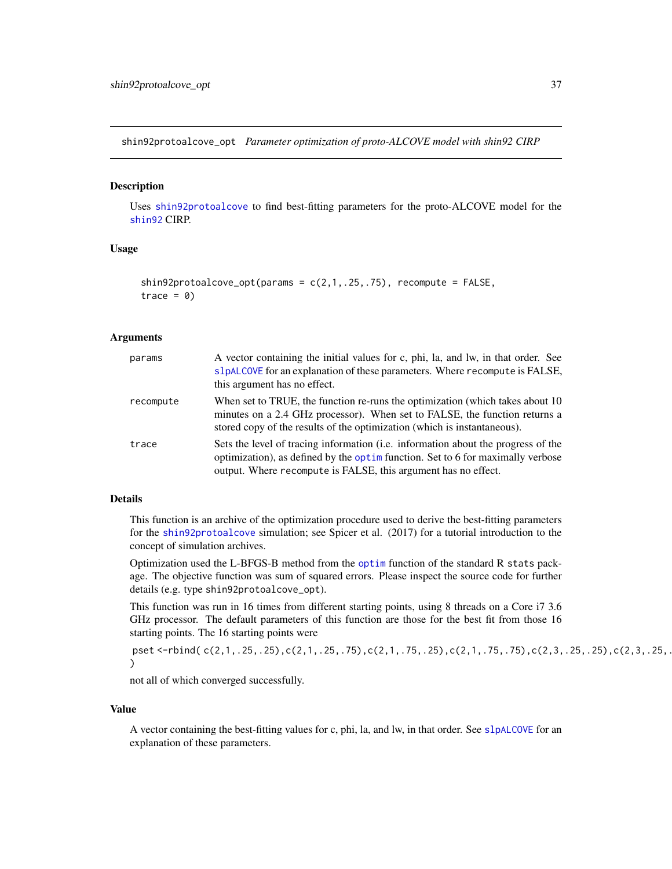shin92protoalcove\_opt *Parameter optimization of proto-ALCOVE model with shin92 CIRP*

### Description

Uses [shin92protoalcove](#page-34-0) to find best-fitting parameters for the proto-ALCOVE model for the [shin92](#page-30-0) CIRP.

# Usage

```
shin92protoalcove_opt(params = c(2,1,.25,.75), recompute = FALSE,
trace = 0
```
### Arguments

| params    | A vector containing the initial values for c, phi, la, and lw, in that order. See<br>slpALCOVE for an explanation of these parameters. Where recompute is FALSE,<br>this argument has no effect.                                         |
|-----------|------------------------------------------------------------------------------------------------------------------------------------------------------------------------------------------------------------------------------------------|
| recompute | When set to TRUE, the function re-runs the optimization (which takes about 10)<br>minutes on a 2.4 GHz processor). When set to FALSE, the function returns a<br>stored copy of the results of the optimization (which is instantaneous). |
| trace     | Sets the level of tracing information (i.e. information about the progress of the<br>optimization), as defined by the optim function. Set to 6 for maximally verbose<br>output. Where recompute is FALSE, this argument has no effect.   |

### Details

This function is an archive of the optimization procedure used to derive the best-fitting parameters for the [shin92protoalcove](#page-34-0) simulation; see Spicer et al. (2017) for a tutorial introduction to the concept of simulation archives.

Optimization used the L-BFGS-B method from the [optim](#page-0-0) function of the standard R stats package. The objective function was sum of squared errors. Please inspect the source code for further details (e.g. type shin92protoalcove\_opt).

This function was run in 16 times from different starting points, using 8 threads on a Core i7 3.6 GHz processor. The default parameters of this function are those for the best fit from those 16 starting points. The 16 starting points were

pset <-rbind(c(2,1,.25,.25),c(2,1,.25,.75),c(2,1,.75,.25),c(2,1,.75,.75),c(2,3,.25,.25),c(2,3,.25,. )

not all of which converged successfully.

#### Value

A vector containing the best-fitting values for c, phi, la, and lw, in that order. See [slpALCOVE](#page-39-0) for an explanation of these parameters.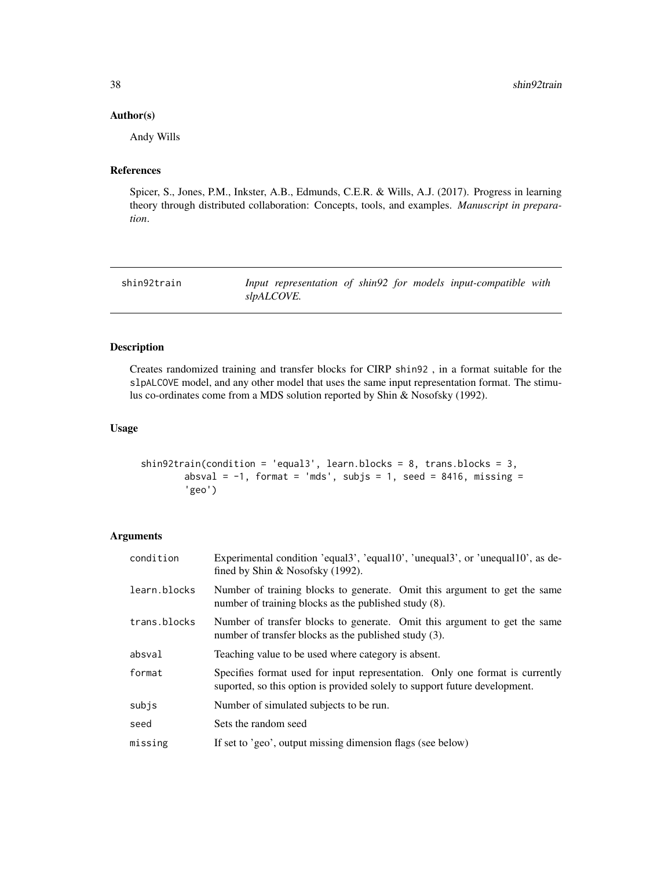# Author(s)

Andy Wills

# References

Spicer, S., Jones, P.M., Inkster, A.B., Edmunds, C.E.R. & Wills, A.J. (2017). Progress in learning theory through distributed collaboration: Concepts, tools, and examples. *Manuscript in preparation*.

| shin92train |            |  |  | Input representation of shin92 for models input-compatible with |  |
|-------------|------------|--|--|-----------------------------------------------------------------|--|
|             | slpALCOVE. |  |  |                                                                 |  |

## Description

Creates randomized training and transfer blocks for CIRP shin92 , in a format suitable for the slpALCOVE model, and any other model that uses the same input representation format. The stimulus co-ordinates come from a MDS solution reported by Shin & Nosofsky (1992).

# Usage

```
shin92train(condition = 'equal3', learn.blocks = 8, trans.blocks = 3,
       absval = -1, format = 'mds', subjs = 1, seed = 8416, missing =
        'geo')
```
# Arguments

| condition    | Experimental condition 'equal <sup>3</sup> ', 'equal10', 'unequal3', or 'unequal10', as de-<br>fined by Shin & Nosofsky $(1992)$ .                         |
|--------------|------------------------------------------------------------------------------------------------------------------------------------------------------------|
| learn.blocks | Number of training blocks to generate. Omit this argument to get the same<br>number of training blocks as the published study (8).                         |
| trans.blocks | Number of transfer blocks to generate. Omit this argument to get the same<br>number of transfer blocks as the published study (3).                         |
| absval       | Teaching value to be used where category is absent.                                                                                                        |
| format       | Specifies format used for input representation. Only one format is currently<br>suported, so this option is provided solely to support future development. |
| subjs        | Number of simulated subjects to be run.                                                                                                                    |
| seed         | Sets the random seed                                                                                                                                       |
| missing      | If set to 'geo', output missing dimension flags (see below)                                                                                                |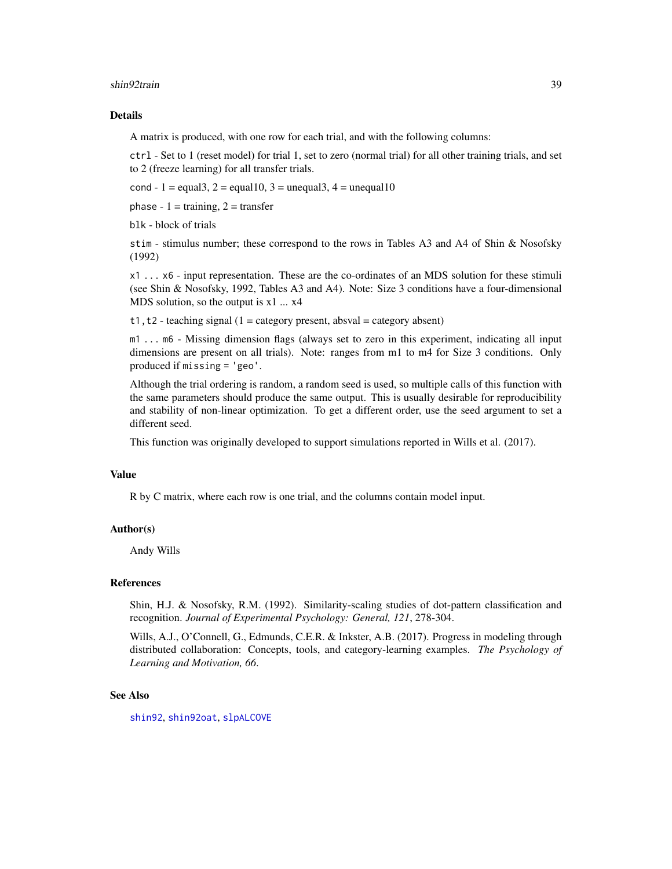#### shin92train 39

# Details

A matrix is produced, with one row for each trial, and with the following columns:

ctrl - Set to 1 (reset model) for trial 1, set to zero (normal trial) for all other training trials, and set to 2 (freeze learning) for all transfer trials.

cond - 1 = equal3, 2 = equal10, 3 = unequal3, 4 = unequal10

phase  $-1 = \text{training}, 2 = \text{transfer}$ 

blk - block of trials

stim - stimulus number; these correspond to the rows in Tables A3 and A4 of Shin & Nosofsky (1992)

x1 ... x6 - input representation. These are the co-ordinates of an MDS solution for these stimuli (see Shin & Nosofsky, 1992, Tables A3 and A4). Note: Size 3 conditions have a four-dimensional MDS solution, so the output is  $x1$  ...  $x4$ 

 $t1$ ,  $t2$  - teaching signal (1 = category present, absval = category absent)

m1 ... m6 - Missing dimension flags (always set to zero in this experiment, indicating all input dimensions are present on all trials). Note: ranges from m1 to m4 for Size 3 conditions. Only produced if missing = 'geo'.

Although the trial ordering is random, a random seed is used, so multiple calls of this function with the same parameters should produce the same output. This is usually desirable for reproducibility and stability of non-linear optimization. To get a different order, use the seed argument to set a different seed.

This function was originally developed to support simulations reported in Wills et al. (2017).

## Value

R by C matrix, where each row is one trial, and the columns contain model input.

## Author(s)

Andy Wills

#### References

Shin, H.J. & Nosofsky, R.M. (1992). Similarity-scaling studies of dot-pattern classification and recognition. *Journal of Experimental Psychology: General, 121*, 278-304.

Wills, A.J., O'Connell, G., Edmunds, C.E.R. & Inkster, A.B. (2017). Progress in modeling through distributed collaboration: Concepts, tools, and category-learning examples. *The Psychology of Learning and Motivation, 66*.

#### See Also

[shin92](#page-30-0), [shin92oat](#page-33-0), [slpALCOVE](#page-39-0)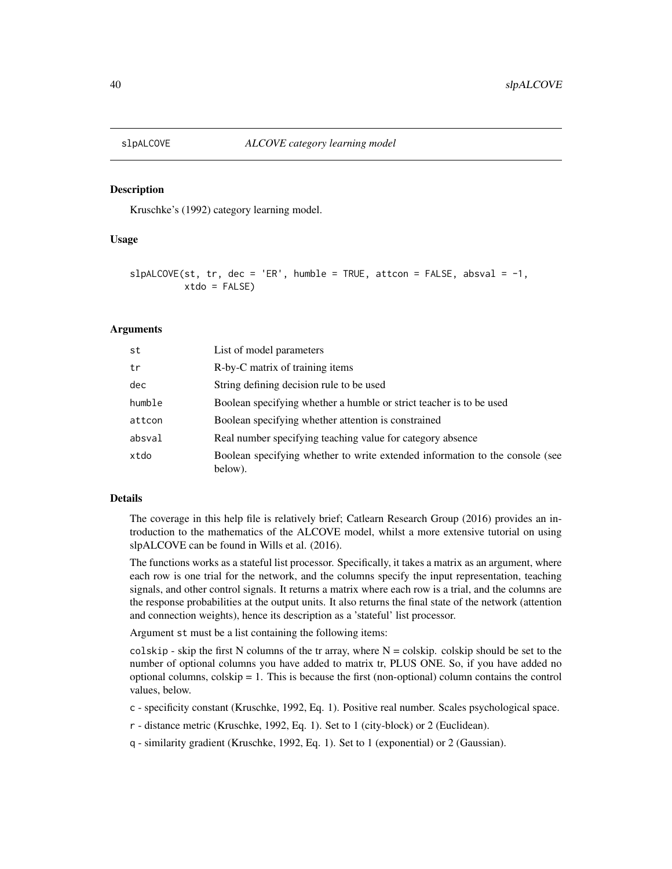<span id="page-39-0"></span>

#### **Description**

Kruschke's (1992) category learning model.

## Usage

```
slpALCOVE(st, tr, dec = 'ER', humble = TRUE, attcon = FALSE, absval = -1,xtdo = FALSE
```
#### Arguments

| st     | List of model parameters                                                                |
|--------|-----------------------------------------------------------------------------------------|
| tr     | R-by-C matrix of training items                                                         |
| dec    | String defining decision rule to be used                                                |
| humble | Boolean specifying whether a humble or strict teacher is to be used                     |
| attcon | Boolean specifying whether attention is constrained                                     |
| absval | Real number specifying teaching value for category absence                              |
| xtdo   | Boolean specifying whether to write extended information to the console (see<br>below). |

#### Details

The coverage in this help file is relatively brief; Catlearn Research Group (2016) provides an introduction to the mathematics of the ALCOVE model, whilst a more extensive tutorial on using slpALCOVE can be found in Wills et al. (2016).

The functions works as a stateful list processor. Specifically, it takes a matrix as an argument, where each row is one trial for the network, and the columns specify the input representation, teaching signals, and other control signals. It returns a matrix where each row is a trial, and the columns are the response probabilities at the output units. It also returns the final state of the network (attention and connection weights), hence its description as a 'stateful' list processor.

Argument st must be a list containing the following items:

colskip - skip the first N columns of the tr array, where  $N = \text{colskip}$ . colskip should be set to the number of optional columns you have added to matrix tr, PLUS ONE. So, if you have added no optional columns, colskip  $= 1$ . This is because the first (non-optional) column contains the control values, below.

c - specificity constant (Kruschke, 1992, Eq. 1). Positive real number. Scales psychological space.

r - distance metric (Kruschke, 1992, Eq. 1). Set to 1 (city-block) or 2 (Euclidean).

q - similarity gradient (Kruschke, 1992, Eq. 1). Set to 1 (exponential) or 2 (Gaussian).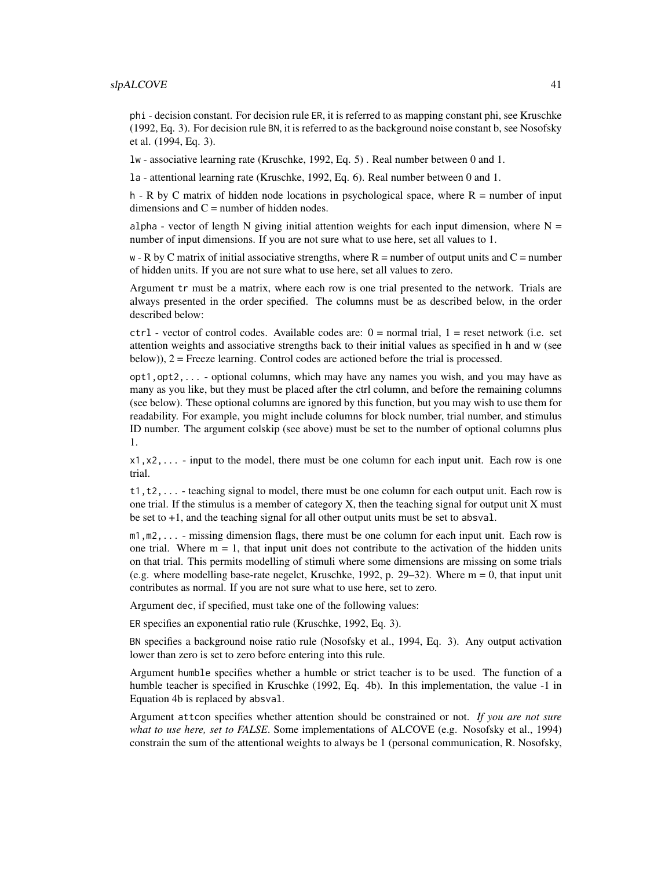#### $slpALCOVE$  41

phi - decision constant. For decision rule ER, it is referred to as mapping constant phi, see Kruschke (1992, Eq. 3). For decision rule BN, it is referred to as the background noise constant b, see Nosofsky et al. (1994, Eq. 3).

lw - associative learning rate (Kruschke, 1992, Eq. 5) . Real number between 0 and 1.

la - attentional learning rate (Kruschke, 1992, Eq. 6). Real number between 0 and 1.

h - R by C matrix of hidden node locations in psychological space, where  $R =$  number of input dimensions and  $C =$  number of hidden nodes.

alpha - vector of length N giving initial attention weights for each input dimension, where  $N =$ number of input dimensions. If you are not sure what to use here, set all values to 1.

 $w$  - R by C matrix of initial associative strengths, where R = number of output units and C = number of hidden units. If you are not sure what to use here, set all values to zero.

Argument tr must be a matrix, where each row is one trial presented to the network. Trials are always presented in the order specified. The columns must be as described below, in the order described below:

 $ctrl - vector$  of control codes. Available codes are:  $0 = normal trial$ ,  $1 = reset$  network (i.e. set attention weights and associative strengths back to their initial values as specified in h and w (see below)), 2 = Freeze learning. Control codes are actioned before the trial is processed.

opt1,opt2,... - optional columns, which may have any names you wish, and you may have as many as you like, but they must be placed after the ctrl column, and before the remaining columns (see below). These optional columns are ignored by this function, but you may wish to use them for readability. For example, you might include columns for block number, trial number, and stimulus ID number. The argument colskip (see above) must be set to the number of optional columns plus 1.

 $x_1, x_2, \ldots$  - input to the model, there must be one column for each input unit. Each row is one trial.

 $t1, t2, \ldots$  - teaching signal to model, there must be one column for each output unit. Each row is one trial. If the stimulus is a member of category  $X$ , then the teaching signal for output unit  $X$  must be set to +1, and the teaching signal for all other output units must be set to absval.

 $m1, m2, \ldots$  - missing dimension flags, there must be one column for each input unit. Each row is one trial. Where  $m = 1$ , that input unit does not contribute to the activation of the hidden units on that trial. This permits modelling of stimuli where some dimensions are missing on some trials (e.g. where modelling base-rate negelct, Kruschke, 1992, p. 29–32). Where m = 0, that input unit contributes as normal. If you are not sure what to use here, set to zero.

Argument dec, if specified, must take one of the following values:

ER specifies an exponential ratio rule (Kruschke, 1992, Eq. 3).

BN specifies a background noise ratio rule (Nosofsky et al., 1994, Eq. 3). Any output activation lower than zero is set to zero before entering into this rule.

Argument humble specifies whether a humble or strict teacher is to be used. The function of a humble teacher is specified in Kruschke (1992, Eq. 4b). In this implementation, the value -1 in Equation 4b is replaced by absval.

Argument attcon specifies whether attention should be constrained or not. *If you are not sure what to use here, set to FALSE*. Some implementations of ALCOVE (e.g. Nosofsky et al., 1994) constrain the sum of the attentional weights to always be 1 (personal communication, R. Nosofsky,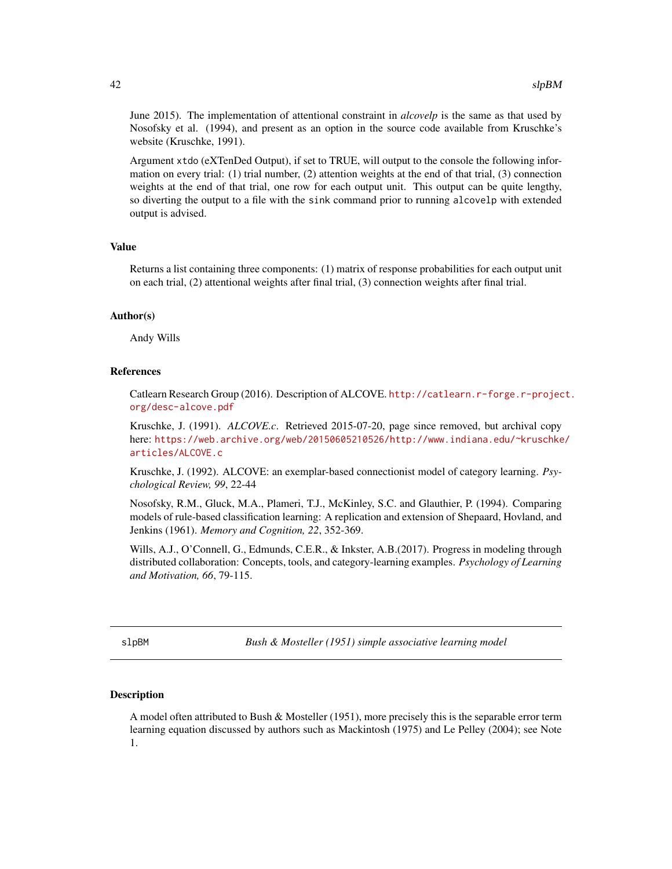June 2015). The implementation of attentional constraint in *alcovelp* is the same as that used by Nosofsky et al. (1994), and present as an option in the source code available from Kruschke's website (Kruschke, 1991).

Argument xtdo (eXTenDed Output), if set to TRUE, will output to the console the following information on every trial: (1) trial number, (2) attention weights at the end of that trial, (3) connection weights at the end of that trial, one row for each output unit. This output can be quite lengthy, so diverting the output to a file with the sink command prior to running alcovelp with extended output is advised.

# Value

Returns a list containing three components: (1) matrix of response probabilities for each output unit on each trial, (2) attentional weights after final trial, (3) connection weights after final trial.

## Author(s)

Andy Wills

## References

Catlearn Research Group (2016). Description of ALCOVE. [http://catlearn.r-forge.r-projec](http://catlearn.r-forge.r-project.org/desc-alcove.pdf)t. [org/desc-alcove.pdf](http://catlearn.r-forge.r-project.org/desc-alcove.pdf)

Kruschke, J. (1991). *ALCOVE.c*. Retrieved 2015-07-20, page since removed, but archival copy here: [https://web.archive.org/web/20150605210526/http://www.indiana.edu/~kruschke](https://web.archive.org/web/20150605210526/http://www.indiana.edu/~kruschke/articles/ALCOVE.c)/ [articles/ALCOVE.c](https://web.archive.org/web/20150605210526/http://www.indiana.edu/~kruschke/articles/ALCOVE.c)

Kruschke, J. (1992). ALCOVE: an exemplar-based connectionist model of category learning. *Psychological Review, 99*, 22-44

Nosofsky, R.M., Gluck, M.A., Plameri, T.J., McKinley, S.C. and Glauthier, P. (1994). Comparing models of rule-based classification learning: A replication and extension of Shepaard, Hovland, and Jenkins (1961). *Memory and Cognition, 22*, 352-369.

Wills, A.J., O'Connell, G., Edmunds, C.E.R., & Inkster, A.B.(2017). Progress in modeling through distributed collaboration: Concepts, tools, and category-learning examples. *Psychology of Learning and Motivation, 66*, 79-115.

slpBM *Bush & Mosteller (1951) simple associative learning model*

## Description

A model often attributed to Bush & Mosteller (1951), more precisely this is the separable error term learning equation discussed by authors such as Mackintosh (1975) and Le Pelley (2004); see Note 1.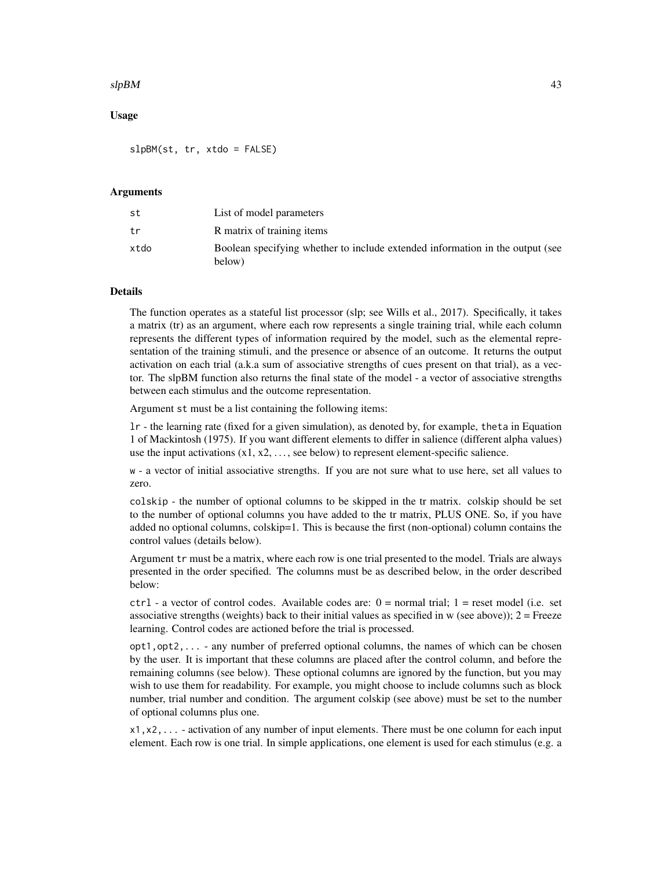### $slpBM$  43

# Usage

slpBM(st, tr, xtdo = FALSE)

### Arguments

| st   | List of model parameters                                                                |
|------|-----------------------------------------------------------------------------------------|
| tr   | R matrix of training items                                                              |
| xtdo | Boolean specifying whether to include extended information in the output (see<br>below) |

# Details

The function operates as a stateful list processor (slp; see Wills et al., 2017). Specifically, it takes a matrix (tr) as an argument, where each row represents a single training trial, while each column represents the different types of information required by the model, such as the elemental representation of the training stimuli, and the presence or absence of an outcome. It returns the output activation on each trial (a.k.a sum of associative strengths of cues present on that trial), as a vector. The slpBM function also returns the final state of the model - a vector of associative strengths between each stimulus and the outcome representation.

Argument st must be a list containing the following items:

lr - the learning rate (fixed for a given simulation), as denoted by, for example, theta in Equation 1 of Mackintosh (1975). If you want different elements to differ in salience (different alpha values) use the input activations  $(x1, x2, \ldots)$ , see below) to represent element-specific salience.

w - a vector of initial associative strengths. If you are not sure what to use here, set all values to zero.

colskip - the number of optional columns to be skipped in the tr matrix. colskip should be set to the number of optional columns you have added to the tr matrix, PLUS ONE. So, if you have added no optional columns, colskip=1. This is because the first (non-optional) column contains the control values (details below).

Argument tr must be a matrix, where each row is one trial presented to the model. Trials are always presented in the order specified. The columns must be as described below, in the order described below:

 $ctrl - a$  vector of control codes. Available codes are:  $0 = normal trial$ ;  $1 = reset model$  (i.e. set associative strengths (weights) back to their initial values as specified in  $w$  (see above));  $2 =$  Freeze learning. Control codes are actioned before the trial is processed.

opt1,opt2,... - any number of preferred optional columns, the names of which can be chosen by the user. It is important that these columns are placed after the control column, and before the remaining columns (see below). These optional columns are ignored by the function, but you may wish to use them for readability. For example, you might choose to include columns such as block number, trial number and condition. The argument colskip (see above) must be set to the number of optional columns plus one.

x1,x2,... - activation of any number of input elements. There must be one column for each input element. Each row is one trial. In simple applications, one element is used for each stimulus (e.g. a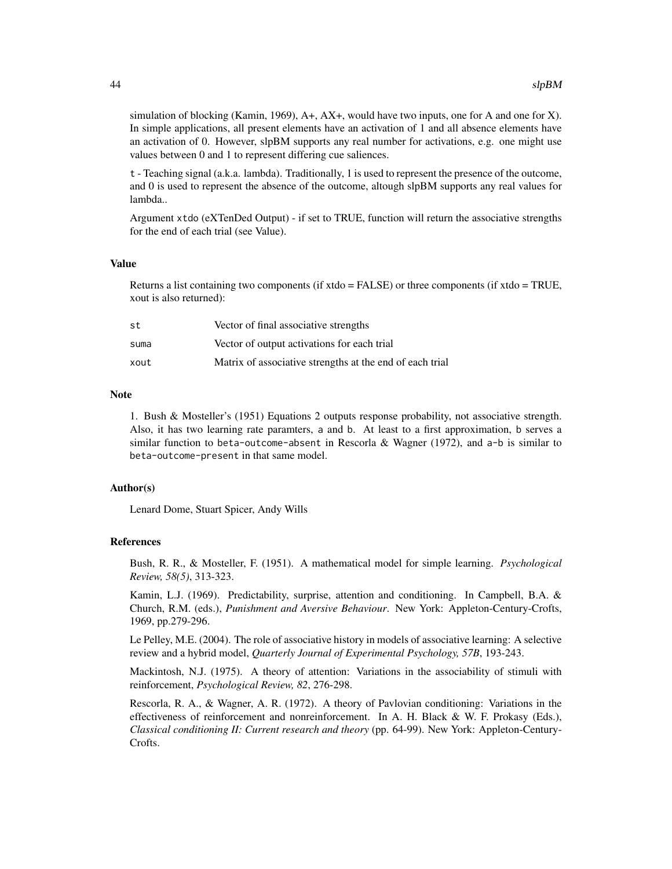simulation of blocking (Kamin, 1969),  $A+$ ,  $AX+$ , would have two inputs, one for A and one for X). In simple applications, all present elements have an activation of 1 and all absence elements have an activation of 0. However, slpBM supports any real number for activations, e.g. one might use values between 0 and 1 to represent differing cue saliences.

t - Teaching signal (a.k.a. lambda). Traditionally, 1 is used to represent the presence of the outcome, and 0 is used to represent the absence of the outcome, altough slpBM supports any real values for lambda..

Argument xtdo (eXTenDed Output) - if set to TRUE, function will return the associative strengths for the end of each trial (see Value).

#### Value

Returns a list containing two components (if  $xtdo = FALSE$ ) or three components (if  $xtdo = TRUE$ , xout is also returned):

| st   | Vector of final associative strengths                    |
|------|----------------------------------------------------------|
| suma | Vector of output activations for each trial              |
| xout | Matrix of associative strengths at the end of each trial |

#### **Note**

1. Bush & Mosteller's (1951) Equations 2 outputs response probability, not associative strength. Also, it has two learning rate paramters, a and b. At least to a first approximation, b serves a similar function to beta-outcome-absent in Rescorla & Wagner (1972), and  $a-b$  is similar to beta-outcome-present in that same model.

# Author(s)

Lenard Dome, Stuart Spicer, Andy Wills

### References

Bush, R. R., & Mosteller, F. (1951). A mathematical model for simple learning. *Psychological Review, 58(5)*, 313-323.

Kamin, L.J. (1969). Predictability, surprise, attention and conditioning. In Campbell, B.A. & Church, R.M. (eds.), *Punishment and Aversive Behaviour*. New York: Appleton-Century-Crofts, 1969, pp.279-296.

Le Pelley, M.E. (2004). The role of associative history in models of associative learning: A selective review and a hybrid model, *Quarterly Journal of Experimental Psychology, 57B*, 193-243.

Mackintosh, N.J. (1975). A theory of attention: Variations in the associability of stimuli with reinforcement, *Psychological Review, 82*, 276-298.

Rescorla, R. A., & Wagner, A. R. (1972). A theory of Pavlovian conditioning: Variations in the effectiveness of reinforcement and nonreinforcement. In A. H. Black & W. F. Prokasy (Eds.), *Classical conditioning II: Current research and theory* (pp. 64-99). New York: Appleton-Century-Crofts.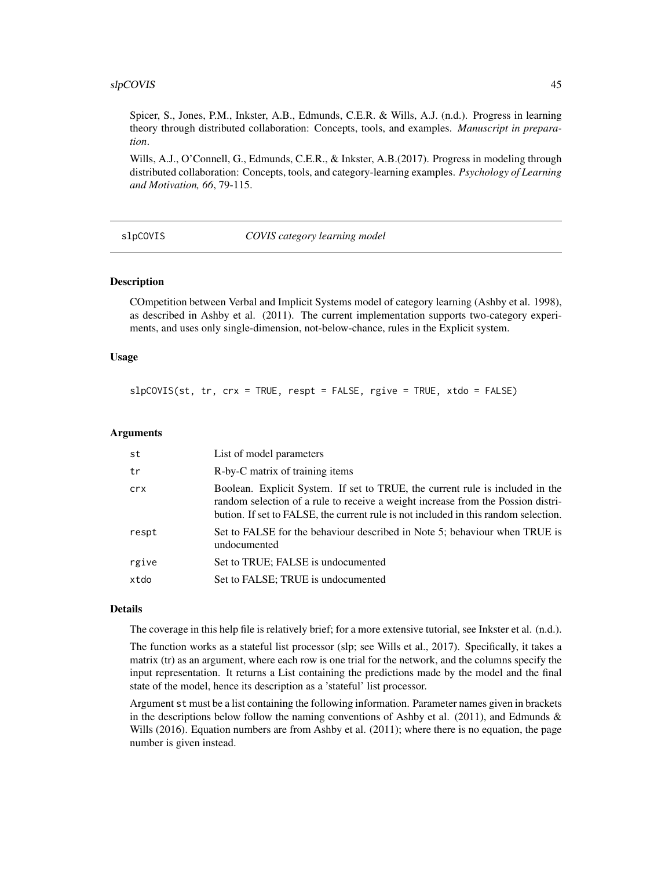Spicer, S., Jones, P.M., Inkster, A.B., Edmunds, C.E.R. & Wills, A.J. (n.d.). Progress in learning theory through distributed collaboration: Concepts, tools, and examples. *Manuscript in preparation*.

Wills, A.J., O'Connell, G., Edmunds, C.E.R., & Inkster, A.B.(2017). Progress in modeling through distributed collaboration: Concepts, tools, and category-learning examples. *Psychology of Learning and Motivation, 66*, 79-115.

slpCOVIS *COVIS category learning model*

### Description

COmpetition between Verbal and Implicit Systems model of category learning (Ashby et al. 1998), as described in Ashby et al. (2011). The current implementation supports two-category experiments, and uses only single-dimension, not-below-chance, rules in the Explicit system.

### Usage

slpCOVIS(st, tr, crx = TRUE, respt = FALSE, rgive = TRUE, xtdo = FALSE)

#### Arguments

| st    | List of model parameters                                                                                                                                                                                                                                 |
|-------|----------------------------------------------------------------------------------------------------------------------------------------------------------------------------------------------------------------------------------------------------------|
| tr    | R-by-C matrix of training items                                                                                                                                                                                                                          |
| crx   | Boolean. Explicit System. If set to TRUE, the current rule is included in the<br>random selection of a rule to receive a weight increase from the Possion distri-<br>bution. If set to FALSE, the current rule is not included in this random selection. |
| respt | Set to FALSE for the behaviour described in Note 5; behaviour when TRUE is<br>undocumented                                                                                                                                                               |
| rgive | Set to TRUE; FALSE is undocumented                                                                                                                                                                                                                       |
| xtdo  | Set to FALSE; TRUE is undocumented                                                                                                                                                                                                                       |

# Details

The coverage in this help file is relatively brief; for a more extensive tutorial, see Inkster et al. (n.d.).

The function works as a stateful list processor (slp; see Wills et al., 2017). Specifically, it takes a matrix (tr) as an argument, where each row is one trial for the network, and the columns specify the input representation. It returns a List containing the predictions made by the model and the final state of the model, hence its description as a 'stateful' list processor.

Argument st must be a list containing the following information. Parameter names given in brackets in the descriptions below follow the naming conventions of Ashby et al. (2011), and Edmunds  $\&$ Wills (2016). Equation numbers are from Ashby et al. (2011); where there is no equation, the page number is given instead.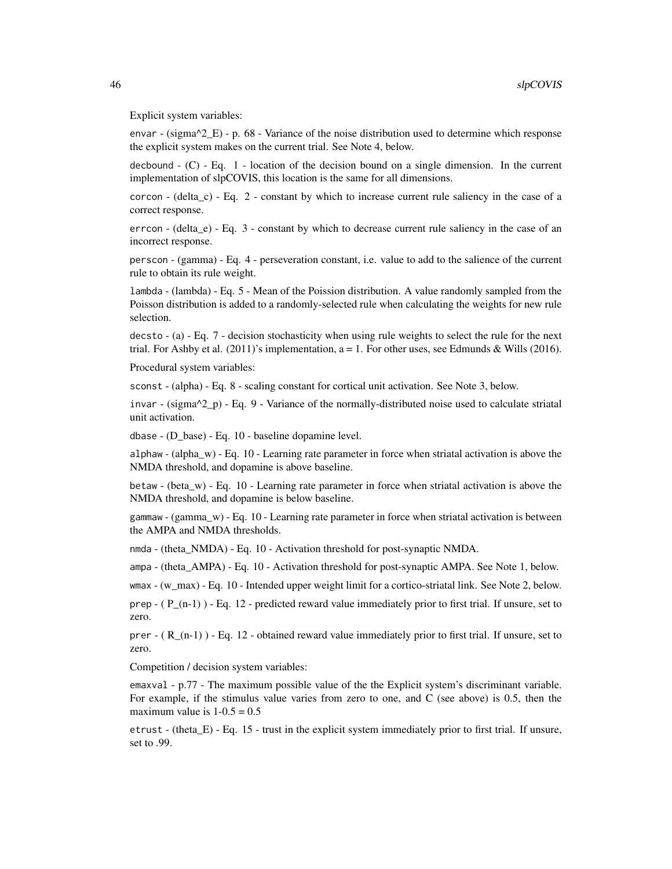Explicit system variables:

envar - (sigma^2  $E$ ) - p. 68 - Variance of the noise distribution used to determine which response the explicit system makes on the current trial. See Note 4, below.

decbound  $-$  (C)  $-$  Eq. 1  $-$  location of the decision bound on a single dimension. In the current implementation of slpCOVIS, this location is the same for all dimensions.

corcon -  $(delta_c)$  - Eq. 2 - constant by which to increase current rule saliency in the case of a correct response.

errcon - (delta\_e) - Eq. 3 - constant by which to decrease current rule saliency in the case of an incorrect response.

perscon - (gamma) - Eq. 4 - perseveration constant, i.e. value to add to the salience of the current rule to obtain its rule weight.

lambda - (lambda) - Eq. 5 - Mean of the Poission distribution. A value randomly sampled from the Poisson distribution is added to a randomly-selected rule when calculating the weights for new rule selection.

decsto - (a) - Eq. 7 - decision stochasticity when using rule weights to select the rule for the next trial. For Ashby et al.  $(2011)$ 's implementation,  $a = 1$ . For other uses, see Edmunds & Wills  $(2016)$ .

Procedural system variables:

sconst - (alpha) - Eq. 8 - scaling constant for cortical unit activation. See Note 3, below.

invar - (sigma^2\_p) - Eq. 9 - Variance of the normally-distributed noise used to calculate striatal unit activation.

dbase - (D\_base) - Eq. 10 - baseline dopamine level.

alphaw - (alpha  $w$ ) - Eq. 10 - Learning rate parameter in force when striatal activation is above the NMDA threshold, and dopamine is above baseline.

betaw - (beta\_w) - Eq. 10 - Learning rate parameter in force when striatal activation is above the NMDA threshold, and dopamine is below baseline.

gammaw - (gamma\_w) - Eq. 10 - Learning rate parameter in force when striatal activation is between the AMPA and NMDA thresholds.

nmda - (theta\_NMDA) - Eq. 10 - Activation threshold for post-synaptic NMDA.

ampa - (theta\_AMPA) - Eq. 10 - Activation threshold for post-synaptic AMPA. See Note 1, below.

wmax - (w\_max) - Eq. 10 - Intended upper weight limit for a cortico-striatal link. See Note 2, below.

prep  $-$  ( $P_{n-1}$ ) - Eq. 12 - predicted reward value immediately prior to first trial. If unsure, set to zero.

prer  $-$  ( $R(n-1)$ ) - Eq. 12 - obtained reward value immediately prior to first trial. If unsure, set to zero.

Competition / decision system variables:

emaxval - p.77 - The maximum possible value of the the Explicit system's discriminant variable. For example, if the stimulus value varies from zero to one, and C (see above) is 0.5, then the maximum value is  $1-0.5 = 0.5$ 

etrust - (theta\_E) - Eq. 15 - trust in the explicit system immediately prior to first trial. If unsure, set to .99.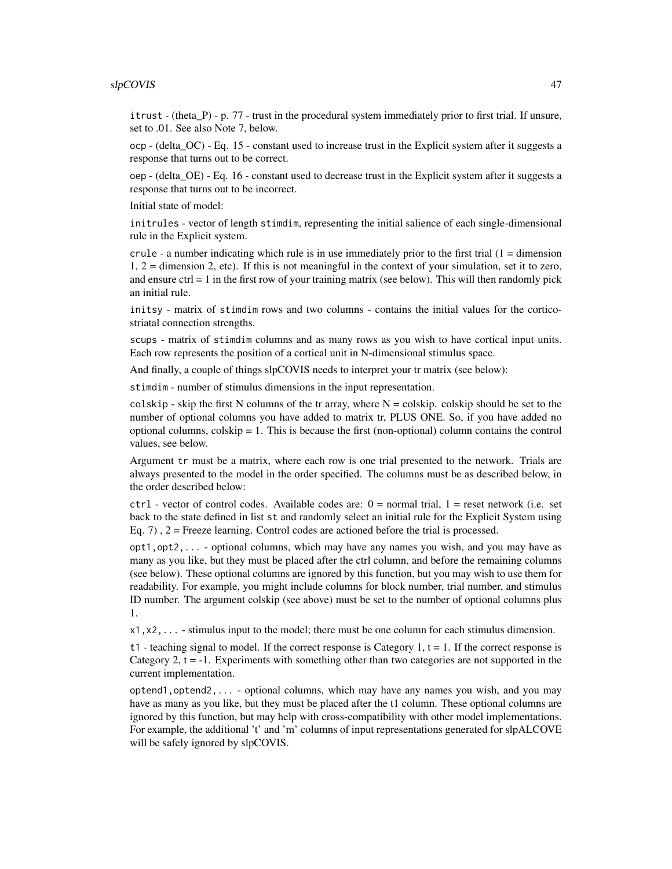itrust - (theta\_P) - p. 77 - trust in the procedural system immediately prior to first trial. If unsure, set to .01. See also Note 7, below.

ocp - (delta\_OC) - Eq. 15 - constant used to increase trust in the Explicit system after it suggests a response that turns out to be correct.

oep - (delta\_OE) - Eq. 16 - constant used to decrease trust in the Explicit system after it suggests a response that turns out to be incorrect.

Initial state of model:

initrules - vector of length stimdim, representing the initial salience of each single-dimensional rule in the Explicit system.

crule - a number indicating which rule is in use immediately prior to the first trial  $(1 =$  dimension 1, 2 = dimension 2, etc). If this is not meaningful in the context of your simulation, set it to zero, and ensure  $ctrl = 1$  in the first row of your training matrix (see below). This will then randomly pick an initial rule.

initsy - matrix of stimdim rows and two columns - contains the initial values for the corticostriatal connection strengths.

scups - matrix of stimdim columns and as many rows as you wish to have cortical input units. Each row represents the position of a cortical unit in N-dimensional stimulus space.

And finally, a couple of things slpCOVIS needs to interpret your tr matrix (see below):

stimdim - number of stimulus dimensions in the input representation.

colskip - skip the first N columns of the tr array, where  $N = \text{colskip}$ . colskip should be set to the number of optional columns you have added to matrix tr, PLUS ONE. So, if you have added no optional columns, colskip = 1. This is because the first (non-optional) column contains the control values, see below.

Argument tr must be a matrix, where each row is one trial presented to the network. Trials are always presented to the model in the order specified. The columns must be as described below, in the order described below:

 $ctrl - vector$  of control codes. Available codes are:  $0 = normal trial$ ,  $1 = reset$  network (i.e. set back to the state defined in list st and randomly select an initial rule for the Explicit System using Eq. 7) , 2 = Freeze learning. Control codes are actioned before the trial is processed.

opt1,opt2,... - optional columns, which may have any names you wish, and you may have as many as you like, but they must be placed after the ctrl column, and before the remaining columns (see below). These optional columns are ignored by this function, but you may wish to use them for readability. For example, you might include columns for block number, trial number, and stimulus ID number. The argument colskip (see above) must be set to the number of optional columns plus 1.

 $x1, x2, \ldots$  - stimulus input to the model; there must be one column for each stimulus dimension.

t1 - teaching signal to model. If the correct response is Category 1,  $t = 1$ . If the correct response is Category 2,  $t = -1$ . Experiments with something other than two categories are not supported in the current implementation.

optend1,optend2,... - optional columns, which may have any names you wish, and you may have as many as you like, but they must be placed after the t1 column. These optional columns are ignored by this function, but may help with cross-compatibility with other model implementations. For example, the additional 't' and 'm' columns of input representations generated for slpALCOVE will be safely ignored by slpCOVIS.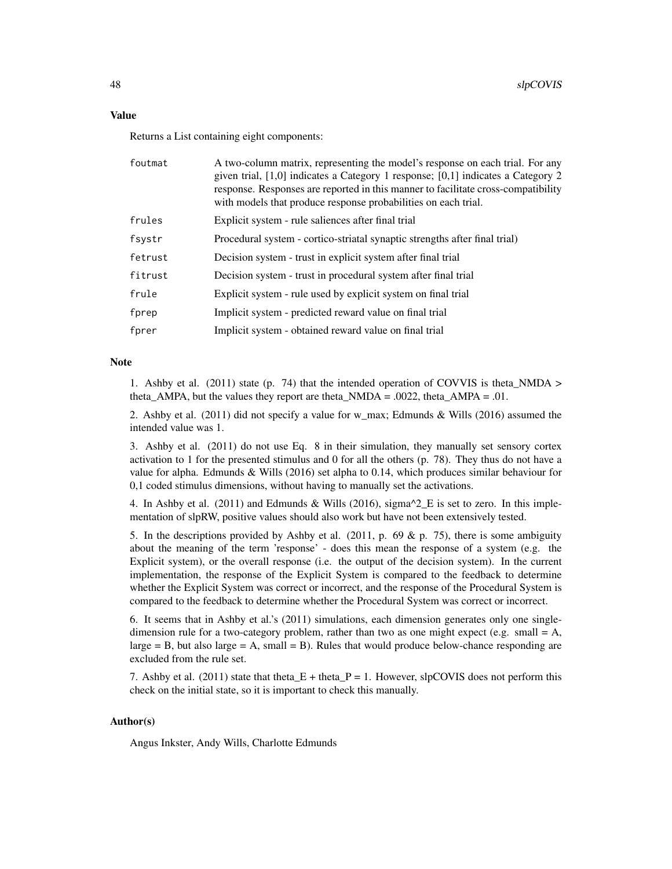## Value

Returns a List containing eight components:

| foutmat | A two-column matrix, representing the model's response on each trial. For any<br>given trial, [1,0] indicates a Category 1 response; [0,1] indicates a Category 2<br>response. Responses are reported in this manner to facilitate cross-compatibility<br>with models that produce response probabilities on each trial. |
|---------|--------------------------------------------------------------------------------------------------------------------------------------------------------------------------------------------------------------------------------------------------------------------------------------------------------------------------|
| frules  | Explicit system - rule saliences after final trial                                                                                                                                                                                                                                                                       |
| fsystr  | Procedural system - cortico-striatal synaptic strengths after final trial)                                                                                                                                                                                                                                               |
| fetrust | Decision system - trust in explicit system after final trial                                                                                                                                                                                                                                                             |
| fitrust | Decision system - trust in procedural system after final trial                                                                                                                                                                                                                                                           |
| frule   | Explicit system - rule used by explicit system on final trial                                                                                                                                                                                                                                                            |
| fprep   | Implicit system - predicted reward value on final trial                                                                                                                                                                                                                                                                  |
| fprer   | Implicit system - obtained reward value on final trial                                                                                                                                                                                                                                                                   |

## Note

1. Ashby et al. (2011) state (p. 74) that the intended operation of COVVIS is theta\_NMDA > theta AMPA, but the values they report are theta NMDA = .0022, theta AMPA = .01.

2. Ashby et al. (2011) did not specify a value for w\_max; Edmunds & Wills (2016) assumed the intended value was 1.

3. Ashby et al. (2011) do not use Eq. 8 in their simulation, they manually set sensory cortex activation to 1 for the presented stimulus and 0 for all the others (p. 78). They thus do not have a value for alpha. Edmunds & Wills (2016) set alpha to 0.14, which produces similar behaviour for 0,1 coded stimulus dimensions, without having to manually set the activations.

4. In Ashby et al. (2011) and Edmunds & Wills (2016), sigma $^2$ <sub>E</sub> is set to zero. In this implementation of slpRW, positive values should also work but have not been extensively tested.

5. In the descriptions provided by Ashby et al. (2011, p. 69 & p. 75), there is some ambiguity about the meaning of the term 'response' - does this mean the response of a system (e.g. the Explicit system), or the overall response (i.e. the output of the decision system). In the current implementation, the response of the Explicit System is compared to the feedback to determine whether the Explicit System was correct or incorrect, and the response of the Procedural System is compared to the feedback to determine whether the Procedural System was correct or incorrect.

6. It seems that in Ashby et al.'s (2011) simulations, each dimension generates only one singledimension rule for a two-category problem, rather than two as one might expect (e.g. small  $= A$ ,  $\text{large} = B$ , but also large  $= A$ , small  $= B$ ). Rules that would produce below-chance responding are excluded from the rule set.

7. Ashby et al. (2011) state that theta  $E +$  theta  $P = 1$ . However, slpCOVIS does not perform this check on the initial state, so it is important to check this manually.

# Author(s)

Angus Inkster, Andy Wills, Charlotte Edmunds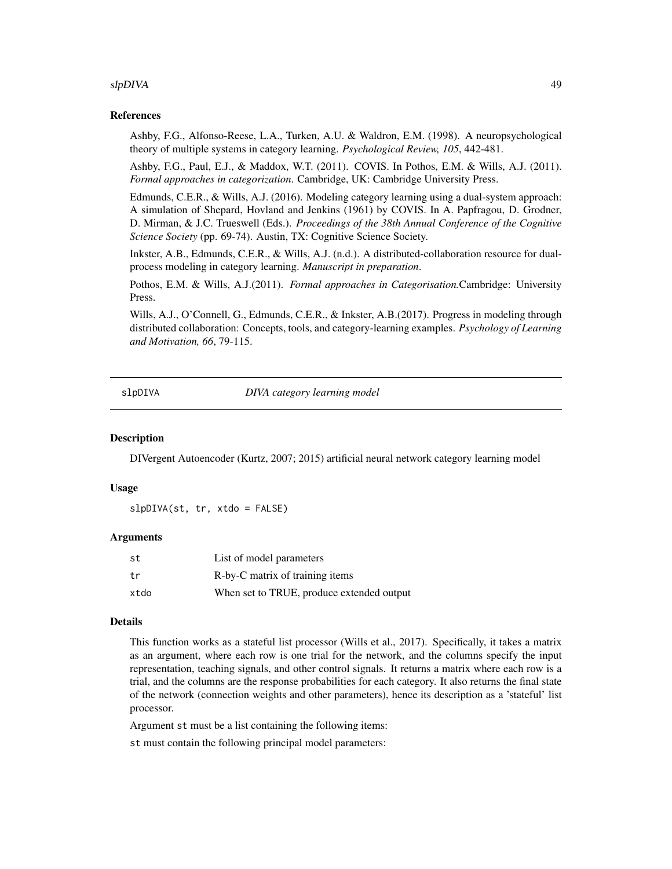### slpDIVA and the set of the set of the set of the set of the set of the set of the set of the set of the set of the set of the set of the set of the set of the set of the set of the set of the set of the set of the set of t

# References

Ashby, F.G., Alfonso-Reese, L.A., Turken, A.U. & Waldron, E.M. (1998). A neuropsychological theory of multiple systems in category learning. *Psychological Review, 105*, 442-481.

Ashby, F.G., Paul, E.J., & Maddox, W.T. (2011). COVIS. In Pothos, E.M. & Wills, A.J. (2011). *Formal approaches in categorization*. Cambridge, UK: Cambridge University Press.

Edmunds, C.E.R., & Wills, A.J. (2016). Modeling category learning using a dual-system approach: A simulation of Shepard, Hovland and Jenkins (1961) by COVIS. In A. Papfragou, D. Grodner, D. Mirman, & J.C. Trueswell (Eds.). *Proceedings of the 38th Annual Conference of the Cognitive Science Society* (pp. 69-74). Austin, TX: Cognitive Science Society.

Inkster, A.B., Edmunds, C.E.R., & Wills, A.J. (n.d.). A distributed-collaboration resource for dualprocess modeling in category learning. *Manuscript in preparation*.

Pothos, E.M. & Wills, A.J.(2011). *Formal approaches in Categorisation.*Cambridge: University Press.

Wills, A.J., O'Connell, G., Edmunds, C.E.R., & Inkster, A.B.(2017). Progress in modeling through distributed collaboration: Concepts, tools, and category-learning examples. *Psychology of Learning and Motivation, 66*, 79-115.

slpDIVA *DIVA category learning model*

#### Description

DIVergent Autoencoder (Kurtz, 2007; 2015) artificial neural network category learning model

# Usage

```
slpDIVA(st, tr, xtdo = FALSE)
```
## Arguments

| .st  | List of model parameters                  |
|------|-------------------------------------------|
| t r  | R-by-C matrix of training items           |
| xtdo | When set to TRUE, produce extended output |

### Details

This function works as a stateful list processor (Wills et al., 2017). Specifically, it takes a matrix as an argument, where each row is one trial for the network, and the columns specify the input representation, teaching signals, and other control signals. It returns a matrix where each row is a trial, and the columns are the response probabilities for each category. It also returns the final state of the network (connection weights and other parameters), hence its description as a 'stateful' list processor.

Argument st must be a list containing the following items:

st must contain the following principal model parameters: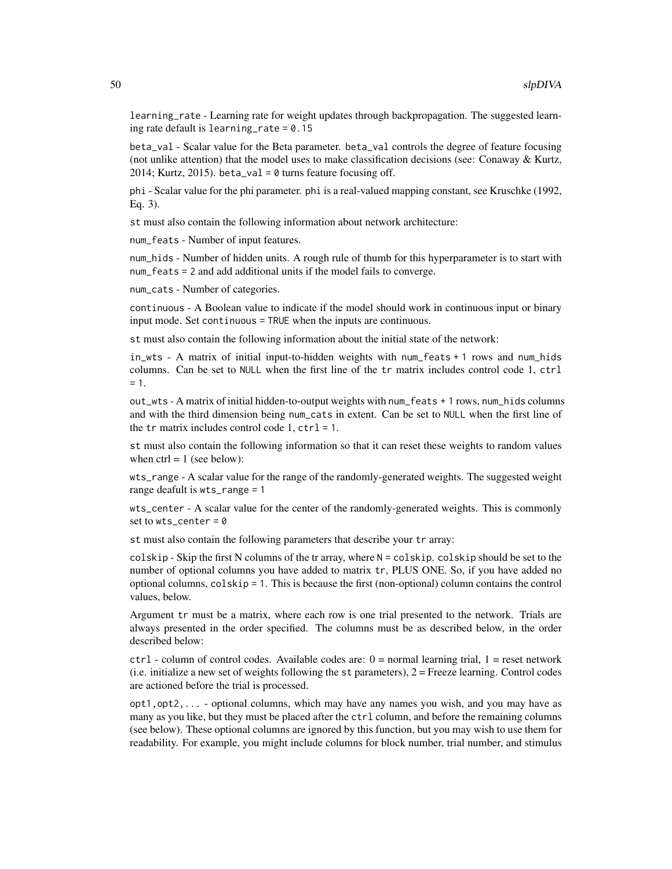learning\_rate - Learning rate for weight updates through backpropagation. The suggested learning rate default is learning rate  $= 0.15$ 

beta\_val - Scalar value for the Beta parameter. beta\_val controls the degree of feature focusing (not unlike attention) that the model uses to make classification decisions (see: Conaway  $\&$  Kurtz, 2014; Kurtz, 2015). beta\_val =  $\theta$  turns feature focusing off.

phi - Scalar value for the phi parameter. phi is a real-valued mapping constant, see Kruschke (1992, Eq. 3).

st must also contain the following information about network architecture:

num\_feats - Number of input features.

num\_hids - Number of hidden units. A rough rule of thumb for this hyperparameter is to start with num\_feats = 2 and add additional units if the model fails to converge.

num\_cats - Number of categories.

continuous - A Boolean value to indicate if the model should work in continuous input or binary input mode. Set continuous = TRUE when the inputs are continuous.

st must also contain the following information about the initial state of the network:

in\_wts - A matrix of initial input-to-hidden weights with num\_feats + 1 rows and num\_hids columns. Can be set to NULL when the first line of the tr matrix includes control code 1, ctrl  $= 1$ .

out\_wts - A matrix of initial hidden-to-output weights with num\_feats + 1 rows, num\_hids columns and with the third dimension being num\_cats in extent. Can be set to NULL when the first line of the  $tr$  matrix includes control code 1,  $ctrl = 1$ .

st must also contain the following information so that it can reset these weights to random values when  $ctrl = 1$  (see below):

wts\_range - A scalar value for the range of the randomly-generated weights. The suggested weight range deafult is wts\_range = 1

wts\_center - A scalar value for the center of the randomly-generated weights. This is commonly set to  $wts_c$ center = 0

st must also contain the following parameters that describe your tr array:

colskip - Skip the first N columns of the tr array, where N = colskip. colskip should be set to the number of optional columns you have added to matrix tr, PLUS ONE. So, if you have added no optional columns, colskip = 1. This is because the first (non-optional) column contains the control values, below.

Argument tr must be a matrix, where each row is one trial presented to the network. Trials are always presented in the order specified. The columns must be as described below, in the order described below:

 $ctrl - column$  of control codes. Available codes are:  $0 = normal$  learning trial,  $1 = reset$  network  $(i.e.$  initialize a new set of weights following the st parameters),  $2 =$  Freeze learning. Control codes are actioned before the trial is processed.

opt1,opt2,... - optional columns, which may have any names you wish, and you may have as many as you like, but they must be placed after the ctrl column, and before the remaining columns (see below). These optional columns are ignored by this function, but you may wish to use them for readability. For example, you might include columns for block number, trial number, and stimulus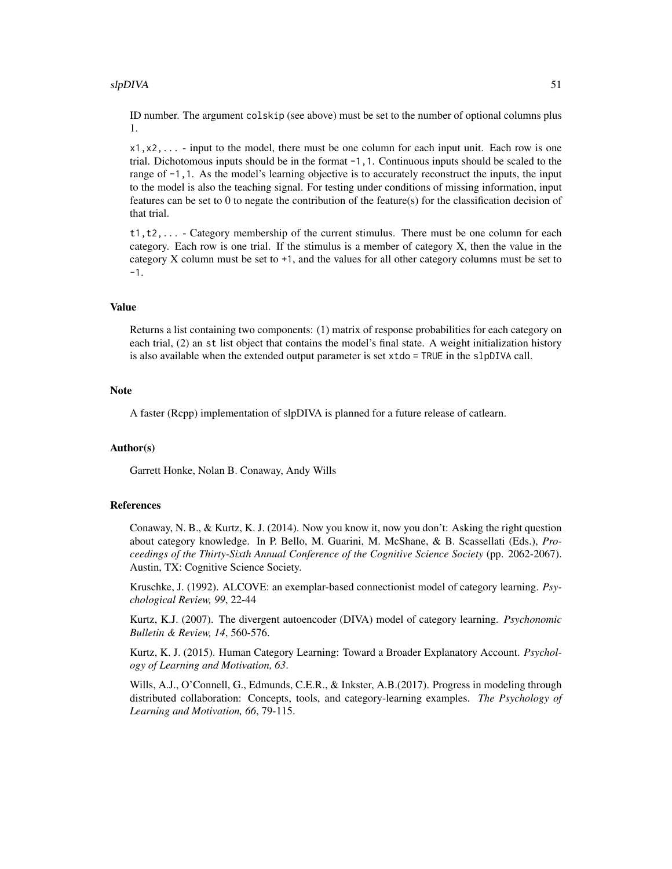#### $s1pDIVA$  51

ID number. The argument colskip (see above) must be set to the number of optional columns plus 1.

 $x_1, x_2, \ldots$  - input to the model, there must be one column for each input unit. Each row is one trial. Dichotomous inputs should be in the format  $-1$ , 1. Continuous inputs should be scaled to the range of  $-1$ , 1. As the model's learning objective is to accurately reconstruct the inputs, the input to the model is also the teaching signal. For testing under conditions of missing information, input features can be set to 0 to negate the contribution of the feature(s) for the classification decision of that trial.

t1,t2,... - Category membership of the current stimulus. There must be one column for each category. Each row is one trial. If the stimulus is a member of category X, then the value in the category X column must be set to +1, and the values for all other category columns must be set to -1.

# Value

Returns a list containing two components: (1) matrix of response probabilities for each category on each trial, (2) an st list object that contains the model's final state. A weight initialization history is also available when the extended output parameter is set  $xtdo = TRUE$  in the slpDIVA call.

## **Note**

A faster (Rcpp) implementation of slpDIVA is planned for a future release of catlearn.

#### Author(s)

Garrett Honke, Nolan B. Conaway, Andy Wills

## References

Conaway, N. B., & Kurtz, K. J. (2014). Now you know it, now you don't: Asking the right question about category knowledge. In P. Bello, M. Guarini, M. McShane, & B. Scassellati (Eds.), *Proceedings of the Thirty-Sixth Annual Conference of the Cognitive Science Society* (pp. 2062-2067). Austin, TX: Cognitive Science Society.

Kruschke, J. (1992). ALCOVE: an exemplar-based connectionist model of category learning. *Psychological Review, 99*, 22-44

Kurtz, K.J. (2007). The divergent autoencoder (DIVA) model of category learning. *Psychonomic Bulletin & Review, 14*, 560-576.

Kurtz, K. J. (2015). Human Category Learning: Toward a Broader Explanatory Account. *Psychology of Learning and Motivation, 63*.

Wills, A.J., O'Connell, G., Edmunds, C.E.R., & Inkster, A.B.(2017). Progress in modeling through distributed collaboration: Concepts, tools, and category-learning examples. *The Psychology of Learning and Motivation, 66*, 79-115.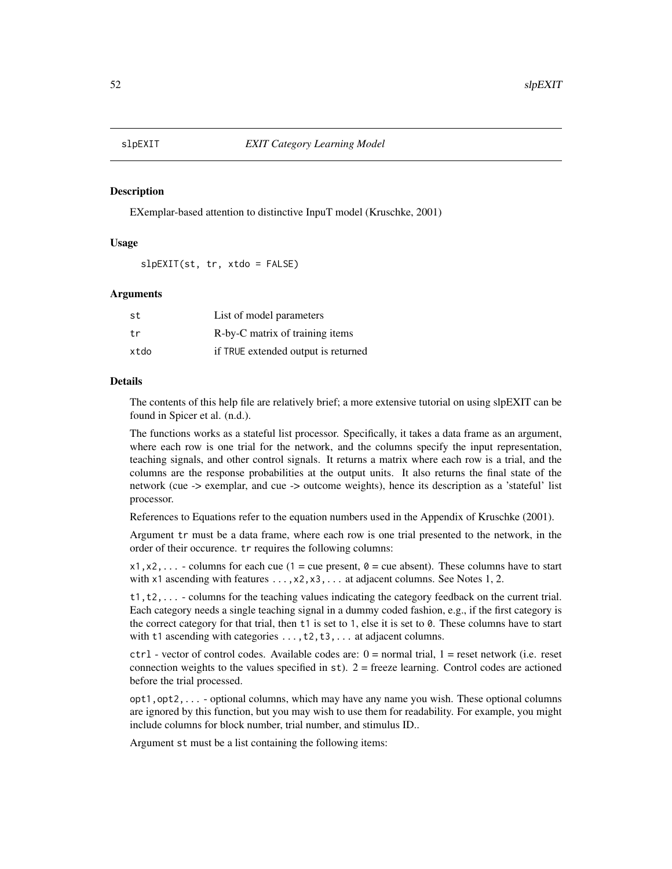<span id="page-51-0"></span>

## Description

EXemplar-based attention to distinctive InpuT model (Kruschke, 2001)

## Usage

slpEXIT(st, tr, xtdo = FALSE)

#### Arguments

| st   | List of model parameters            |
|------|-------------------------------------|
| tr.  | R-by-C matrix of training items     |
| xtdo | if TRUE extended output is returned |

# Details

The contents of this help file are relatively brief; a more extensive tutorial on using slpEXIT can be found in Spicer et al. (n.d.).

The functions works as a stateful list processor. Specifically, it takes a data frame as an argument, where each row is one trial for the network, and the columns specify the input representation, teaching signals, and other control signals. It returns a matrix where each row is a trial, and the columns are the response probabilities at the output units. It also returns the final state of the network (cue -> exemplar, and cue -> outcome weights), hence its description as a 'stateful' list processor.

References to Equations refer to the equation numbers used in the Appendix of Kruschke (2001).

Argument tr must be a data frame, where each row is one trial presented to the network, in the order of their occurence. tr requires the following columns:

 $x1, x2, \ldots$  - columns for each cue (1 = cue present,  $\theta$  = cue absent). These columns have to start with x1 ascending with features  $\dots$ , x2, x3,  $\dots$  at adjacent columns. See Notes 1, 2.

t1,t2,... - columns for the teaching values indicating the category feedback on the current trial. Each category needs a single teaching signal in a dummy coded fashion, e.g., if the first category is the correct category for that trial, then t1 is set to 1, else it is set to 0. These columns have to start with t1 ascending with categories  $\dots$ , t2, t3,  $\dots$  at adjacent columns.

 $ctrl - vector$  of control codes. Available codes are:  $0 = normal trial$ ,  $1 = reset$  network (i.e. reset connection weights to the values specified in  $st$ ).  $2 =$  freeze learning. Control codes are actioned before the trial processed.

opt1,opt2,... - optional columns, which may have any name you wish. These optional columns are ignored by this function, but you may wish to use them for readability. For example, you might include columns for block number, trial number, and stimulus ID..

Argument st must be a list containing the following items: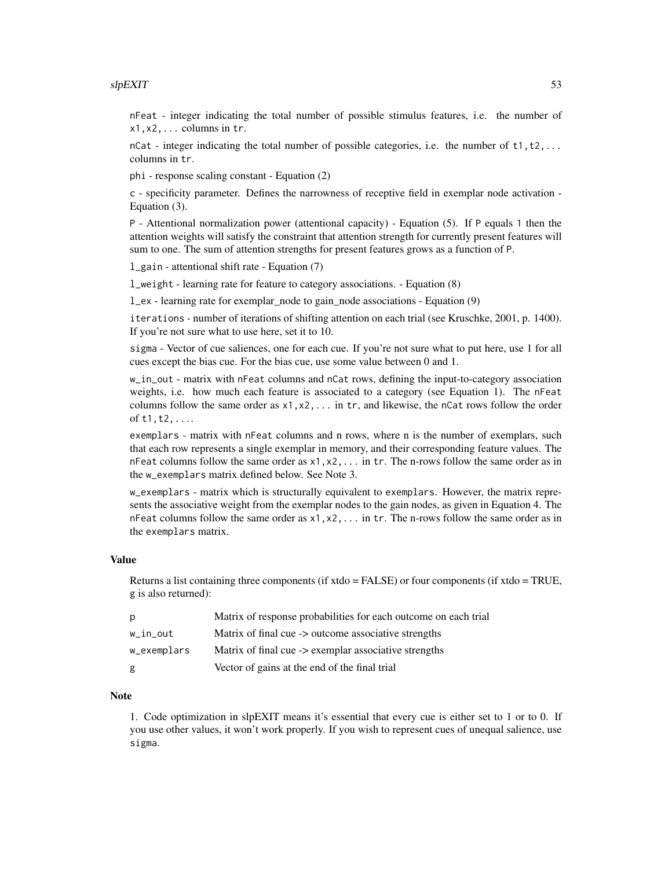#### $s$ lpEXIT 53

nFeat - integer indicating the total number of possible stimulus features, i.e. the number of x1,x2,... columns in tr.

nCat - integer indicating the total number of possible categories, i.e. the number of  $t_1, t_2, \ldots$ columns in tr.

phi - response scaling constant - Equation (2)

c - specificity parameter. Defines the narrowness of receptive field in exemplar node activation - Equation (3).

P - Attentional normalization power (attentional capacity) - Equation (5). If P equals 1 then the attention weights will satisfy the constraint that attention strength for currently present features will sum to one. The sum of attention strengths for present features grows as a function of P.

l\_gain - attentional shift rate - Equation (7)

l\_weight - learning rate for feature to category associations. - Equation (8)

l\_ex - learning rate for exemplar\_node to gain\_node associations - Equation (9)

iterations - number of iterations of shifting attention on each trial (see Kruschke, 2001, p. 1400). If you're not sure what to use here, set it to 10.

sigma - Vector of cue saliences, one for each cue. If you're not sure what to put here, use 1 for all cues except the bias cue. For the bias cue, use some value between 0 and 1.

w\_in\_out - matrix with nFeat columns and nCat rows, defining the input-to-category association weights, i.e. how much each feature is associated to a category (see Equation 1). The nFeat columns follow the same order as  $x1, x2, \ldots$  in tr, and likewise, the nCat rows follow the order of t1,t2,....

exemplars - matrix with nFeat columns and n rows, where n is the number of exemplars, such that each row represents a single exemplar in memory, and their corresponding feature values. The nFeat columns follow the same order as  $x1, x2, \ldots$  in tr. The n-rows follow the same order as in the w\_exemplars matrix defined below. See Note 3.

w\_exemplars - matrix which is structurally equivalent to exemplars. However, the matrix represents the associative weight from the exemplar nodes to the gain nodes, as given in Equation 4. The nFeat columns follow the same order as  $x1, x2, \ldots$  in tr. The n-rows follow the same order as in the exemplars matrix.

# Value

Returns a list containing three components (if xtdo = FALSE) or four components (if xtdo = TRUE, g is also returned):

| р           | Matrix of response probabilities for each outcome on each trial |
|-------------|-----------------------------------------------------------------|
| w in out    | Matrix of final cue -> outcome associative strengths            |
| w_exemplars | Matrix of final cue -> exemplar associative strengths           |
| g           | Vector of gains at the end of the final trial                   |

## **Note**

1. Code optimization in slpEXIT means it's essential that every cue is either set to 1 or to 0. If you use other values, it won't work properly. If you wish to represent cues of unequal salience, use sigma.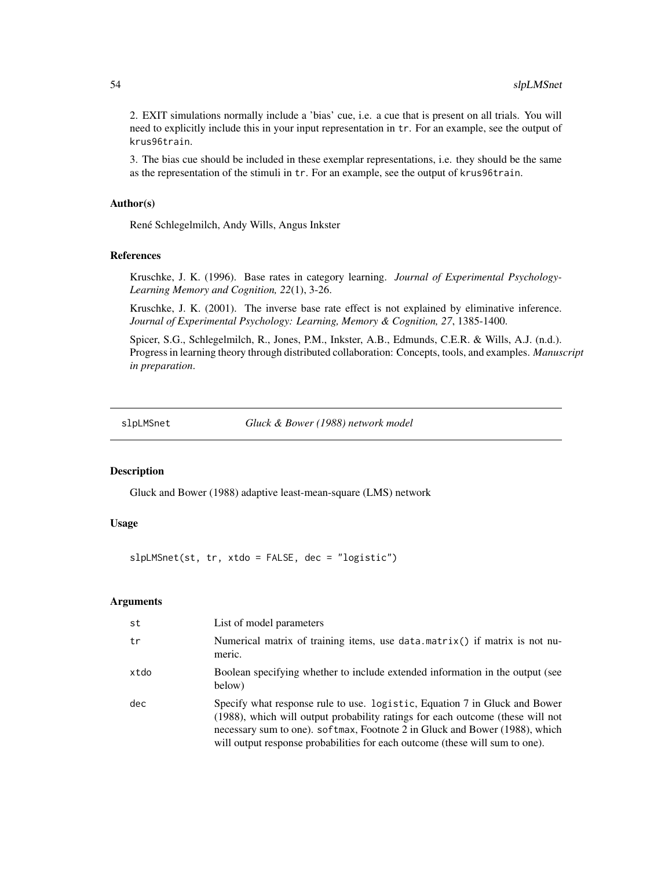2. EXIT simulations normally include a 'bias' cue, i.e. a cue that is present on all trials. You will need to explicitly include this in your input representation in tr. For an example, see the output of krus96train.

3. The bias cue should be included in these exemplar representations, i.e. they should be the same as the representation of the stimuli in tr. For an example, see the output of krus96train.

# Author(s)

René Schlegelmilch, Andy Wills, Angus Inkster

# References

Kruschke, J. K. (1996). Base rates in category learning. *Journal of Experimental Psychology-Learning Memory and Cognition, 22*(1), 3-26.

Kruschke, J. K. (2001). The inverse base rate effect is not explained by eliminative inference. *Journal of Experimental Psychology: Learning, Memory & Cognition, 27*, 1385-1400.

Spicer, S.G., Schlegelmilch, R., Jones, P.M., Inkster, A.B., Edmunds, C.E.R. & Wills, A.J. (n.d.). Progress in learning theory through distributed collaboration: Concepts, tools, and examples. *Manuscript in preparation*.

slpLMSnet *Gluck & Bower (1988) network model*

## **Description**

Gluck and Bower (1988) adaptive least-mean-square (LMS) network

## Usage

slpLMSnet(st, tr, xtdo = FALSE, dec = "logistic")

#### Arguments

| st   | List of model parameters                                                                                                                                                                                                                                                                                                    |
|------|-----------------------------------------------------------------------------------------------------------------------------------------------------------------------------------------------------------------------------------------------------------------------------------------------------------------------------|
| tr   | Numerical matrix of training items, use data.matrix() if matrix is not nu-<br>meric.                                                                                                                                                                                                                                        |
| xtdo | Boolean specifying whether to include extended information in the output (see<br>below)                                                                                                                                                                                                                                     |
| dec  | Specify what response rule to use. Logistic, Equation 7 in Gluck and Bower<br>(1988), which will output probability ratings for each outcome (these will not<br>necessary sum to one). softmax, Footnote 2 in Gluck and Bower (1988), which<br>will output response probabilities for each outcome (these will sum to one). |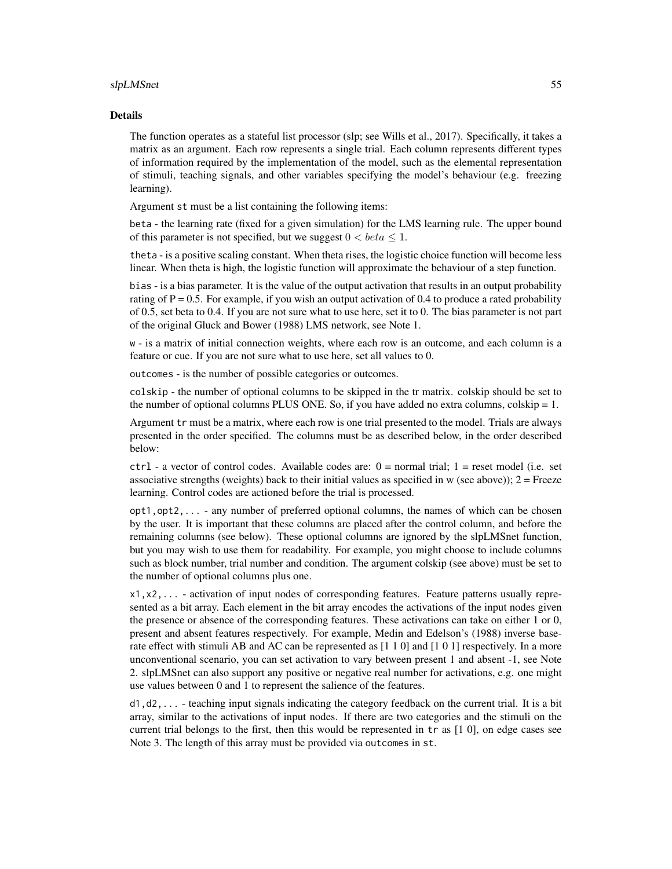#### slpLMSnet 55

#### Details

The function operates as a stateful list processor (slp; see Wills et al., 2017). Specifically, it takes a matrix as an argument. Each row represents a single trial. Each column represents different types of information required by the implementation of the model, such as the elemental representation of stimuli, teaching signals, and other variables specifying the model's behaviour (e.g. freezing learning).

Argument st must be a list containing the following items:

beta - the learning rate (fixed for a given simulation) for the LMS learning rule. The upper bound of this parameter is not specified, but we suggest  $0 < \text{beta} \leq 1$ .

theta - is a positive scaling constant. When theta rises, the logistic choice function will become less linear. When theta is high, the logistic function will approximate the behaviour of a step function.

bias - is a bias parameter. It is the value of the output activation that results in an output probability rating of  $P = 0.5$ . For example, if you wish an output activation of 0.4 to produce a rated probability of 0.5, set beta to 0.4. If you are not sure what to use here, set it to 0. The bias parameter is not part of the original Gluck and Bower (1988) LMS network, see Note 1.

w - is a matrix of initial connection weights, where each row is an outcome, and each column is a feature or cue. If you are not sure what to use here, set all values to 0.

outcomes - is the number of possible categories or outcomes.

colskip - the number of optional columns to be skipped in the tr matrix. colskip should be set to the number of optional columns PLUS ONE. So, if you have added no extra columns, colskip = 1.

Argument tr must be a matrix, where each row is one trial presented to the model. Trials are always presented in the order specified. The columns must be as described below, in the order described below:

 $ctrl - a$  vector of control codes. Available codes are:  $0 = normal trial$ ;  $1 = reset model$  (i.e. set associative strengths (weights) back to their initial values as specified in w (see above));  $2 =$  Freeze learning. Control codes are actioned before the trial is processed.

opt1,opt2,... - any number of preferred optional columns, the names of which can be chosen by the user. It is important that these columns are placed after the control column, and before the remaining columns (see below). These optional columns are ignored by the slpLMSnet function, but you may wish to use them for readability. For example, you might choose to include columns such as block number, trial number and condition. The argument colskip (see above) must be set to the number of optional columns plus one.

x1,x2,... - activation of input nodes of corresponding features. Feature patterns usually represented as a bit array. Each element in the bit array encodes the activations of the input nodes given the presence or absence of the corresponding features. These activations can take on either 1 or 0, present and absent features respectively. For example, Medin and Edelson's (1988) inverse baserate effect with stimuli AB and AC can be represented as [1 1 0] and [1 0 1] respectively. In a more unconventional scenario, you can set activation to vary between present 1 and absent -1, see Note 2. slpLMSnet can also support any positive or negative real number for activations, e.g. one might use values between 0 and 1 to represent the salience of the features.

d1,d2,... - teaching input signals indicating the category feedback on the current trial. It is a bit array, similar to the activations of input nodes. If there are two categories and the stimuli on the current trial belongs to the first, then this would be represented in tr as [1 0], on edge cases see Note 3. The length of this array must be provided via outcomes in st.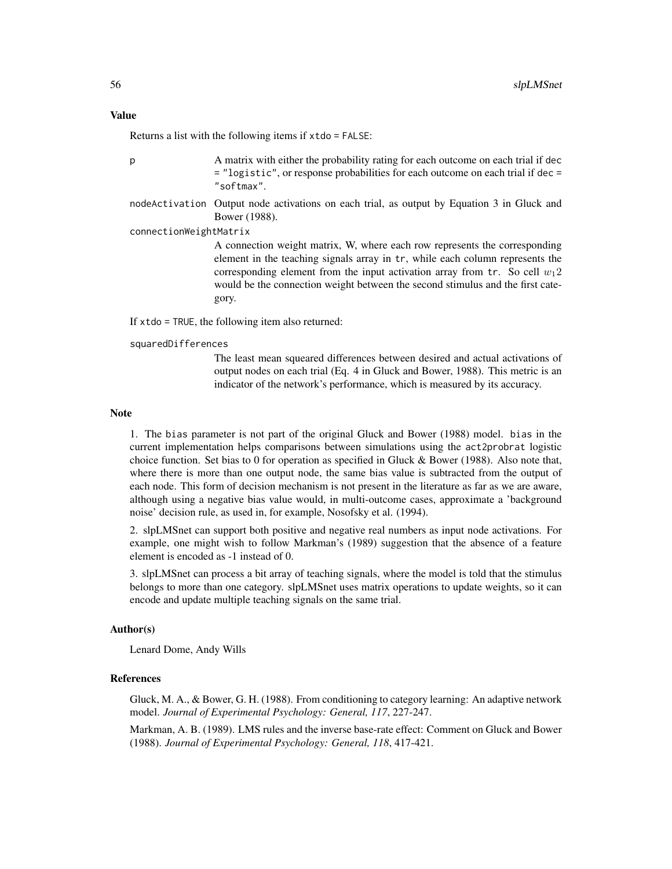## Value

Returns a list with the following items if xtdo = FALSE:

p A matrix with either the probability rating for each outcome on each trial if dec = "logistic", or response probabilities for each outcome on each trial if dec = "softmax".

nodeActivation Output node activations on each trial, as output by Equation 3 in Gluck and Bower (1988).

connectionWeightMatrix

A connection weight matrix, W, where each row represents the corresponding element in the teaching signals array in tr, while each column represents the corresponding element from the input activation array from  $tr$ . So cell  $w_12$ would be the connection weight between the second stimulus and the first category.

If xtdo = TRUE, the following item also returned:

squaredDifferences

The least mean squeared differences between desired and actual activations of output nodes on each trial (Eq. 4 in Gluck and Bower, 1988). This metric is an indicator of the network's performance, which is measured by its accuracy.

#### Note

1. The bias parameter is not part of the original Gluck and Bower (1988) model. bias in the current implementation helps comparisons between simulations using the act2probrat logistic choice function. Set bias to 0 for operation as specified in Gluck & Bower (1988). Also note that, where there is more than one output node, the same bias value is subtracted from the output of each node. This form of decision mechanism is not present in the literature as far as we are aware, although using a negative bias value would, in multi-outcome cases, approximate a 'background noise' decision rule, as used in, for example, Nosofsky et al. (1994).

2. slpLMSnet can support both positive and negative real numbers as input node activations. For example, one might wish to follow Markman's (1989) suggestion that the absence of a feature element is encoded as -1 instead of 0.

3. slpLMSnet can process a bit array of teaching signals, where the model is told that the stimulus belongs to more than one category. slpLMSnet uses matrix operations to update weights, so it can encode and update multiple teaching signals on the same trial.

## Author(s)

Lenard Dome, Andy Wills

## References

Gluck, M. A., & Bower, G. H. (1988). From conditioning to category learning: An adaptive network model. *Journal of Experimental Psychology: General, 117*, 227-247.

Markman, A. B. (1989). LMS rules and the inverse base-rate effect: Comment on Gluck and Bower (1988). *Journal of Experimental Psychology: General, 118*, 417-421.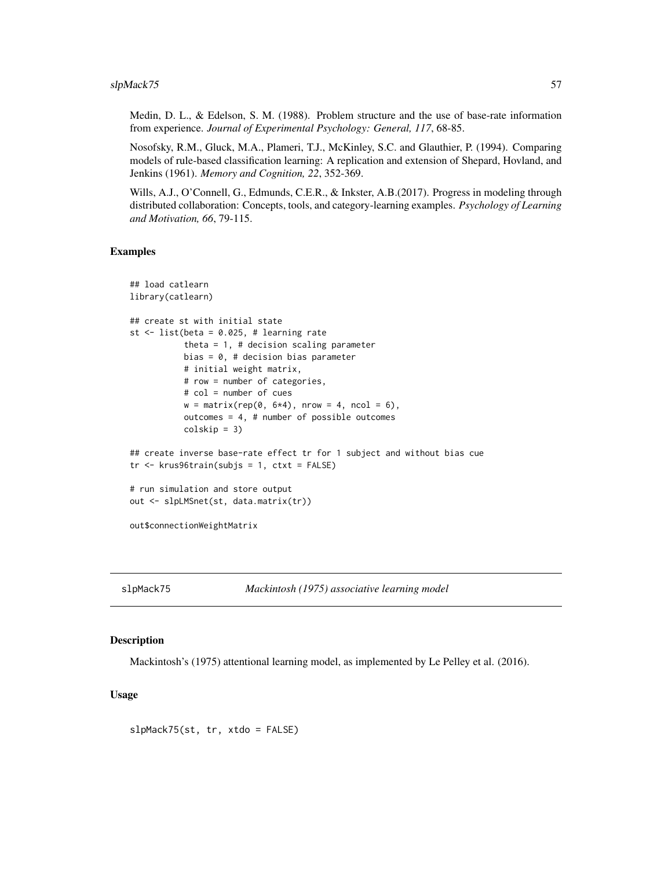## slpMack75 57

Medin, D. L., & Edelson, S. M. (1988). Problem structure and the use of base-rate information from experience. *Journal of Experimental Psychology: General, 117*, 68-85.

Nosofsky, R.M., Gluck, M.A., Plameri, T.J., McKinley, S.C. and Glauthier, P. (1994). Comparing models of rule-based classification learning: A replication and extension of Shepard, Hovland, and Jenkins (1961). *Memory and Cognition, 22*, 352-369.

Wills, A.J., O'Connell, G., Edmunds, C.E.R., & Inkster, A.B.(2017). Progress in modeling through distributed collaboration: Concepts, tools, and category-learning examples. *Psychology of Learning and Motivation, 66*, 79-115.

# Examples

```
## load catlearn
library(catlearn)
## create st with initial state
st \le list(beta = 0.025, # learning rate
           theta = 1, # decision scaling parameter
           bias = 0, # decision bias parameter
          # initial weight matrix,
           # row = number of categories,
           # col = number of cues
           w = matrix(rep(0, 6*4), nrow = 4, ncol = 6),outcomes = 4, # number of possible outcomes
           colskip = 3)## create inverse base-rate effect tr for 1 subject and without bias cue
tr < -krus96train(subjs = 1, ctxt = FALSE)# run simulation and store output
out <- slpLMSnet(st, data.matrix(tr))
out$connectionWeightMatrix
```
slpMack75 *Mackintosh (1975) associative learning model*

## Description

Mackintosh's (1975) attentional learning model, as implemented by Le Pelley et al. (2016).

#### Usage

slpMack75(st, tr, xtdo = FALSE)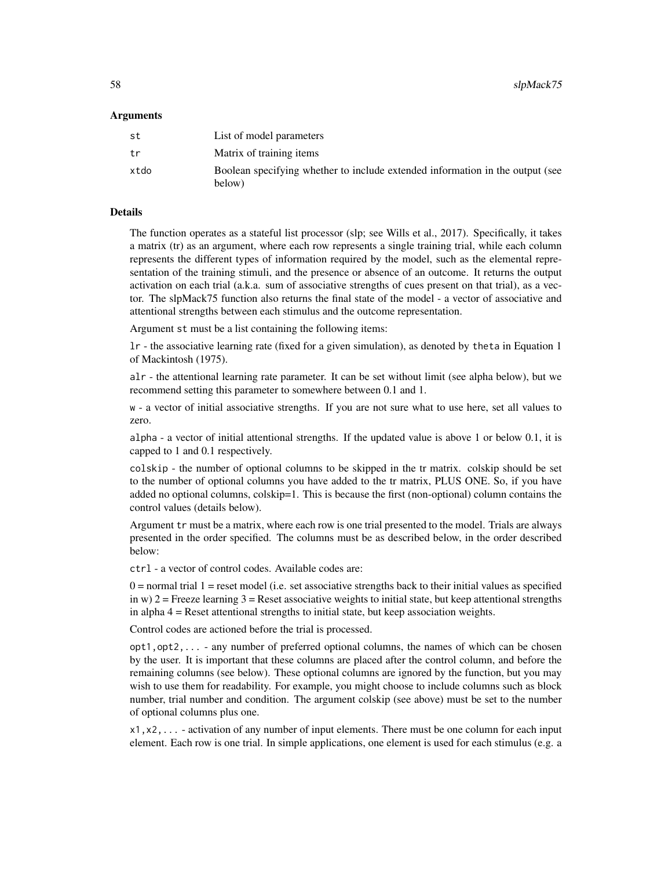58 slpMack75

#### Arguments

| st   | List of model parameters                                                                |
|------|-----------------------------------------------------------------------------------------|
| tr   | Matrix of training items                                                                |
| xtdo | Boolean specifying whether to include extended information in the output (see<br>below) |

# Details

The function operates as a stateful list processor (slp; see Wills et al., 2017). Specifically, it takes a matrix (tr) as an argument, where each row represents a single training trial, while each column represents the different types of information required by the model, such as the elemental representation of the training stimuli, and the presence or absence of an outcome. It returns the output activation on each trial (a.k.a. sum of associative strengths of cues present on that trial), as a vector. The slpMack75 function also returns the final state of the model - a vector of associative and attentional strengths between each stimulus and the outcome representation.

Argument st must be a list containing the following items:

lr - the associative learning rate (fixed for a given simulation), as denoted by theta in Equation 1 of Mackintosh (1975).

alr - the attentional learning rate parameter. It can be set without limit (see alpha below), but we recommend setting this parameter to somewhere between 0.1 and 1.

w - a vector of initial associative strengths. If you are not sure what to use here, set all values to zero.

alpha - a vector of initial attentional strengths. If the updated value is above 1 or below 0.1, it is capped to 1 and 0.1 respectively.

colskip - the number of optional columns to be skipped in the tr matrix. colskip should be set to the number of optional columns you have added to the tr matrix, PLUS ONE. So, if you have added no optional columns, colskip=1. This is because the first (non-optional) column contains the control values (details below).

Argument tr must be a matrix, where each row is one trial presented to the model. Trials are always presented in the order specified. The columns must be as described below, in the order described below:

ctrl - a vector of control codes. Available codes are:

 $0 =$  normal trial  $1 =$  reset model (i.e. set associative strengths back to their initial values as specified in w)  $2 =$  Freeze learning  $3 =$  Reset associative weights to initial state, but keep attentional strengths in alpha 4 = Reset attentional strengths to initial state, but keep association weights.

Control codes are actioned before the trial is processed.

opt1,opt2,... - any number of preferred optional columns, the names of which can be chosen by the user. It is important that these columns are placed after the control column, and before the remaining columns (see below). These optional columns are ignored by the function, but you may wish to use them for readability. For example, you might choose to include columns such as block number, trial number and condition. The argument colskip (see above) must be set to the number of optional columns plus one.

x1,x2,... - activation of any number of input elements. There must be one column for each input element. Each row is one trial. In simple applications, one element is used for each stimulus (e.g. a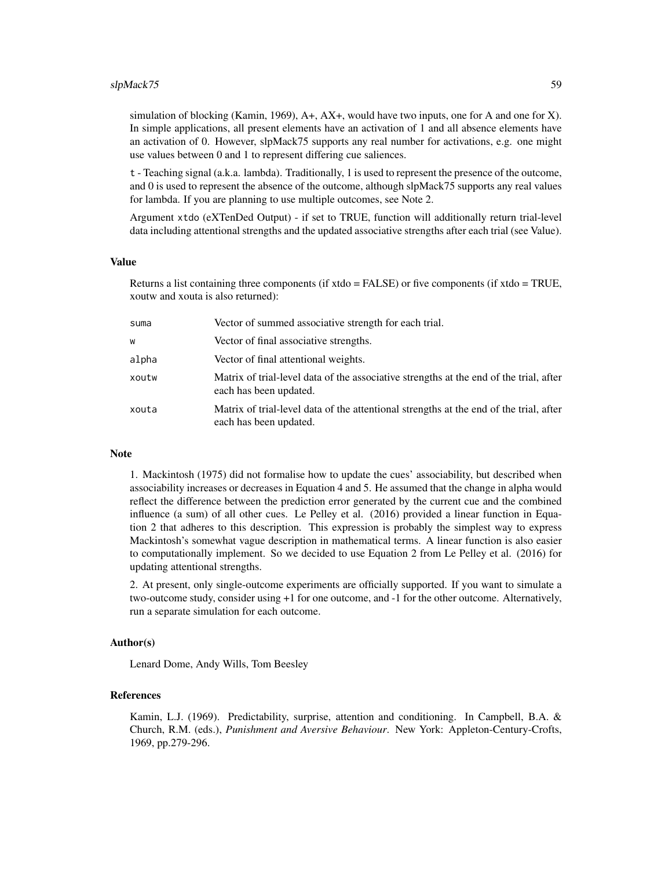simulation of blocking (Kamin, 1969),  $A+$ ,  $AX+$ , would have two inputs, one for A and one for X). In simple applications, all present elements have an activation of 1 and all absence elements have an activation of 0. However, slpMack75 supports any real number for activations, e.g. one might use values between 0 and 1 to represent differing cue saliences.

t - Teaching signal (a.k.a. lambda). Traditionally, 1 is used to represent the presence of the outcome, and 0 is used to represent the absence of the outcome, although slpMack75 supports any real values for lambda. If you are planning to use multiple outcomes, see Note 2.

Argument xtdo (eXTenDed Output) - if set to TRUE, function will additionally return trial-level data including attentional strengths and the updated associative strengths after each trial (see Value).

#### Value

Returns a list containing three components (if xtdo = FALSE) or five components (if xtdo = TRUE, xoutw and xouta is also returned):

| suma  | Vector of summed associative strength for each trial.                                                            |
|-------|------------------------------------------------------------------------------------------------------------------|
| w     | Vector of final associative strengths.                                                                           |
| alpha | Vector of final attentional weights.                                                                             |
| xoutw | Matrix of trial-level data of the associative strengths at the end of the trial, after<br>each has been updated. |
| xouta | Matrix of trial-level data of the attentional strengths at the end of the trial, after<br>each has been updated. |

#### Note

1. Mackintosh (1975) did not formalise how to update the cues' associability, but described when associability increases or decreases in Equation 4 and 5. He assumed that the change in alpha would reflect the difference between the prediction error generated by the current cue and the combined influence (a sum) of all other cues. Le Pelley et al. (2016) provided a linear function in Equation 2 that adheres to this description. This expression is probably the simplest way to express Mackintosh's somewhat vague description in mathematical terms. A linear function is also easier to computationally implement. So we decided to use Equation 2 from Le Pelley et al. (2016) for updating attentional strengths.

2. At present, only single-outcome experiments are officially supported. If you want to simulate a two-outcome study, consider using +1 for one outcome, and -1 for the other outcome. Alternatively, run a separate simulation for each outcome.

#### Author(s)

Lenard Dome, Andy Wills, Tom Beesley

## References

Kamin, L.J. (1969). Predictability, surprise, attention and conditioning. In Campbell, B.A. & Church, R.M. (eds.), *Punishment and Aversive Behaviour*. New York: Appleton-Century-Crofts, 1969, pp.279-296.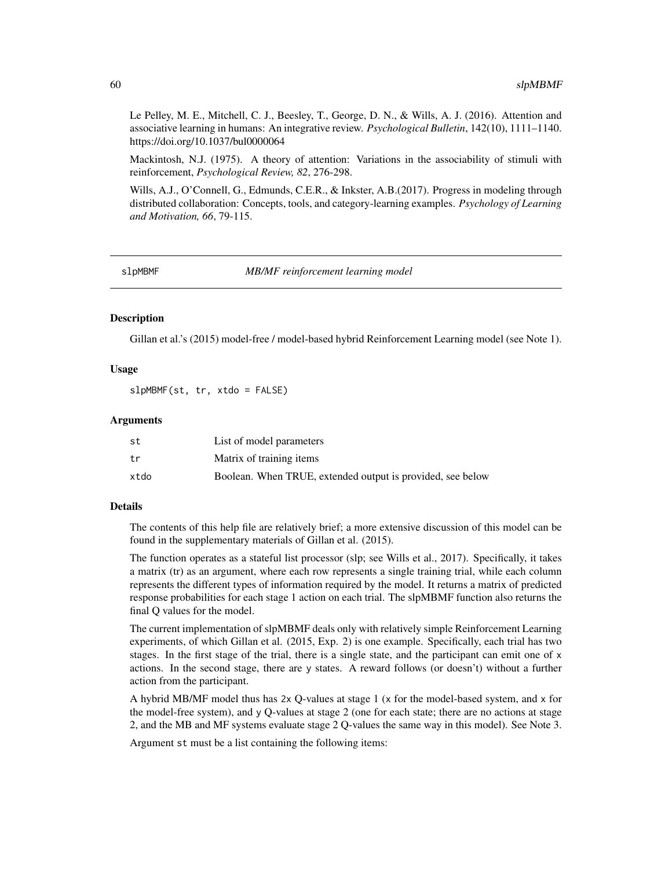Le Pelley, M. E., Mitchell, C. J., Beesley, T., George, D. N., & Wills, A. J. (2016). Attention and associative learning in humans: An integrative review. *Psychological Bulletin*, 142(10), 1111–1140. https://doi.org/10.1037/bul0000064

Mackintosh, N.J. (1975). A theory of attention: Variations in the associability of stimuli with reinforcement, *Psychological Review, 82*, 276-298.

Wills, A.J., O'Connell, G., Edmunds, C.E.R., & Inkster, A.B.(2017). Progress in modeling through distributed collaboration: Concepts, tools, and category-learning examples. *Psychology of Learning and Motivation, 66*, 79-115.

slpMBMF *MB/MF reinforcement learning model*

# **Description**

Gillan et al.'s (2015) model-free / model-based hybrid Reinforcement Learning model (see Note 1).

# Usage

slpMBMF(st, tr, xtdo = FALSE)

#### Arguments

| st   | List of model parameters                                   |
|------|------------------------------------------------------------|
| tr   | Matrix of training items                                   |
| xtdo | Boolean. When TRUE, extended output is provided, see below |

## Details

The contents of this help file are relatively brief; a more extensive discussion of this model can be found in the supplementary materials of Gillan et al. (2015).

The function operates as a stateful list processor (slp; see Wills et al., 2017). Specifically, it takes a matrix (tr) as an argument, where each row represents a single training trial, while each column represents the different types of information required by the model. It returns a matrix of predicted response probabilities for each stage 1 action on each trial. The slpMBMF function also returns the final Q values for the model.

The current implementation of slpMBMF deals only with relatively simple Reinforcement Learning experiments, of which Gillan et al. (2015, Exp. 2) is one example. Specifically, each trial has two stages. In the first stage of the trial, there is a single state, and the participant can emit one of x actions. In the second stage, there are y states. A reward follows (or doesn't) without a further action from the participant.

A hybrid MB/MF model thus has 2x Q-values at stage 1 (x for the model-based system, and x for the model-free system), and y Q-values at stage 2 (one for each state; there are no actions at stage 2, and the MB and MF systems evaluate stage 2 Q-values the same way in this model). See Note 3.

Argument st must be a list containing the following items: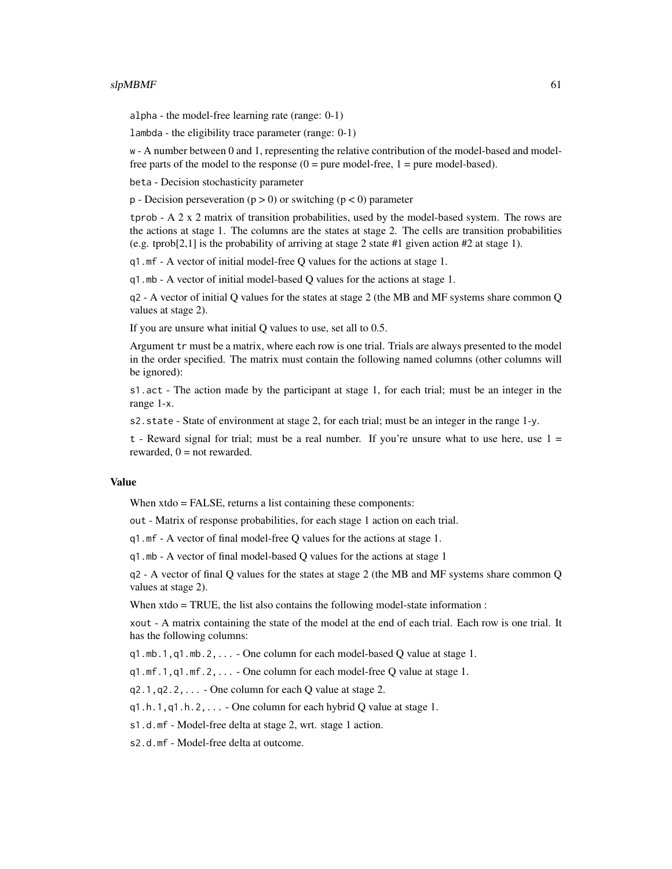#### $slpMBMF$  61

alpha - the model-free learning rate (range: 0-1)

lambda - the eligibility trace parameter (range: 0-1)

w - A number between 0 and 1, representing the relative contribution of the model-based and modelfree parts of the model to the response  $(0 = pure \ model-free, 1 = pure \ model-based)$ .

beta - Decision stochasticity parameter

 $p -$  Decision perseveration ( $p > 0$ ) or switching ( $p < 0$ ) parameter

tprob - A 2 x 2 matrix of transition probabilities, used by the model-based system. The rows are the actions at stage 1. The columns are the states at stage 2. The cells are transition probabilities (e.g. tprob[2,1] is the probability of arriving at stage 2 state #1 given action #2 at stage 1).

q1.mf - A vector of initial model-free Q values for the actions at stage 1.

q1.mb - A vector of initial model-based Q values for the actions at stage 1.

q2 - A vector of initial Q values for the states at stage 2 (the MB and MF systems share common Q values at stage 2).

If you are unsure what initial Q values to use, set all to 0.5.

Argument tr must be a matrix, where each row is one trial. Trials are always presented to the model in the order specified. The matrix must contain the following named columns (other columns will be ignored):

s1.act - The action made by the participant at stage 1, for each trial; must be an integer in the range 1-x.

s2.state - State of environment at stage 2, for each trial; must be an integer in the range 1-y.

 $t$  - Reward signal for trial; must be a real number. If you're unsure what to use here, use  $1 =$ rewarded,  $0 =$  not rewarded.

## Value

When xtdo = FALSE, returns a list containing these components:

out - Matrix of response probabilities, for each stage 1 action on each trial.

q1.mf - A vector of final model-free Q values for the actions at stage 1.

q1.mb - A vector of final model-based Q values for the actions at stage 1

q2 - A vector of final Q values for the states at stage 2 (the MB and MF systems share common Q values at stage 2).

When xtdo = TRUE, the list also contains the following model-state information :

xout - A matrix containing the state of the model at the end of each trial. Each row is one trial. It has the following columns:

 $q1.$ mb.1, $q1.$ mb.2,... - One column for each model-based Q value at stage 1.

q1.mf.1,q1.mf.2,... - One column for each model-free Q value at stage 1.

 $q2.1, q2.2, \ldots$  - One column for each Q value at stage 2.

 $q1.h.1,q1.h.2,...$  - One column for each hybrid Q value at stage 1.

s1.d.mf - Model-free delta at stage 2, wrt. stage 1 action.

s2.d.mf - Model-free delta at outcome.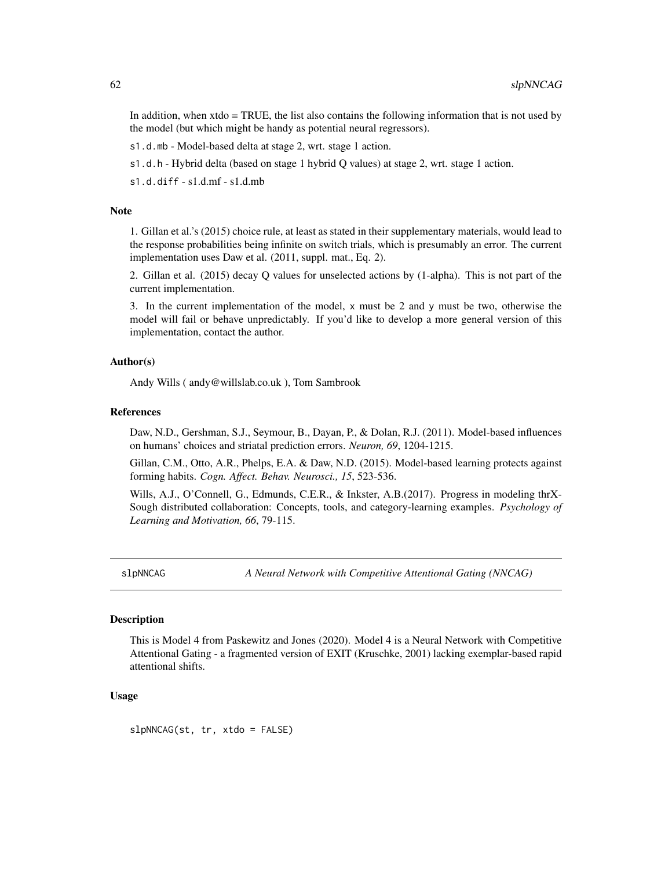In addition, when xtdo = TRUE, the list also contains the following information that is not used by the model (but which might be handy as potential neural regressors).

s1.d.mb - Model-based delta at stage 2, wrt. stage 1 action.

s1.d.h - Hybrid delta (based on stage 1 hybrid Q values) at stage 2, wrt. stage 1 action.

s1.d.diff - s1.d.mf - s1.d.mb

# Note

1. Gillan et al.'s (2015) choice rule, at least as stated in their supplementary materials, would lead to the response probabilities being infinite on switch trials, which is presumably an error. The current implementation uses Daw et al. (2011, suppl. mat., Eq. 2).

2. Gillan et al. (2015) decay Q values for unselected actions by (1-alpha). This is not part of the current implementation.

3. In the current implementation of the model,  $x$  must be 2 and  $y$  must be two, otherwise the model will fail or behave unpredictably. If you'd like to develop a more general version of this implementation, contact the author.

## Author(s)

Andy Wills ( andy@willslab.co.uk ), Tom Sambrook

#### References

Daw, N.D., Gershman, S.J., Seymour, B., Dayan, P., & Dolan, R.J. (2011). Model-based influences on humans' choices and striatal prediction errors. *Neuron, 69*, 1204-1215.

Gillan, C.M., Otto, A.R., Phelps, E.A. & Daw, N.D. (2015). Model-based learning protects against forming habits. *Cogn. Affect. Behav. Neurosci., 15*, 523-536.

Wills, A.J., O'Connell, G., Edmunds, C.E.R., & Inkster, A.B.(2017). Progress in modeling thrX-Sough distributed collaboration: Concepts, tools, and category-learning examples. *Psychology of Learning and Motivation, 66*, 79-115.

slpNNCAG *A Neural Network with Competitive Attentional Gating (NNCAG)*

#### **Description**

This is Model 4 from Paskewitz and Jones (2020). Model 4 is a Neural Network with Competitive Attentional Gating - a fragmented version of EXIT (Kruschke, 2001) lacking exemplar-based rapid attentional shifts.

## Usage

slpNNCAG(st, tr, xtdo = FALSE)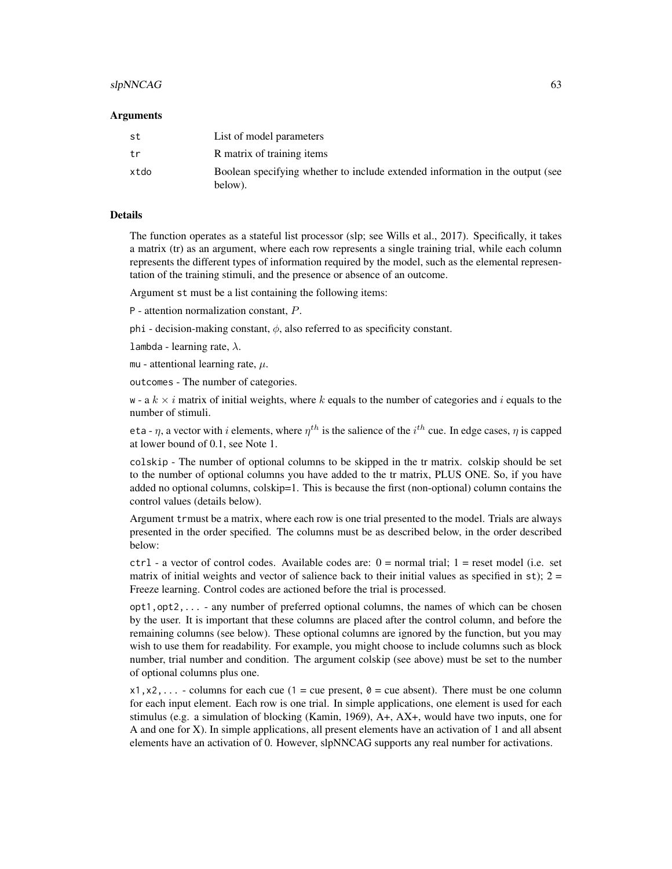#### $slpNNCAG$  63

#### Arguments

| st   | List of model parameters                                                                 |
|------|------------------------------------------------------------------------------------------|
| tr   | R matrix of training items                                                               |
| xtdo | Boolean specifying whether to include extended information in the output (see<br>below). |

# Details

The function operates as a stateful list processor (slp; see Wills et al., 2017). Specifically, it takes a matrix (tr) as an argument, where each row represents a single training trial, while each column represents the different types of information required by the model, such as the elemental representation of the training stimuli, and the presence or absence of an outcome.

Argument st must be a list containing the following items:

P - attention normalization constant, P.

phi - decision-making constant,  $\phi$ , also referred to as specificity constant.

lambda - learning rate,  $\lambda$ .

mu - attentional learning rate,  $\mu$ .

outcomes - The number of categories.

w - a  $k \times i$  matrix of initial weights, where k equals to the number of categories and i equals to the number of stimuli.

eta -  $\eta$ , a vector with i elements, where  $\eta^{th}$  is the salience of the  $i^{th}$  cue. In edge cases,  $\eta$  is capped at lower bound of 0.1, see Note 1.

colskip - The number of optional columns to be skipped in the tr matrix. colskip should be set to the number of optional columns you have added to the tr matrix, PLUS ONE. So, if you have added no optional columns, colskip=1. This is because the first (non-optional) column contains the control values (details below).

Argument trmust be a matrix, where each row is one trial presented to the model. Trials are always presented in the order specified. The columns must be as described below, in the order described below:

 $ctrl - a$  vector of control codes. Available codes are:  $0 = normal trial$ ;  $1 = reset model$  (i.e. set matrix of initial weights and vector of salience back to their initial values as specified in st);  $2 =$ Freeze learning. Control codes are actioned before the trial is processed.

opt1,opt2,... - any number of preferred optional columns, the names of which can be chosen by the user. It is important that these columns are placed after the control column, and before the remaining columns (see below). These optional columns are ignored by the function, but you may wish to use them for readability. For example, you might choose to include columns such as block number, trial number and condition. The argument colskip (see above) must be set to the number of optional columns plus one.

 $x1, x2, \ldots$  - columns for each cue (1 = cue present,  $\theta$  = cue absent). There must be one column for each input element. Each row is one trial. In simple applications, one element is used for each stimulus (e.g. a simulation of blocking (Kamin, 1969), A+, AX+, would have two inputs, one for A and one for X). In simple applications, all present elements have an activation of 1 and all absent elements have an activation of 0. However, slpNNCAG supports any real number for activations.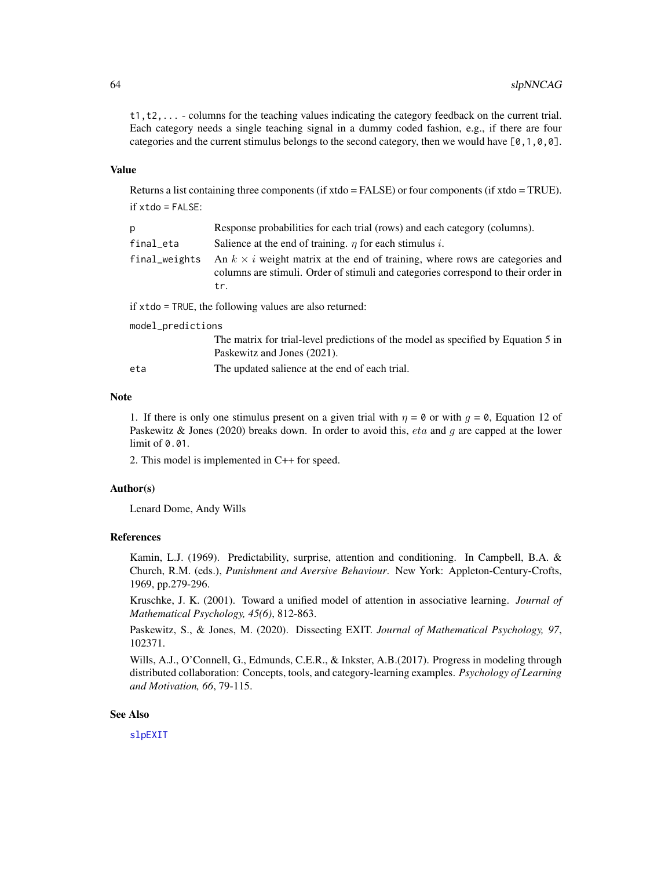t1,t2,... - columns for the teaching values indicating the category feedback on the current trial. Each category needs a single teaching signal in a dummy coded fashion, e.g., if there are four categories and the current stimulus belongs to the second category, then we would have  $[0,1,0,0]$ .

# Value

Returns a list containing three components (if xtdo = FALSE) or four components (if xtdo = TRUE).  $if xtdo = FALSE:$ 

| p         | Response probabilities for each trial (rows) and each category (columns).                                                                                                                     |
|-----------|-----------------------------------------------------------------------------------------------------------------------------------------------------------------------------------------------|
| final_eta | Salience at the end of training. $\eta$ for each stimulus i.                                                                                                                                  |
|           | final weights An $k \times i$ weight matrix at the end of training, where rows are categories and<br>columns are stimuli. Order of stimuli and categories correspond to their order in<br>tr. |

if xtdo = TRUE, the following values are also returned:

model\_predictions

The matrix for trial-level predictions of the model as specified by Equation 5 in Paskewitz and Jones (2021).

eta The updated salience at the end of each trial.

# **Note**

1. If there is only one stimulus present on a given trial with  $\eta = \emptyset$  or with  $q = \emptyset$ , Equation 12 of Paskewitz & Jones (2020) breaks down. In order to avoid this, *eta* and g are capped at the lower limit of 0.01.

2. This model is implemented in C++ for speed.

# Author(s)

Lenard Dome, Andy Wills

# References

Kamin, L.J. (1969). Predictability, surprise, attention and conditioning. In Campbell, B.A. & Church, R.M. (eds.), *Punishment and Aversive Behaviour*. New York: Appleton-Century-Crofts, 1969, pp.279-296.

Kruschke, J. K. (2001). Toward a unified model of attention in associative learning. *Journal of Mathematical Psychology, 45(6)*, 812-863.

Paskewitz, S., & Jones, M. (2020). Dissecting EXIT. *Journal of Mathematical Psychology, 97*, 102371.

Wills, A.J., O'Connell, G., Edmunds, C.E.R., & Inkster, A.B.(2017). Progress in modeling through distributed collaboration: Concepts, tools, and category-learning examples. *Psychology of Learning and Motivation, 66*, 79-115.

## See Also

[slpEXIT](#page-51-0)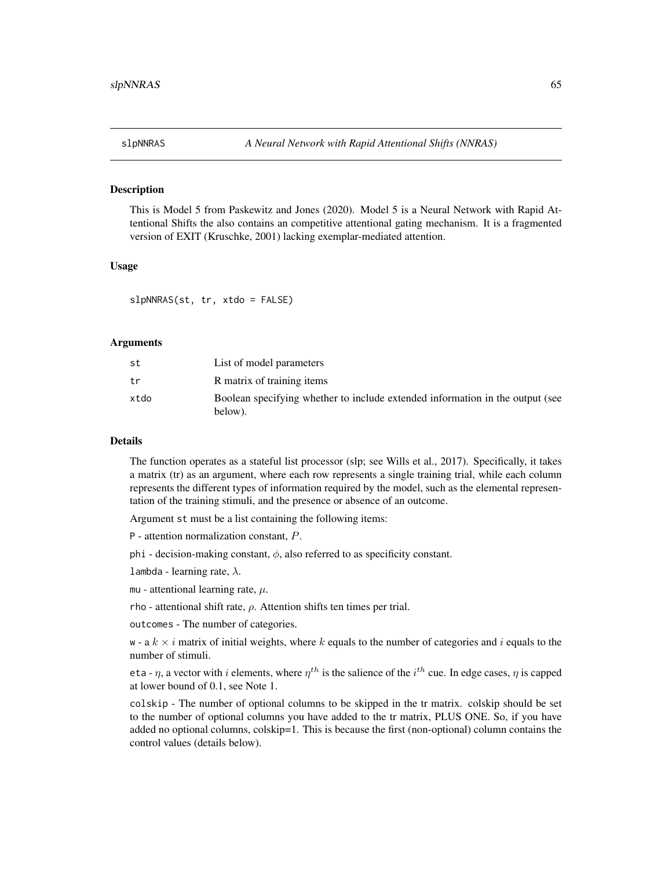#### **Description**

This is Model 5 from Paskewitz and Jones (2020). Model 5 is a Neural Network with Rapid Attentional Shifts the also contains an competitive attentional gating mechanism. It is a fragmented version of EXIT (Kruschke, 2001) lacking exemplar-mediated attention.

## Usage

slpNNRAS(st, tr, xtdo = FALSE)

## Arguments

| st   | List of model parameters                                                                 |
|------|------------------------------------------------------------------------------------------|
| tr   | R matrix of training items                                                               |
| xtdo | Boolean specifying whether to include extended information in the output (see<br>below). |

# Details

The function operates as a stateful list processor (slp; see Wills et al., 2017). Specifically, it takes a matrix (tr) as an argument, where each row represents a single training trial, while each column represents the different types of information required by the model, such as the elemental representation of the training stimuli, and the presence or absence of an outcome.

Argument st must be a list containing the following items:

P - attention normalization constant, P.

phi - decision-making constant,  $\phi$ , also referred to as specificity constant.

lambda - learning rate,  $\lambda$ .

mu - attentional learning rate,  $\mu$ .

rho - attentional shift rate,  $\rho$ . Attention shifts ten times per trial.

outcomes - The number of categories.

w - a  $k \times i$  matrix of initial weights, where k equals to the number of categories and i equals to the number of stimuli.

eta -  $\eta$ , a vector with i elements, where  $\eta^{th}$  is the salience of the  $i^{th}$  cue. In edge cases,  $\eta$  is capped at lower bound of 0.1, see Note 1.

colskip - The number of optional columns to be skipped in the tr matrix. colskip should be set to the number of optional columns you have added to the tr matrix, PLUS ONE. So, if you have added no optional columns, colskip=1. This is because the first (non-optional) column contains the control values (details below).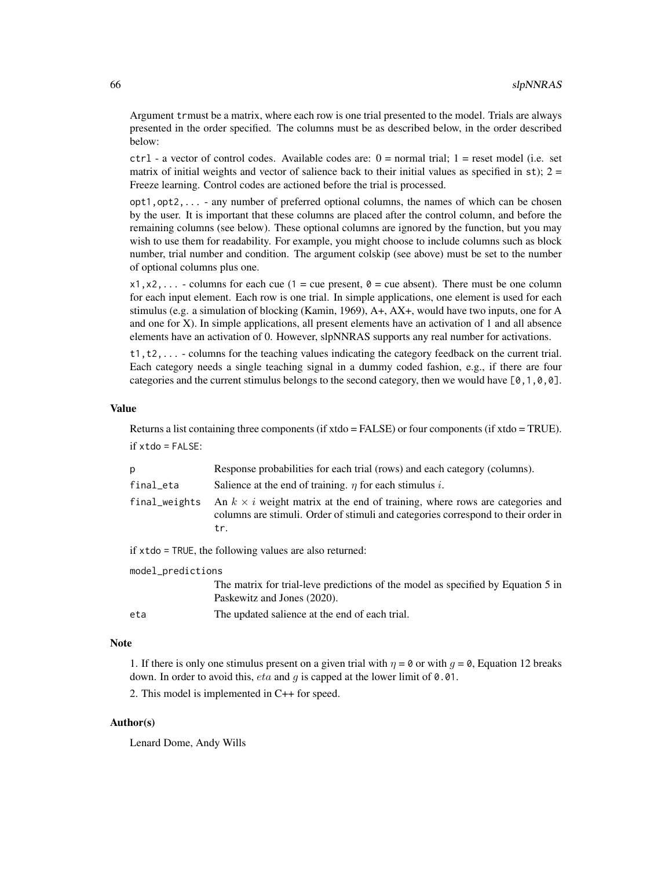Argument trmust be a matrix, where each row is one trial presented to the model. Trials are always presented in the order specified. The columns must be as described below, in the order described below:

 $ctrl - a$  vector of control codes. Available codes are:  $0 = normal trial$ ;  $1 = reset model$  (i.e. set matrix of initial weights and vector of salience back to their initial values as specified in st);  $2 =$ Freeze learning. Control codes are actioned before the trial is processed.

opt1,opt2,... - any number of preferred optional columns, the names of which can be chosen by the user. It is important that these columns are placed after the control column, and before the remaining columns (see below). These optional columns are ignored by the function, but you may wish to use them for readability. For example, you might choose to include columns such as block number, trial number and condition. The argument colskip (see above) must be set to the number of optional columns plus one.

 $x1, x2, \ldots$  - columns for each cue (1 = cue present,  $\theta$  = cue absent). There must be one column for each input element. Each row is one trial. In simple applications, one element is used for each stimulus (e.g. a simulation of blocking (Kamin, 1969), A+, AX+, would have two inputs, one for A and one for X). In simple applications, all present elements have an activation of 1 and all absence elements have an activation of 0. However, slpNNRAS supports any real number for activations.

t1,t2,... - columns for the teaching values indicating the category feedback on the current trial. Each category needs a single teaching signal in a dummy coded fashion, e.g., if there are four categories and the current stimulus belongs to the second category, then we would have  $[0, 1, 0, 0]$ .

#### Value

Returns a list containing three components (if xtdo = FALSE) or four components (if xtdo = TRUE). if xtdo = FALSE:

| p             | Response probabilities for each trial (rows) and each category (columns).                                                                                                       |
|---------------|---------------------------------------------------------------------------------------------------------------------------------------------------------------------------------|
| final_eta     | Salience at the end of training. $\eta$ for each stimulus i.                                                                                                                    |
| final_weights | An $k \times i$ weight matrix at the end of training, where rows are categories and<br>columns are stimuli. Order of stimuli and categories correspond to their order in<br>tr. |
|               | if xtdo = TRUE, the following values are also returned:                                                                                                                         |
|               |                                                                                                                                                                                 |

model\_predictions

The matrix for trial-leve predictions of the model as specified by Equation 5 in Paskewitz and Jones (2020). eta The updated salience at the end of each trial.

## Note

1. If there is only one stimulus present on a given trial with  $\eta = \emptyset$  or with  $g = \emptyset$ , Equation 12 breaks down. In order to avoid this,  $eta$  and g is capped at the lower limit of 0.01.

2. This model is implemented in C++ for speed.

# Author(s)

Lenard Dome, Andy Wills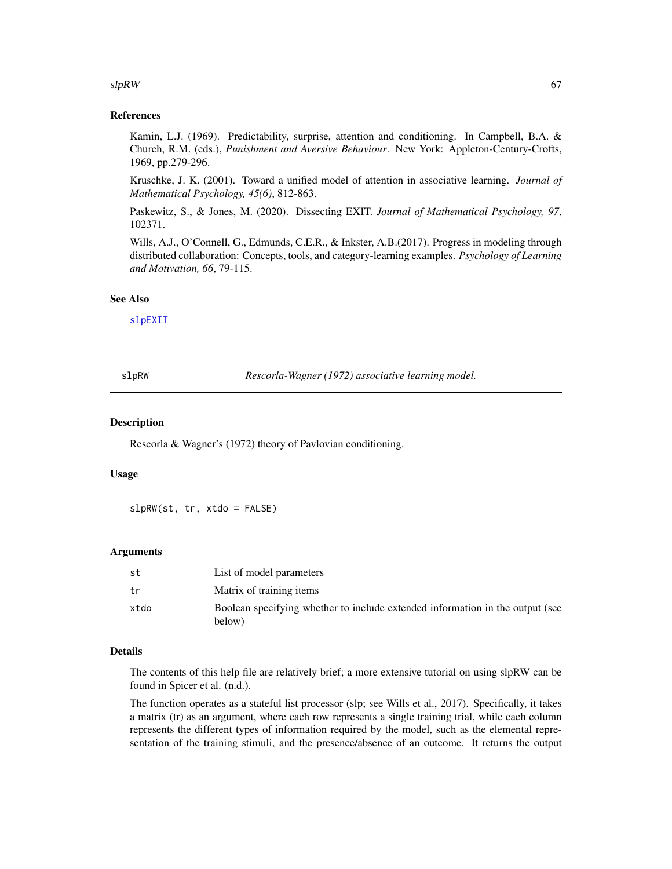## $slpRW$  67

# References

Kamin, L.J. (1969). Predictability, surprise, attention and conditioning. In Campbell, B.A. & Church, R.M. (eds.), *Punishment and Aversive Behaviour*. New York: Appleton-Century-Crofts, 1969, pp.279-296.

Kruschke, J. K. (2001). Toward a unified model of attention in associative learning. *Journal of Mathematical Psychology, 45(6)*, 812-863.

Paskewitz, S., & Jones, M. (2020). Dissecting EXIT. *Journal of Mathematical Psychology, 97*, 102371.

Wills, A.J., O'Connell, G., Edmunds, C.E.R., & Inkster, A.B.(2017). Progress in modeling through distributed collaboration: Concepts, tools, and category-learning examples. *Psychology of Learning and Motivation, 66*, 79-115.

## See Also

[slpEXIT](#page-51-0)

slpRW *Rescorla-Wagner (1972) associative learning model.*

#### **Description**

Rescorla & Wagner's (1972) theory of Pavlovian conditioning.

### Usage

slpRW(st, tr, xtdo = FALSE)

#### Arguments

| st   | List of model parameters                                                                |
|------|-----------------------------------------------------------------------------------------|
| tr   | Matrix of training items                                                                |
| xtdo | Boolean specifying whether to include extended information in the output (see<br>below) |

## Details

The contents of this help file are relatively brief; a more extensive tutorial on using slpRW can be found in Spicer et al. (n.d.).

The function operates as a stateful list processor (slp; see Wills et al., 2017). Specifically, it takes a matrix (tr) as an argument, where each row represents a single training trial, while each column represents the different types of information required by the model, such as the elemental representation of the training stimuli, and the presence/absence of an outcome. It returns the output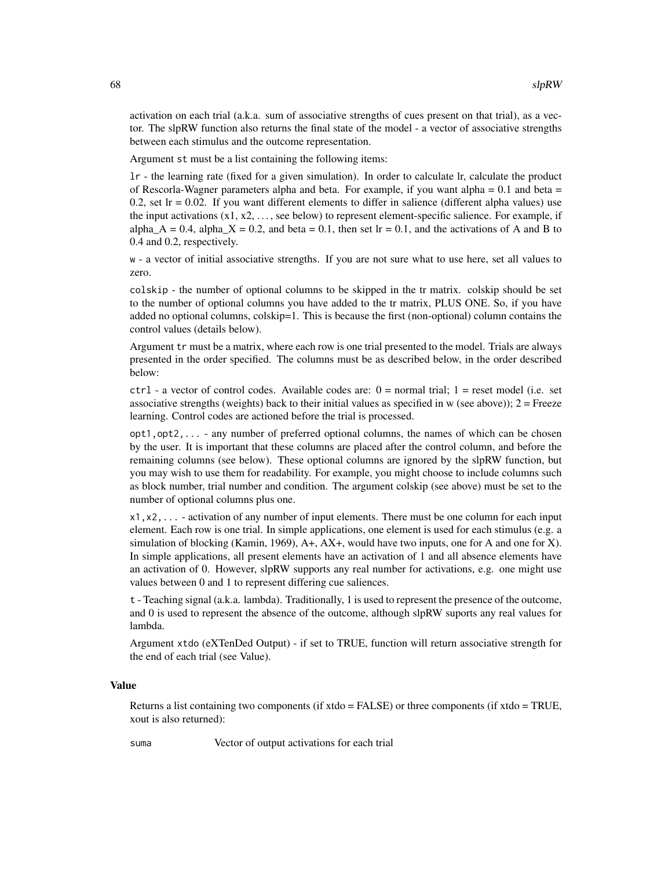activation on each trial (a.k.a. sum of associative strengths of cues present on that trial), as a vector. The slpRW function also returns the final state of the model - a vector of associative strengths between each stimulus and the outcome representation.

Argument st must be a list containing the following items:

lr - the learning rate (fixed for a given simulation). In order to calculate lr, calculate the product of Rescorla-Wagner parameters alpha and beta. For example, if you want alpha  $= 0.1$  and beta  $=$ 0.2, set  $\ln r = 0.02$ . If you want different elements to differ in salience (different alpha values) use the input activations  $(x_1, x_2, \ldots,$  see below) to represent element-specific salience. For example, if alpha\_A = 0.4, alpha\_X = 0.2, and beta = 0.1, then set lr = 0.1, and the activations of A and B to 0.4 and 0.2, respectively.

w - a vector of initial associative strengths. If you are not sure what to use here, set all values to zero.

colskip - the number of optional columns to be skipped in the tr matrix. colskip should be set to the number of optional columns you have added to the tr matrix, PLUS ONE. So, if you have added no optional columns, colskip=1. This is because the first (non-optional) column contains the control values (details below).

Argument tr must be a matrix, where each row is one trial presented to the model. Trials are always presented in the order specified. The columns must be as described below, in the order described below:

 $ctrl - a$  vector of control codes. Available codes are:  $0 = normal trial$ ;  $1 = reset model$  (i.e. set associative strengths (weights) back to their initial values as specified in  $w$  (see above));  $2 =$  Freeze learning. Control codes are actioned before the trial is processed.

opt1,opt2,... - any number of preferred optional columns, the names of which can be chosen by the user. It is important that these columns are placed after the control column, and before the remaining columns (see below). These optional columns are ignored by the slpRW function, but you may wish to use them for readability. For example, you might choose to include columns such as block number, trial number and condition. The argument colskip (see above) must be set to the number of optional columns plus one.

x1,x2,... - activation of any number of input elements. There must be one column for each input element. Each row is one trial. In simple applications, one element is used for each stimulus (e.g. a simulation of blocking (Kamin, 1969), A+, AX+, would have two inputs, one for A and one for X). In simple applications, all present elements have an activation of 1 and all absence elements have an activation of 0. However, slpRW supports any real number for activations, e.g. one might use values between 0 and 1 to represent differing cue saliences.

t - Teaching signal (a.k.a. lambda). Traditionally, 1 is used to represent the presence of the outcome, and 0 is used to represent the absence of the outcome, although slpRW suports any real values for lambda.

Argument xtdo (eXTenDed Output) - if set to TRUE, function will return associative strength for the end of each trial (see Value).

#### Value

Returns a list containing two components (if xtdo = FALSE) or three components (if xtdo = TRUE, xout is also returned):

suma Vector of output activations for each trial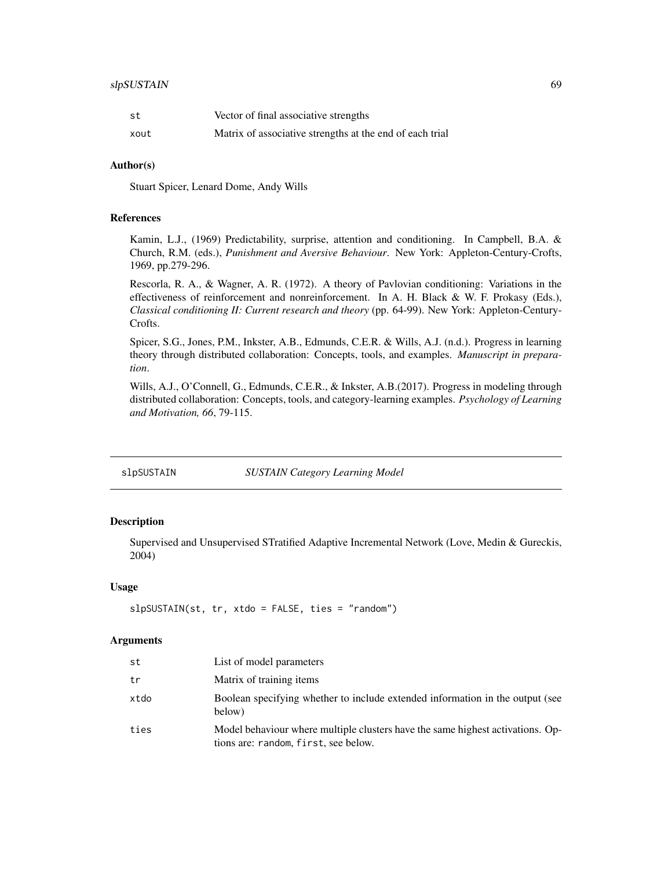| .st  | Vector of final associative strengths                    |
|------|----------------------------------------------------------|
| xout | Matrix of associative strengths at the end of each trial |

## Author(s)

Stuart Spicer, Lenard Dome, Andy Wills

# References

Kamin, L.J., (1969) Predictability, surprise, attention and conditioning. In Campbell, B.A. & Church, R.M. (eds.), *Punishment and Aversive Behaviour*. New York: Appleton-Century-Crofts, 1969, pp.279-296.

Rescorla, R. A., & Wagner, A. R. (1972). A theory of Pavlovian conditioning: Variations in the effectiveness of reinforcement and nonreinforcement. In A. H. Black & W. F. Prokasy (Eds.), *Classical conditioning II: Current research and theory* (pp. 64-99). New York: Appleton-Century-Crofts.

Spicer, S.G., Jones, P.M., Inkster, A.B., Edmunds, C.E.R. & Wills, A.J. (n.d.). Progress in learning theory through distributed collaboration: Concepts, tools, and examples. *Manuscript in preparation*.

Wills, A.J., O'Connell, G., Edmunds, C.E.R., & Inkster, A.B.(2017). Progress in modeling through distributed collaboration: Concepts, tools, and category-learning examples. *Psychology of Learning and Motivation, 66*, 79-115.

slpSUSTAIN *SUSTAIN Category Learning Model*

## **Description**

Supervised and Unsupervised STratified Adaptive Incremental Network (Love, Medin & Gureckis, 2004)

#### Usage

slpSUSTAIN(st, tr, xtdo = FALSE, ties = "random")

## Arguments

| st   | List of model parameters                                                                                               |
|------|------------------------------------------------------------------------------------------------------------------------|
| tr   | Matrix of training items                                                                                               |
| xtdo | Boolean specifying whether to include extended information in the output (see<br>below)                                |
| ties | Model behaviour where multiple clusters have the same highest activations. Op-<br>tions are: random, first, see below. |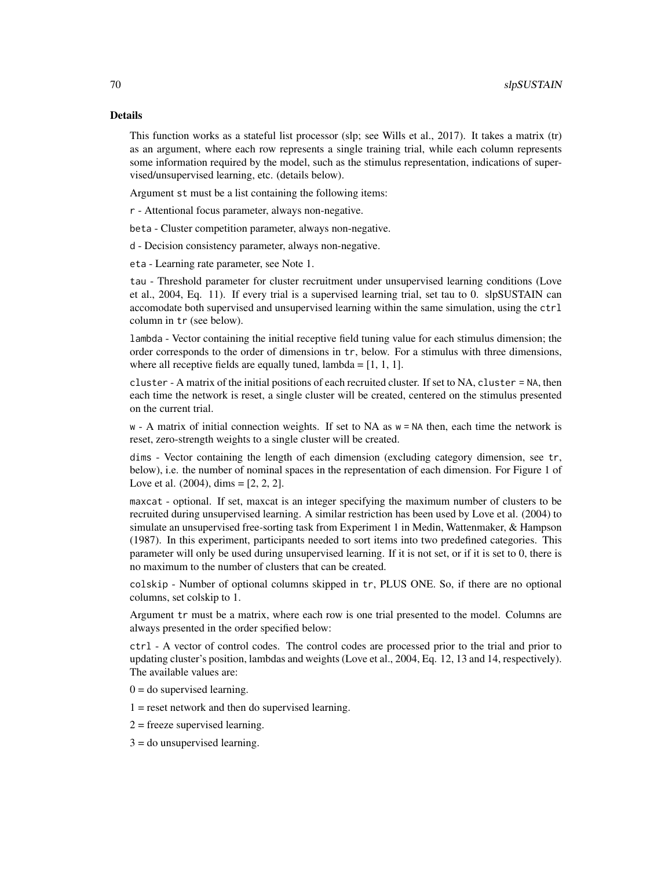### Details

This function works as a stateful list processor (slp; see Wills et al., 2017). It takes a matrix (tr) as an argument, where each row represents a single training trial, while each column represents some information required by the model, such as the stimulus representation, indications of supervised/unsupervised learning, etc. (details below).

Argument st must be a list containing the following items:

r - Attentional focus parameter, always non-negative.

beta - Cluster competition parameter, always non-negative.

d - Decision consistency parameter, always non-negative.

eta - Learning rate parameter, see Note 1.

tau - Threshold parameter for cluster recruitment under unsupervised learning conditions (Love et al., 2004, Eq. 11). If every trial is a supervised learning trial, set tau to 0. slpSUSTAIN can accomodate both supervised and unsupervised learning within the same simulation, using the ctrl column in tr (see below).

lambda - Vector containing the initial receptive field tuning value for each stimulus dimension; the order corresponds to the order of dimensions in tr, below. For a stimulus with three dimensions, where all receptive fields are equally tuned, lambda =  $[1, 1, 1]$ .

cluster - A matrix of the initial positions of each recruited cluster. If set to NA, cluster = NA, then each time the network is reset, a single cluster will be created, centered on the stimulus presented on the current trial.

w - A matrix of initial connection weights. If set to NA as w = NA then, each time the network is reset, zero-strength weights to a single cluster will be created.

dims - Vector containing the length of each dimension (excluding category dimension, see tr, below), i.e. the number of nominal spaces in the representation of each dimension. For Figure 1 of Love et al. (2004), dims = [2, 2, 2].

maxcat - optional. If set, maxcat is an integer specifying the maximum number of clusters to be recruited during unsupervised learning. A similar restriction has been used by Love et al. (2004) to simulate an unsupervised free-sorting task from Experiment 1 in Medin, Wattenmaker, & Hampson (1987). In this experiment, participants needed to sort items into two predefined categories. This parameter will only be used during unsupervised learning. If it is not set, or if it is set to 0, there is no maximum to the number of clusters that can be created.

colskip - Number of optional columns skipped in tr, PLUS ONE. So, if there are no optional columns, set colskip to 1.

Argument tr must be a matrix, where each row is one trial presented to the model. Columns are always presented in the order specified below:

ctrl - A vector of control codes. The control codes are processed prior to the trial and prior to updating cluster's position, lambdas and weights (Love et al., 2004, Eq. 12, 13 and 14, respectively). The available values are:

 $0 =$  do supervised learning.

 $1 =$  reset network and then do supervised learning.

2 = freeze supervised learning.

 $3 =$  do unsupervised learning.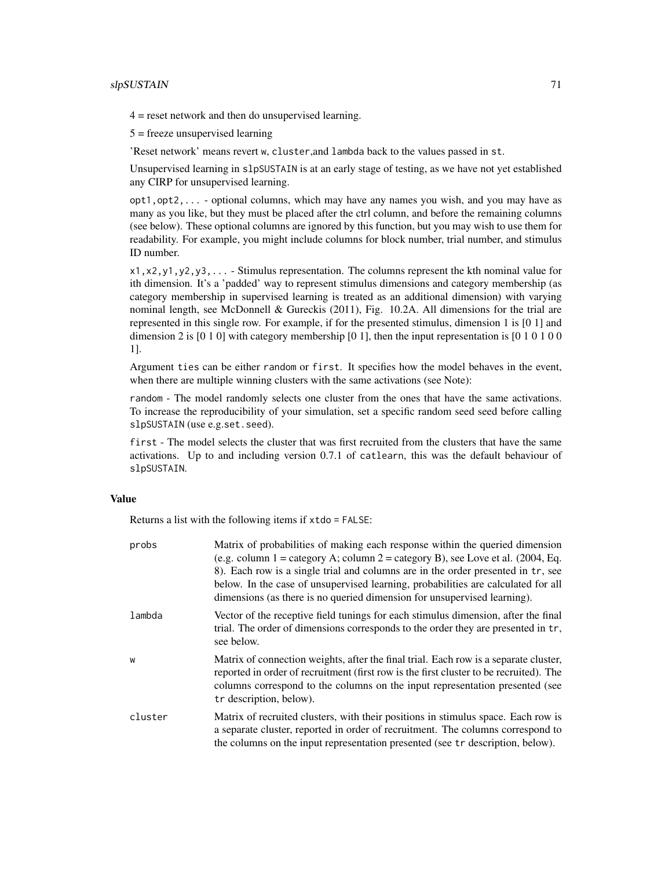# slpSUSTAIN 71

4 = reset network and then do unsupervised learning.

 $5 =$  freeze unsupervised learning

'Reset network' means revert w, cluster,and lambda back to the values passed in st.

Unsupervised learning in slpSUSTAIN is at an early stage of testing, as we have not yet established any CIRP for unsupervised learning.

opt1,opt2,... - optional columns, which may have any names you wish, and you may have as many as you like, but they must be placed after the ctrl column, and before the remaining columns (see below). These optional columns are ignored by this function, but you may wish to use them for readability. For example, you might include columns for block number, trial number, and stimulus ID number.

 $x1, x2, y1, y2, y3, \ldots$  - Stimulus representation. The columns represent the kth nominal value for ith dimension. It's a 'padded' way to represent stimulus dimensions and category membership (as category membership in supervised learning is treated as an additional dimension) with varying nominal length, see McDonnell & Gureckis (2011), Fig. 10.2A. All dimensions for the trial are represented in this single row. For example, if for the presented stimulus, dimension 1 is [0 1] and dimension 2 is  $[0 1 0]$  with category membership  $[0 1]$ , then the input representation is  $[0 1 0 1 0 0$ 1].

Argument ties can be either random or first. It specifies how the model behaves in the event, when there are multiple winning clusters with the same activations (see Note):

random - The model randomly selects one cluster from the ones that have the same activations. To increase the reproducibility of your simulation, set a specific random seed seed before calling slpSUSTAIN (use e.g.set.seed).

first - The model selects the cluster that was first recruited from the clusters that have the same activations. Up to and including version 0.7.1 of catlearn, this was the default behaviour of slpSUSTAIN.

### Value

Returns a list with the following items if xtdo = FALSE:

| probs   | Matrix of probabilities of making each response within the queried dimension<br>(e.g. column $1 =$ category A; column $2 =$ category B), see Love et al. (2004, Eq.<br>8). Each row is a single trial and columns are in the order presented in tr, see<br>below. In the case of unsupervised learning, probabilities are calculated for all<br>dimensions (as there is no queried dimension for unsupervised learning). |
|---------|--------------------------------------------------------------------------------------------------------------------------------------------------------------------------------------------------------------------------------------------------------------------------------------------------------------------------------------------------------------------------------------------------------------------------|
| lambda  | Vector of the receptive field tunings for each stimulus dimension, after the final<br>trial. The order of dimensions corresponds to the order they are presented in tr,<br>see below.                                                                                                                                                                                                                                    |
| W       | Matrix of connection weights, after the final trial. Each row is a separate cluster,<br>reported in order of recruitment (first row is the first cluster to be recruited). The<br>columns correspond to the columns on the input representation presented (see<br>tr description, below).                                                                                                                                |
| cluster | Matrix of recruited clusters, with their positions in stimulus space. Each row is<br>a separate cluster, reported in order of recruitment. The columns correspond to<br>the columns on the input representation presented (see tr description, below).                                                                                                                                                                   |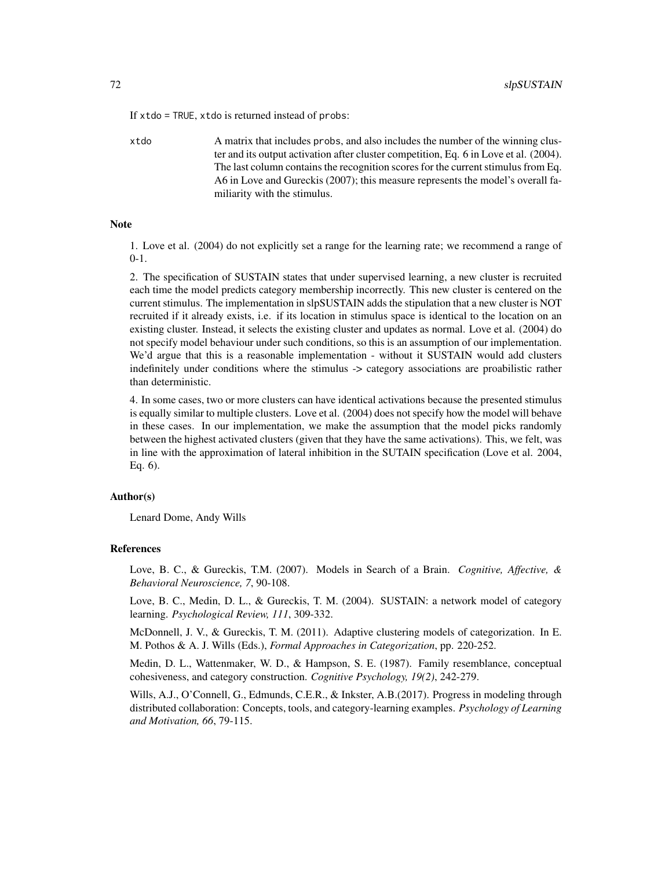If xtdo = TRUE, xtdo is returned instead of probs:

xtdo A matrix that includes probs, and also includes the number of the winning cluster and its output activation after cluster competition, Eq. 6 in Love et al. (2004). The last column contains the recognition scores for the current stimulus from Eq. A6 in Love and Gureckis (2007); this measure represents the model's overall familiarity with the stimulus.

#### Note

1. Love et al. (2004) do not explicitly set a range for the learning rate; we recommend a range of 0-1.

2. The specification of SUSTAIN states that under supervised learning, a new cluster is recruited each time the model predicts category membership incorrectly. This new cluster is centered on the current stimulus. The implementation in slpSUSTAIN adds the stipulation that a new cluster is NOT recruited if it already exists, i.e. if its location in stimulus space is identical to the location on an existing cluster. Instead, it selects the existing cluster and updates as normal. Love et al. (2004) do not specify model behaviour under such conditions, so this is an assumption of our implementation. We'd argue that this is a reasonable implementation - without it SUSTAIN would add clusters indefinitely under conditions where the stimulus -> category associations are proabilistic rather than deterministic.

4. In some cases, two or more clusters can have identical activations because the presented stimulus is equally similar to multiple clusters. Love et al. (2004) does not specify how the model will behave in these cases. In our implementation, we make the assumption that the model picks randomly between the highest activated clusters (given that they have the same activations). This, we felt, was in line with the approximation of lateral inhibition in the SUTAIN specification (Love et al. 2004, Eq. 6).

## Author(s)

Lenard Dome, Andy Wills

#### References

Love, B. C., & Gureckis, T.M. (2007). Models in Search of a Brain. *Cognitive, Affective, & Behavioral Neuroscience, 7*, 90-108.

Love, B. C., Medin, D. L., & Gureckis, T. M. (2004). SUSTAIN: a network model of category learning. *Psychological Review, 111*, 309-332.

McDonnell, J. V., & Gureckis, T. M. (2011). Adaptive clustering models of categorization. In E. M. Pothos & A. J. Wills (Eds.), *Formal Approaches in Categorization*, pp. 220-252.

Medin, D. L., Wattenmaker, W. D., & Hampson, S. E. (1987). Family resemblance, conceptual cohesiveness, and category construction. *Cognitive Psychology, 19(2)*, 242-279.

Wills, A.J., O'Connell, G., Edmunds, C.E.R., & Inkster, A.B.(2017). Progress in modeling through distributed collaboration: Concepts, tools, and category-learning examples. *Psychology of Learning and Motivation, 66*, 79-115.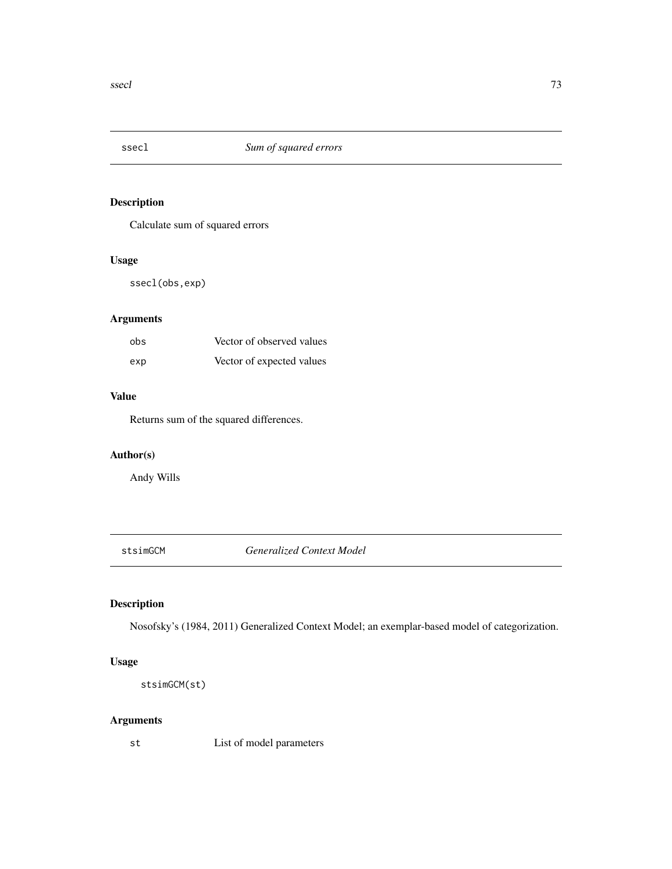<span id="page-72-0"></span>

# Description

Calculate sum of squared errors

# Usage

ssecl(obs,exp)

# Arguments

| obs | Vector of observed values |
|-----|---------------------------|
| exp | Vector of expected values |

# Value

Returns sum of the squared differences.

#### Author(s)

Andy Wills

stsimGCM *Generalized Context Model*

# Description

Nosofsky's (1984, 2011) Generalized Context Model; an exemplar-based model of categorization.

## Usage

```
stsimGCM(st)
```
# Arguments

st List of model parameters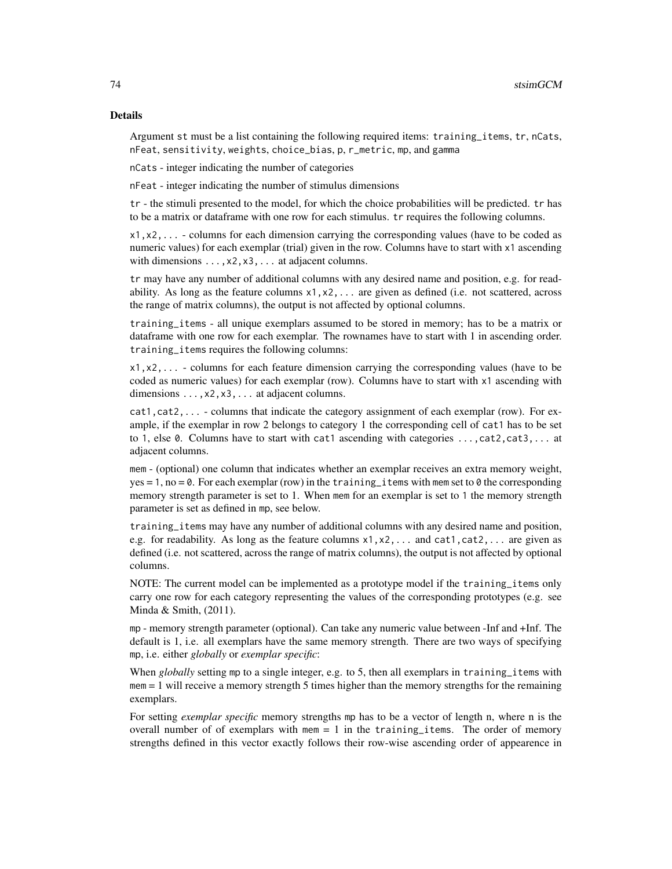#### Details

Argument st must be a list containing the following required items: training\_items, tr, nCats, nFeat, sensitivity, weights, choice\_bias, p, r\_metric, mp, and gamma

nCats - integer indicating the number of categories

nFeat - integer indicating the number of stimulus dimensions

tr - the stimuli presented to the model, for which the choice probabilities will be predicted. tr has to be a matrix or dataframe with one row for each stimulus. tr requires the following columns.

x1,x2,... - columns for each dimension carrying the corresponding values (have to be coded as numeric values) for each exemplar (trial) given in the row. Columns have to start with x1 ascending with dimensions ..., x2, x3, ... at adjacent columns.

tr may have any number of additional columns with any desired name and position, e.g. for readability. As long as the feature columns  $x_1, x_2, \ldots$  are given as defined (i.e. not scattered, across the range of matrix columns), the output is not affected by optional columns.

training\_items - all unique exemplars assumed to be stored in memory; has to be a matrix or dataframe with one row for each exemplar. The rownames have to start with 1 in ascending order. training\_items requires the following columns:

x1,x2,... - columns for each feature dimension carrying the corresponding values (have to be coded as numeric values) for each exemplar (row). Columns have to start with x1 ascending with dimensions ...,x2,x3,... at adjacent columns.

cat1,cat2,... - columns that indicate the category assignment of each exemplar (row). For example, if the exemplar in row 2 belongs to category 1 the corresponding cell of cat1 has to be set to 1, else 0. Columns have to start with cat1 ascending with categories ..., cat2, cat3, ... at adjacent columns.

mem - (optional) one column that indicates whether an exemplar receives an extra memory weight,  $yes = 1$ , no = 0. For each exemplar (row) in the training items with mem set to 0 the corresponding memory strength parameter is set to 1. When mem for an exemplar is set to 1 the memory strength parameter is set as defined in mp, see below.

training\_items may have any number of additional columns with any desired name and position, e.g. for readability. As long as the feature columns  $x1, x2, \ldots$  and cat1, cat2,... are given as defined (i.e. not scattered, across the range of matrix columns), the output is not affected by optional columns.

NOTE: The current model can be implemented as a prototype model if the training\_items only carry one row for each category representing the values of the corresponding prototypes (e.g. see Minda & Smith, (2011).

mp - memory strength parameter (optional). Can take any numeric value between -Inf and +Inf. The default is 1, i.e. all exemplars have the same memory strength. There are two ways of specifying mp, i.e. either *globally* or *exemplar specific*:

When *globally* setting mp to a single integer, e.g. to 5, then all exemplars in training items with mem = 1 will receive a memory strength 5 times higher than the memory strengths for the remaining exemplars.

For setting *exemplar specific* memory strengths mp has to be a vector of length n, where n is the overall number of of exemplars with mem  $= 1$  in the training items. The order of memory strengths defined in this vector exactly follows their row-wise ascending order of appearence in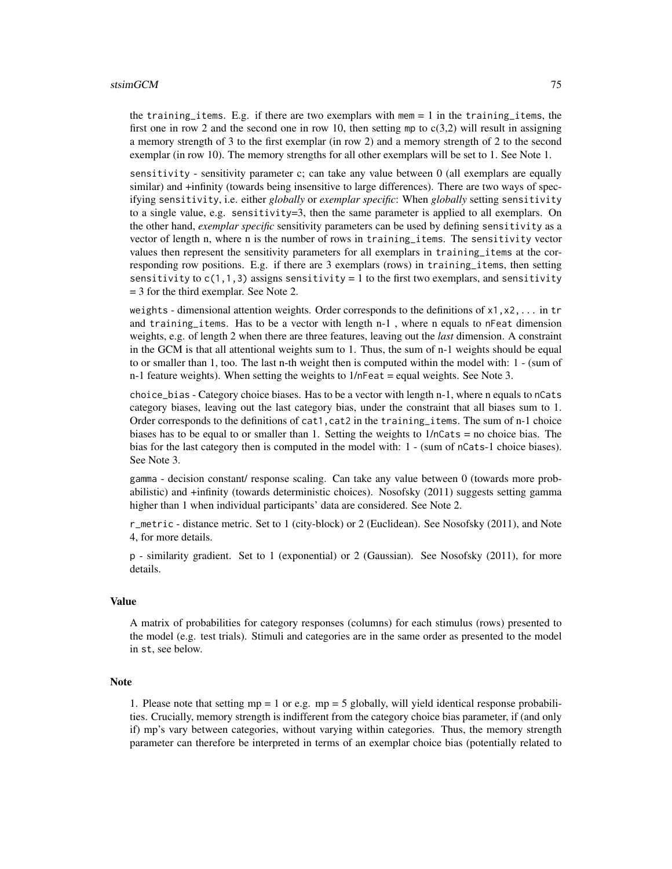#### stsimGCM 75

the training items. E.g. if there are two exemplars with mem  $= 1$  in the training items, the first one in row 2 and the second one in row 10, then setting mp to  $c(3,2)$  will result in assigning a memory strength of 3 to the first exemplar (in row 2) and a memory strength of 2 to the second exemplar (in row 10). The memory strengths for all other exemplars will be set to 1. See Note 1.

sensitivity - sensitivity parameter c; can take any value between  $\theta$  (all exemplars are equally similar) and +infinity (towards being insensitive to large differences). There are two ways of specifying sensitivity, i.e. either *globally* or *exemplar specific*: When *globally* setting sensitivity to a single value, e.g. sensitivity=3, then the same parameter is applied to all exemplars. On the other hand, *exemplar specific* sensitivity parameters can be used by defining sensitivity as a vector of length n, where n is the number of rows in training\_items. The sensitivity vector values then represent the sensitivity parameters for all exemplars in training\_items at the corresponding row positions. E.g. if there are 3 exemplars (rows) in training\_items, then setting sensitivity to  $c(1,1,3)$  assigns sensitivity = 1 to the first two exemplars, and sensitivity = 3 for the third exemplar. See Note 2.

weights - dimensional attention weights. Order corresponds to the definitions of  $x1, x2, \ldots$  in tr and training\_items. Has to be a vector with length n-1 , where n equals to nFeat dimension weights, e.g. of length 2 when there are three features, leaving out the *last* dimension. A constraint in the GCM is that all attentional weights sum to 1. Thus, the sum of n-1 weights should be equal to or smaller than 1, too. The last n-th weight then is computed within the model with: 1 - (sum of  $n-1$  feature weights). When setting the weights to  $1/n$  Feat = equal weights. See Note 3.

choice\_bias - Category choice biases. Has to be a vector with length n-1, where n equals to nCats category biases, leaving out the last category bias, under the constraint that all biases sum to 1. Order corresponds to the definitions of cat1, cat2 in the training\_items. The sum of n-1 choice biases has to be equal to or smaller than 1. Setting the weights to  $1/nCats =$  no choice bias. The bias for the last category then is computed in the model with: 1 - (sum of nCats-1 choice biases). See Note 3.

gamma - decision constant/ response scaling. Can take any value between 0 (towards more probabilistic) and +infinity (towards deterministic choices). Nosofsky (2011) suggests setting gamma higher than 1 when individual participants' data are considered. See Note 2.

r\_metric - distance metric. Set to 1 (city-block) or 2 (Euclidean). See Nosofsky (2011), and Note 4, for more details.

p - similarity gradient. Set to 1 (exponential) or 2 (Gaussian). See Nosofsky (2011), for more details.

#### Value

A matrix of probabilities for category responses (columns) for each stimulus (rows) presented to the model (e.g. test trials). Stimuli and categories are in the same order as presented to the model in st, see below.

### Note

1. Please note that setting  $mp = 1$  or e.g.  $mp = 5$  globally, will yield identical response probabilities. Crucially, memory strength is indifferent from the category choice bias parameter, if (and only if) mp's vary between categories, without varying within categories. Thus, the memory strength parameter can therefore be interpreted in terms of an exemplar choice bias (potentially related to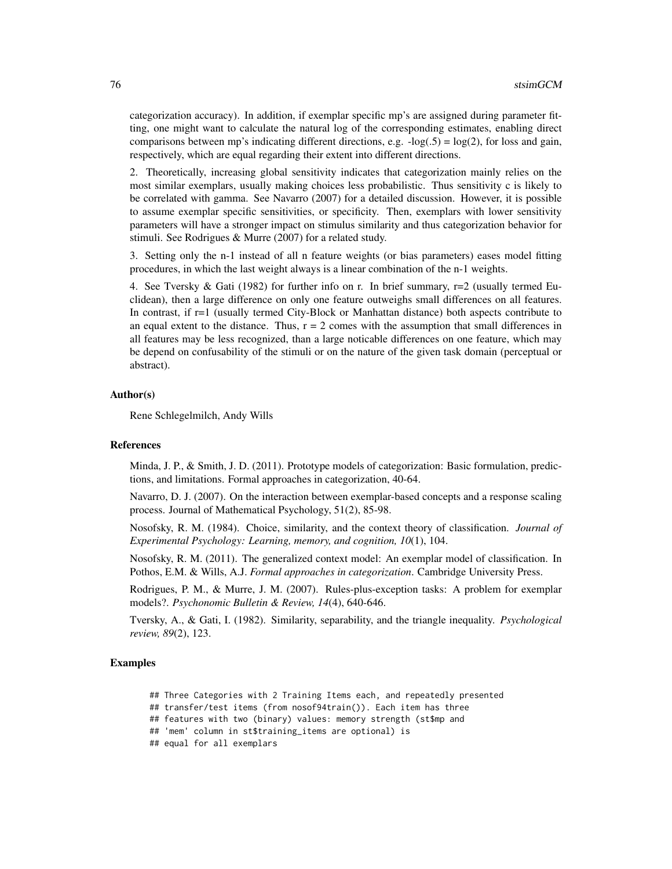categorization accuracy). In addition, if exemplar specific mp's are assigned during parameter fitting, one might want to calculate the natural log of the corresponding estimates, enabling direct comparisons between mp's indicating different directions, e.g.  $-log(.5) = log(2)$ , for loss and gain, respectively, which are equal regarding their extent into different directions.

2. Theoretically, increasing global sensitivity indicates that categorization mainly relies on the most similar exemplars, usually making choices less probabilistic. Thus sensitivity c is likely to be correlated with gamma. See Navarro (2007) for a detailed discussion. However, it is possible to assume exemplar specific sensitivities, or specificity. Then, exemplars with lower sensitivity parameters will have a stronger impact on stimulus similarity and thus categorization behavior for stimuli. See Rodrigues & Murre (2007) for a related study.

3. Setting only the n-1 instead of all n feature weights (or bias parameters) eases model fitting procedures, in which the last weight always is a linear combination of the n-1 weights.

4. See Tversky & Gati (1982) for further info on r. In brief summary,  $r=2$  (usually termed Euclidean), then a large difference on only one feature outweighs small differences on all features. In contrast, if r=1 (usually termed City-Block or Manhattan distance) both aspects contribute to an equal extent to the distance. Thus,  $r = 2$  comes with the assumption that small differences in all features may be less recognized, than a large noticable differences on one feature, which may be depend on confusability of the stimuli or on the nature of the given task domain (perceptual or abstract).

#### Author(s)

Rene Schlegelmilch, Andy Wills

#### References

Minda, J. P., & Smith, J. D. (2011). Prototype models of categorization: Basic formulation, predictions, and limitations. Formal approaches in categorization, 40-64.

Navarro, D. J. (2007). On the interaction between exemplar-based concepts and a response scaling process. Journal of Mathematical Psychology, 51(2), 85-98.

Nosofsky, R. M. (1984). Choice, similarity, and the context theory of classification. *Journal of Experimental Psychology: Learning, memory, and cognition, 10*(1), 104.

Nosofsky, R. M. (2011). The generalized context model: An exemplar model of classification. In Pothos, E.M. & Wills, A.J. *Formal approaches in categorization*. Cambridge University Press.

Rodrigues, P. M., & Murre, J. M. (2007). Rules-plus-exception tasks: A problem for exemplar models?. *Psychonomic Bulletin & Review, 14*(4), 640-646.

Tversky, A., & Gati, I. (1982). Similarity, separability, and the triangle inequality. *Psychological review, 89*(2), 123.

#### Examples

## Three Categories with 2 Training Items each, and repeatedly presented

## transfer/test items (from nosof94train()). Each item has three

## features with two (binary) values: memory strength (st\$mp and

## 'mem' column in st\$training\_items are optional) is

## equal for all exemplars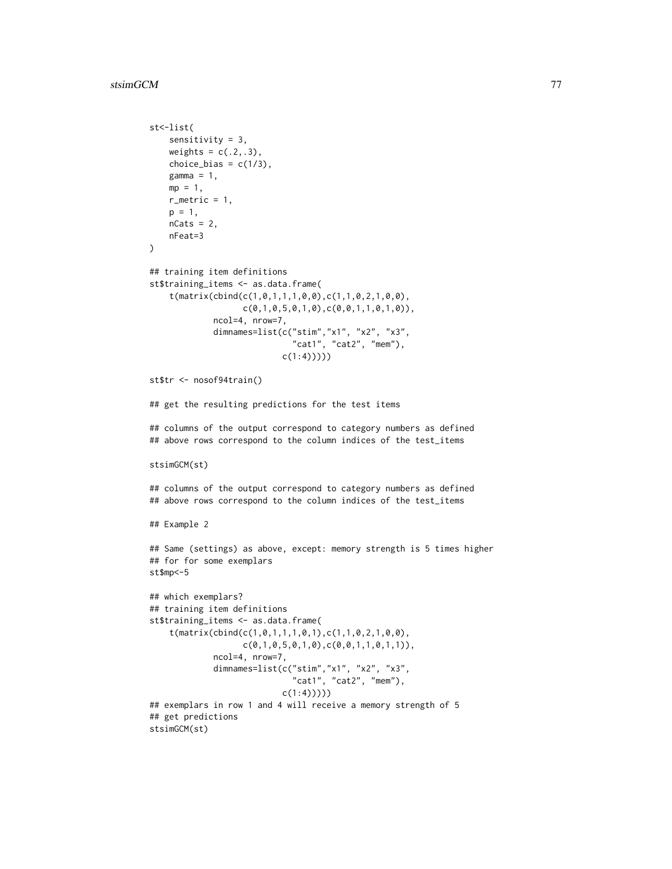#### stsimGCM 77

```
st<-list(
    sensitivity = 3,
    weights = c(.2,.3),
    choice_bias = c(1/3),
    gamma = 1,
   mp = 1,
    r_metric = 1,
    p = 1,
    nCats = 2,
    nFeat=3
)
## training item definitions
st$training_items <- as.data.frame(
    t(matrix(cbind(c(1,0,1,1,1,0,0),c(1,1,0,2,1,0,0),
                    c(0,1,0,5,0,1,0),c(0,0,1,1,0,1,0)),
             ncol=4, nrow=7,
             dimnames=list(c("stim","x1", "x2", "x3",
                              "cat1", "cat2", "mem"),
                            c(1:4)))))
st$tr <- nosof94train()
## get the resulting predictions for the test items
## columns of the output correspond to category numbers as defined
## above rows correspond to the column indices of the test_items
stsimGCM(st)
## columns of the output correspond to category numbers as defined
## above rows correspond to the column indices of the test_items
## Example 2
## Same (settings) as above, except: memory strength is 5 times higher
## for for some exemplars
st$mp<-5
## which exemplars?
## training item definitions
st$training_items <- as.data.frame(
    t(matrix(cbind(c(1,0,1,1,1,0,1),c(1,1,0,2,1,0,0),
                    c(\emptyset,1,\emptyset,5,\emptyset,1,\emptyset),c(\emptyset,\emptyset,1,1,\emptyset,1,1)),
             ncol=4, nrow=7,
             dimnames=list(c("stim","x1", "x2", "x3",
                               "cat1", "cat2", "mem"),
                            c(1:4))))## exemplars in row 1 and 4 will receive a memory strength of 5
## get predictions
stsimGCM(st)
```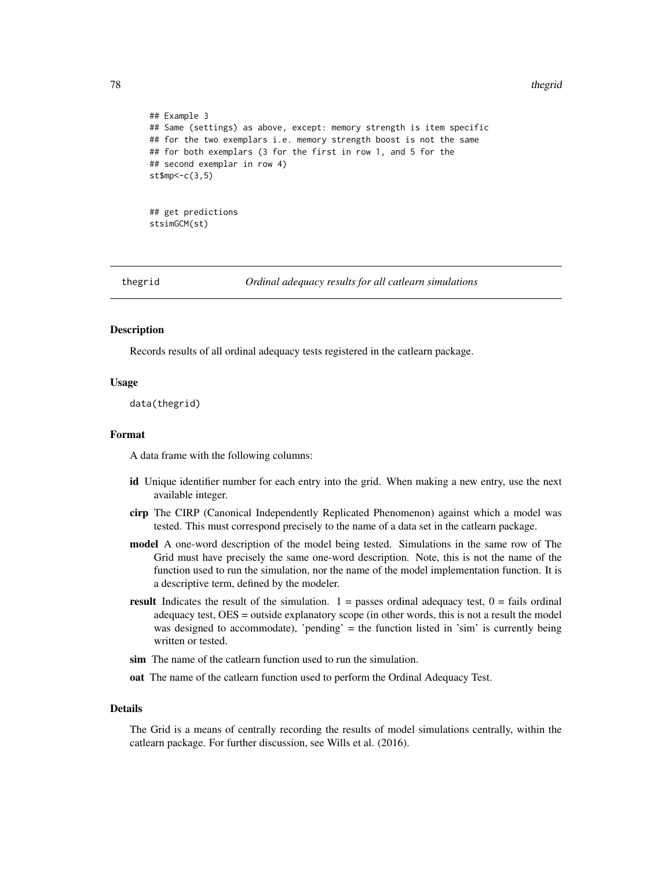#### **78** thegrid the state of the state of the state of the state of the state of the state of the state of the state of the state of the state of the state of the state of the state of the state of the state of the state of t

```
## Example 3
## Same (settings) as above, except: memory strength is item specific
## for the two exemplars i.e. memory strength boost is not the same
## for both exemplars (3 for the first in row 1, and 5 for the
## second exemplar in row 4)
st$mp <-c(3,5)## get predictions
```

```
stsimGCM(st)
```
thegrid *Ordinal adequacy results for all catlearn simulations*

#### Description

Records results of all ordinal adequacy tests registered in the catlearn package.

#### Usage

data(thegrid)

#### Format

A data frame with the following columns:

- id Unique identifier number for each entry into the grid. When making a new entry, use the next available integer.
- cirp The CIRP (Canonical Independently Replicated Phenomenon) against which a model was tested. This must correspond precisely to the name of a data set in the catlearn package.
- model A one-word description of the model being tested. Simulations in the same row of The Grid must have precisely the same one-word description. Note, this is not the name of the function used to run the simulation, nor the name of the model implementation function. It is a descriptive term, defined by the modeler.
- **result** Indicates the result of the simulation.  $1 =$  passes ordinal adequacy test,  $0 =$  fails ordinal adequacy test, OES = outside explanatory scope (in other words, this is not a result the model was designed to accommodate), 'pending' = the function listed in 'sim' is currently being written or tested.
- sim The name of the catlearn function used to run the simulation.
- oat The name of the catlearn function used to perform the Ordinal Adequacy Test.

#### Details

The Grid is a means of centrally recording the results of model simulations centrally, within the catlearn package. For further discussion, see Wills et al. (2016).

<span id="page-77-0"></span>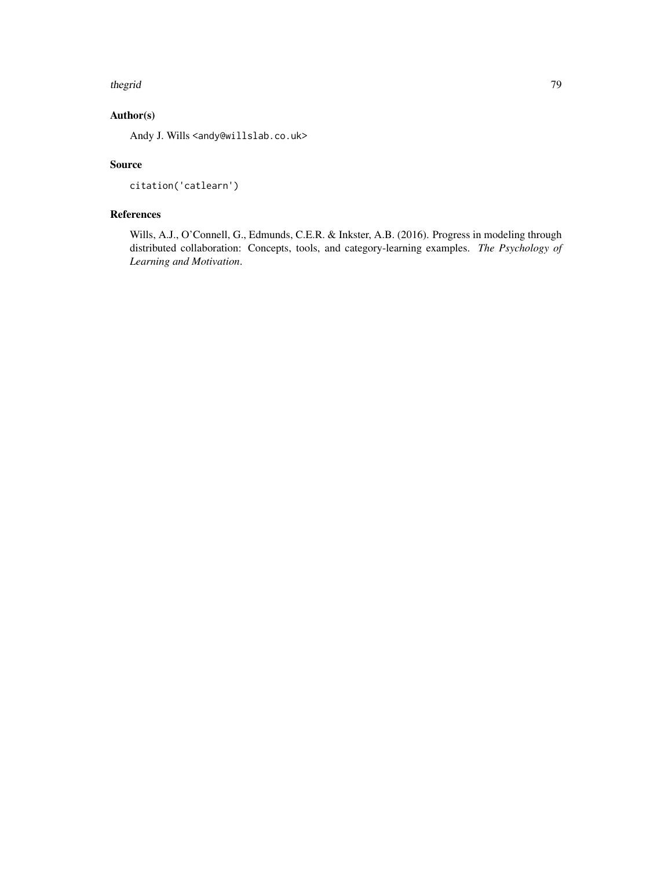#### thegrid 2008 and 2008 and 2008 and 2008 and 2008 and 2008 and 2008 and 2008 and 2008 and 2008 and 2008 and 200

# Author(s)

Andy J. Wills <andy@willslab.co.uk>

# Source

```
citation('catlearn')
```
# References

Wills, A.J., O'Connell, G., Edmunds, C.E.R. & Inkster, A.B. (2016). Progress in modeling through distributed collaboration: Concepts, tools, and category-learning examples. *The Psychology of Learning and Motivation*.